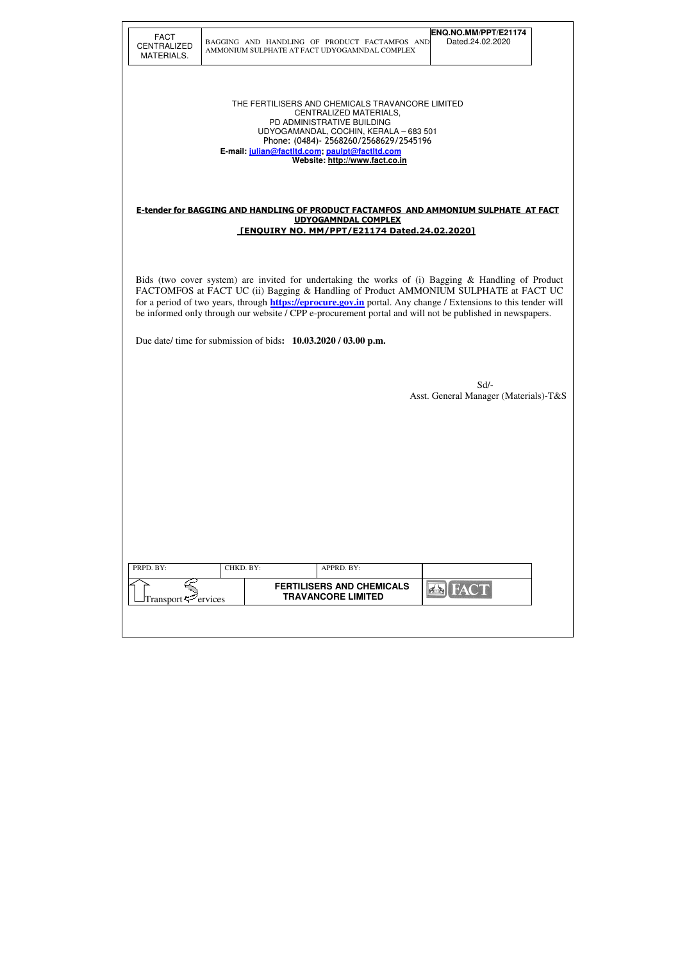| <b>FACT</b>        |
|--------------------|
| <b>CENTRALIZED</b> |
| MATERIALS.         |

## BAGGING AND HANDLING OF PRODUCT FACTAMFOS AND AMMONIUM SULPHATE AT FACT UDYOGAMNDAL COMPLEX

THE FERTILISERS AND CHEMICALS TRAVANCORE LIMITED CENTRALIZED MATERIALS, PD ADMINISTRATIVE BUILDING UDYOGAMANDAL, COCHIN, KERALA – 683 501 Phone: (0484)- 2568260/2568629/2545196  **E-mail: julian@factltd.com; paulpt@factltd.com Website: http://www.fact.co.in** 

#### E-tender for BAGGING AND HANDLING OF PRODUCT FACTAMFOS AND AMMONIUM SULPHATE AT FACT UDYOGAMNDAL COMPLEX [ENQUIRY NO. MM/PPT/E21174 Dated.24.02.2020]

| PRPD. BY:                               | CHKD. BY: | APPRD. BY:                                                    |      |
|-----------------------------------------|-----------|---------------------------------------------------------------|------|
| Transport <sup>-</sup> <i>T</i> ervices |           | <b>FERTILISERS AND CHEMICALS</b><br><b>TRAVANCORE LIMITED</b> | FACT |
|                                         |           |                                                               |      |
|                                         |           |                                                               |      |

Bids (two cover system) are invited for undertaking the works of (i) Bagging & Handling of Product FACTOMFOS at FACT UC (ii) Bagging & Handling of Product AMMONIUM SULPHATE at FACT UC for a period of two years, through **https://eprocure.gov.in** portal. Any change / Extensions to this tender will be informed only through our website / CPP e-procurement portal and will not be published in newspapers.

Due date/ time for submission of bids**: 10.03.2020 / 03.00 p.m.** 

Sd/- Asst. General Manager (Materials)-T&S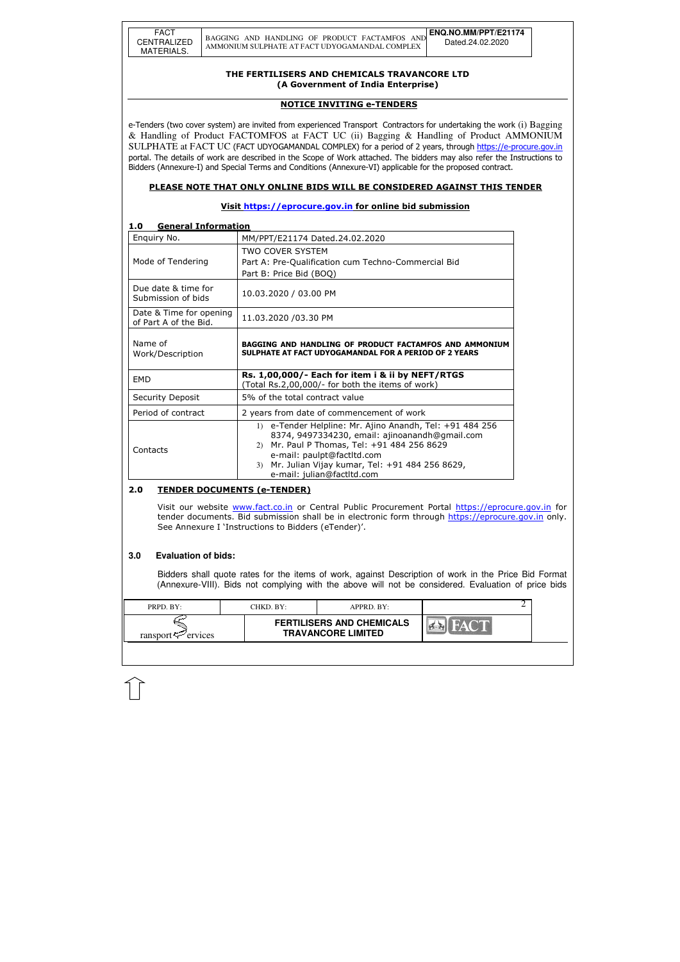| PRPD. BY:               | CHKD. BY: | $APPRD$ . BY:                                                 |  |  |
|-------------------------|-----------|---------------------------------------------------------------|--|--|
| ransport $\leq$ ervices |           | <b>FERTILISERS AND CHEMICALS</b><br><b>TRAVANCORE LIMITED</b> |  |  |

### THE FERTILISERS AND CHEMICALS TRAVANCORE LTD (A Government of India Enterprise)

### NOTICE INVITING e-TENDERS

e-Tenders (two cover system) are invited from experienced Transport Contractors for undertaking the work (i) Bagging & Handling of Product FACTOMFOS at FACT UC (ii) Bagging & Handling of Product AMMONIUM SULPHATE at FACT UC (FACT UDYOGAMANDAL COMPLEX) for a period of 2 years, through https://e-procure.gov.in portal. The details of work are described in the Scope of Work attached. The bidders may also refer the Instructions to Bidders (Annexure-I) and Special Terms and Conditions (Annexure-VI) applicable for the proposed contract.

## PLEASE NOTE THAT ONLY ONLINE BIDS WILL BE CONSIDERED AGAINST THIS TENDER

## Visit https://eprocure.gov.in for online bid submission

## 1.0 General Information

Visit our website www.fact.co.in or Central Public Procurement Portal https://eprocure.gov.in for tender documents. Bid submission shall be in electronic form through https://eprocure.gov.in only. See Annexure I 'Instructions to Bidders (eTender)'.

## Enquiry No. MM/PPT/E21174 Dated.24.02.2020 Mode of Tendering TWO COVER SYSTEM Part A: Pre-Qualification cum Techno-Commercial Bid Part B: Price Bid (BOQ) Due date & time for Submission of bids 10.03.2020 / 03.00 PM Date & Time for opening  $\left| \begin{array}{c} 11.03.2020 \end{array} \right|$  /03.30 PM<br>of Part A of the Bid. Name of Work/Description BAGGING AND HANDLING OF PRODUCT FACTAMFOS AND AMMONIUM SULPHATE AT FACT UDYOGAMANDAL FOR A PERIOD OF 2 YEARS EMD **Rs. 1,00,000/- Each for item i & ii by NEFT/RTGS** (Total Rs.2,00,000/- for both the items of work) Security Deposit | 5% of the total contract value Period of contract  $\vert$  2 years from date of commencement of work Contacts 1) e-Tender Helpline: Mr. Ajino Anandh, Tel: +91 484 256 8374, 9497334230, email: ajinoanandh@gmail.com 2) Mr. Paul P Thomas, Tel: +91 484 256 8629 e-mail: paulpt@factltd.com 3) Mr. Julian Vijay kumar, Tel: +91 484 256 8629, e-mail: julian@factltd.com

### 2.0 TENDER DOCUMENTS (e-TENDER)

### **3.0 Evaluation of bids:**

Bidders shall quote rates for the items of work, against Description of work in the Price Bid Format (Annexure-VIII). Bids not complying with the above will not be considered. Evaluation of price bids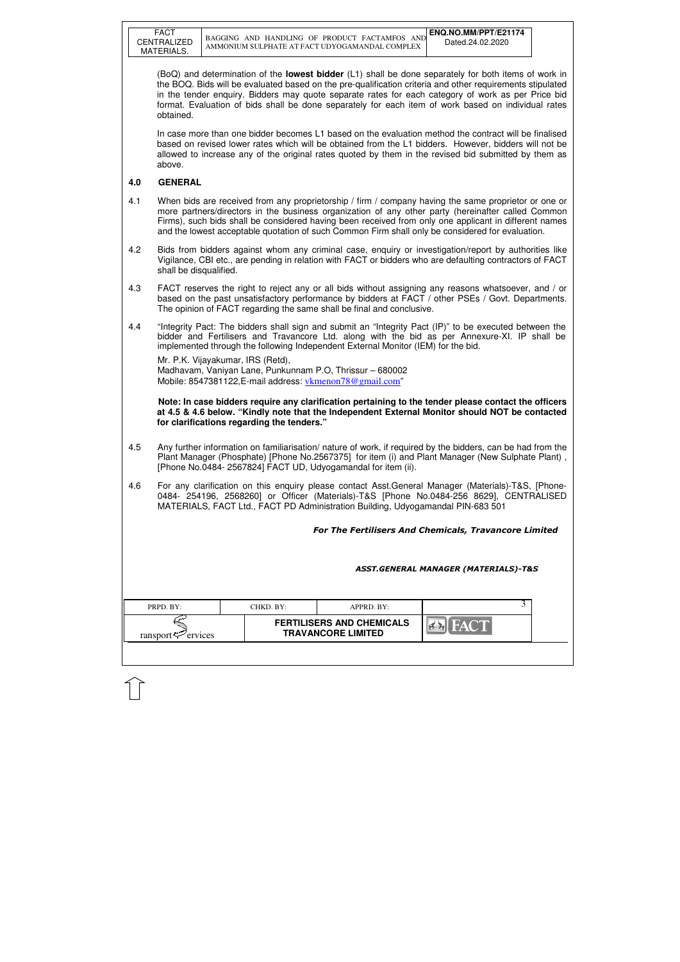| FACT        |
|-------------|
| CENTRALIZED |
| MATERIALS.  |

| PRPD. BY:               | CHKD. BY:- | $APPRD$ . BY:                                                 |  |
|-------------------------|------------|---------------------------------------------------------------|--|
| ransport $\leq$ ervices |            | <b>FERTILISERS AND CHEMICALS</b><br><b>TRAVANCORE LIMITED</b> |  |

(BoQ) and determination of the **lowest bidder** (L1) shall be done separately for both items of work in the BOQ. Bids will be evaluated based on the pre-qualification criteria and other requirements stipulated in the tender enquiry. Bidders may quote separate rates for each category of work as per Price bid format. Evaluation of bids shall be done separately for each item of work based on individual rates obtained.

 In case more than one bidder becomes L1 based on the evaluation method the contract will be finalised based on revised lower rates which will be obtained from the L1 bidders. However, bidders will not be allowed to increase any of the original rates quoted by them in the revised bid submitted by them as above.

## **4.0 GENERAL**

Mr. P.K. Vijayakumar, IRS (Retd), Madhavam, Vaniyan Lane, Punkunnam P.O, Thrissur – 680002 Mobile: 8547381122, E-mail address: vkmenon 78@gmail.com"

- 4.1 When bids are received from any proprietorship / firm / company having the same proprietor or one or more partners/directors in the business organization of any other party (hereinafter called Common Firms), such bids shall be considered having been received from only one applicant in different names and the lowest acceptable quotation of such Common Firm shall only be considered for evaluation.
- 4.2 Bids from bidders against whom any criminal case, enquiry or investigation/report by authorities like Vigilance, CBI etc., are pending in relation with FACT or bidders who are defaulting contractors of FACT shall be disqualified.
- 4.3 FACT reserves the right to reject any or all bids without assigning any reasons whatsoever, and / or based on the past unsatisfactory performance by bidders at FACT / other PSEs / Govt. Departments. The opinion of FACT regarding the same shall be final and conclusive.
- 4.4 "Integrity Pact: The bidders shall sign and submit an "Integrity Pact (IP)" to be executed between the bidder and Fertilisers and Travancore Ltd. along with the bid as per Annexure-XI. IP shall be implemented through the following Independent External Monitor (IEM) for the bid.

 **Note: In case bidders require any clarification pertaining to the tender please contact the officers at 4.5 & 4.6 below. "Kindly note that the Independent External Monitor should NOT be contacted for clarifications regarding the tenders."**

- 4.5 Any further information on familiarisation/ nature of work, if required by the bidders, can be had from the Plant Manager (Phosphate) [Phone No.2567375] for item (i) and Plant Manager (New Sulphate Plant) , [Phone No.0484- 2567824] FACT UD, Udyogamandal for item (ii).
- 4.6 For any clarification on this enquiry please contact Asst.General Manager (Materials)-T&S, [Phone-0484- 254196, 2568260] or Officer (Materials)-T&S [Phone No.0484-256 8629], CENTRALISED MATERIALS, FACT Ltd., FACT PD Administration Building, Udyogamandal PIN-683 501

For The Fertilisers And Chemicals, Travancore Limited

ASST.GENERAL MANAGER (MATERIALS)-T&S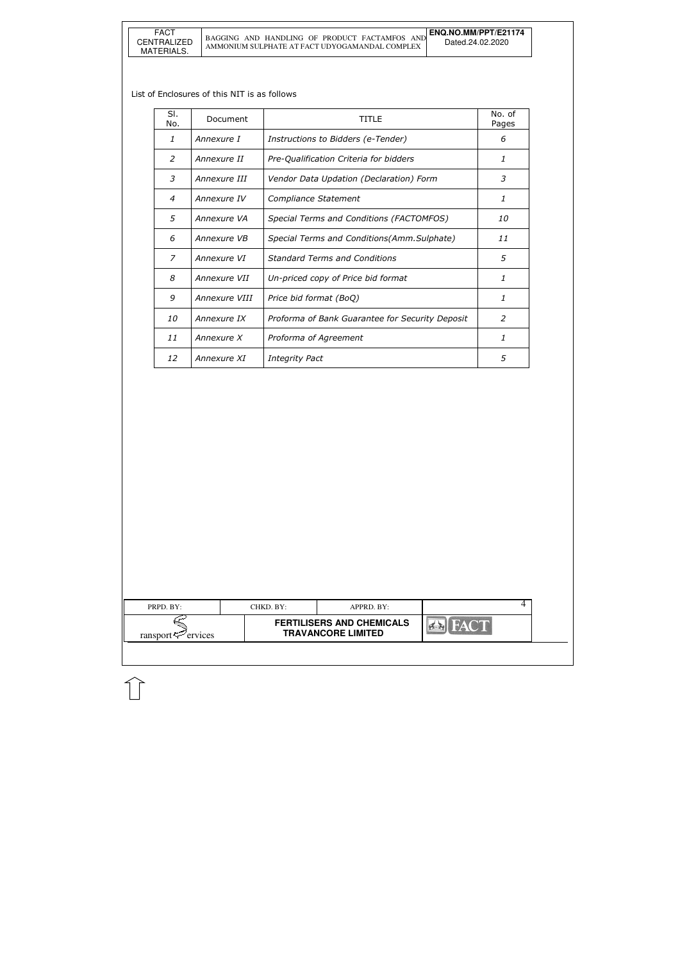| PRPD. BY:                  | CHKD. BY: | APPRD. BY:                                                    |                                              | 4 |  |
|----------------------------|-----------|---------------------------------------------------------------|----------------------------------------------|---|--|
| ransport $\approx$ ervices |           | <b>FERTILISERS AND CHEMICALS</b><br><b>TRAVANCORE LIMITED</b> | <b>FACT</b><br>$\left  \frac{d}{dx} \right $ |   |  |
|                            |           |                                                               |                                              |   |  |

### List of Enclosures of this NIT is as follows

| SI.<br>No. | Document      | TITI F                                          | No. of<br>Pages |
|------------|---------------|-------------------------------------------------|-----------------|
| 1          | Annexure I    | Instructions to Bidders (e-Tender)              | 6               |
| 2          | Annexure II   | Pre-Qualification Criteria for bidders          | 1               |
| 3          | Annexure III  | Vendor Data Updation (Declaration) Form         | 3               |
| 4          | Annexure IV   | Compliance Statement                            | 1               |
| 5          | Annexure VA   | Special Terms and Conditions (FACTOMFOS)        | <i>10</i>       |
| 6          | Annexure VB   | Special Terms and Conditions(Amm.Sulphate)      | 11              |
| 7          | Annexure VI   | <b>Standard Terms and Conditions</b>            | 5               |
| 8          | Annexure VII  | Un-priced copy of Price bid format              | 1               |
| 9          | Annexure VIII | Price bid format (BoQ)                          | 1               |
| 10         | Annexure IX   | Proforma of Bank Guarantee for Security Deposit | $\mathcal{P}$   |
| 11         | Annexure X    | Proforma of Agreement                           | 1               |
| 12         | Annexure XI   | <b>Integrity Pact</b>                           | 5               |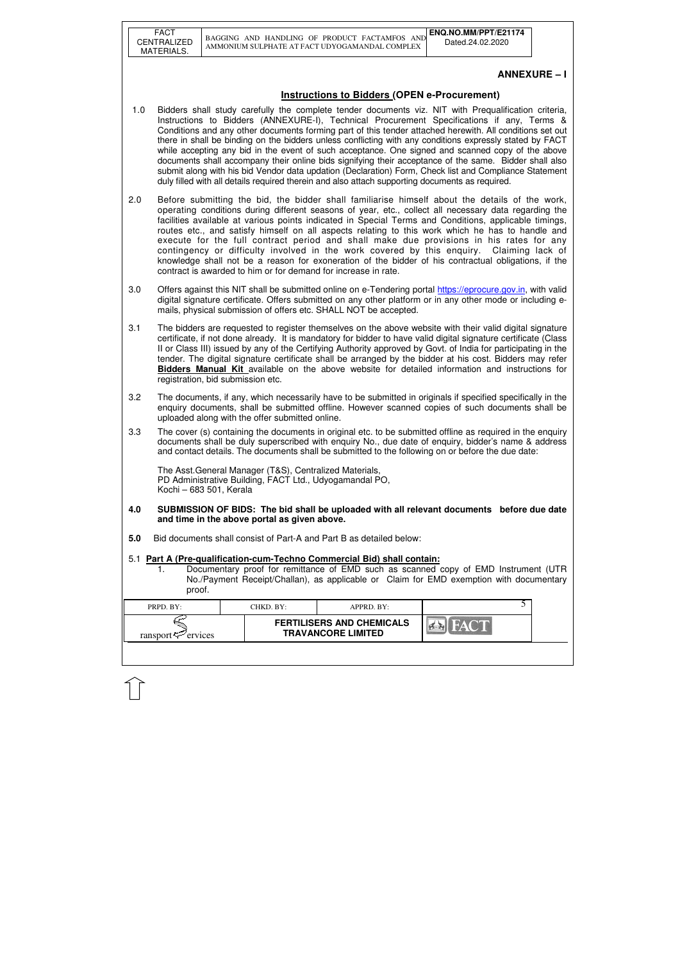| <b>FACT</b> |
|-------------|
| CENTRALIZED |
| MATERIALS.  |

| PRPD. BY:               | CHKD. BY:- | APPRD. BY:                                                    |  |
|-------------------------|------------|---------------------------------------------------------------|--|
| ransport $\leq$ ervices |            | <b>FERTILISERS AND CHEMICALS</b><br><b>TRAVANCORE LIMITED</b> |  |

# **ANNEXURE – I**

# **Instructions to Bidders (OPEN e-Procurement)**

- 1.0 Bidders shall study carefully the complete tender documents viz. NIT with Prequalification criteria, Instructions to Bidders (ANNEXURE-I), Technical Procurement Specifications if any, Terms & Conditions and any other documents forming part of this tender attached herewith. All conditions set out there in shall be binding on the bidders unless conflicting with any conditions expressly stated by FACT while accepting any bid in the event of such acceptance. One signed and scanned copy of the above documents shall accompany their online bids signifying their acceptance of the same. Bidder shall also submit along with his bid Vendor data updation (Declaration) Form, Check list and Compliance Statement duly filled with all details required therein and also attach supporting documents as required.
- 2.0 Before submitting the bid, the bidder shall familiarise himself about the details of the work, operating conditions during different seasons of year, etc., collect all necessary data regarding the facilities available at various points indicated in Special Terms and Conditions, applicable timings, routes etc., and satisfy himself on all aspects relating to this work which he has to handle and execute for the full contract period and shall make due provisions in his rates for any contingency or difficulty involved in the work covered by this enquiry. Claiming lack of knowledge shall not be a reason for exoneration of the bidder of his contractual obligations, if the contract is awarded to him or for demand for increase in rate.
- 3.0 Offers against this NIT shall be submitted online on e-Tendering portal https://eprocure.gov.in, with valid digital signature certificate. Offers submitted on any other platform or in any other mode or including emails, physical submission of offers etc. SHALL NOT be accepted.
- 3.1 The bidders are requested to register themselves on the above website with their valid digital signature certificate, if not done already. It is mandatory for bidder to have valid digital signature certificate (Class II or Class III) issued by any of the Certifying Authority approved by Govt. of India for participating in the tender. The digital signature certificate shall be arranged by the bidder at his cost. Bidders may refer **Bidders Manual Kit** available on the above website for detailed information and instructions for registration, bid submission etc.
- 3.2 The documents, if any, which necessarily have to be submitted in originals if specified specifically in the enquiry documents, shall be submitted offline. However scanned copies of such documents shall be uploaded along with the offer submitted online.
- 3.3 The cover (s) containing the documents in original etc. to be submitted offline as required in the enquiry documents shall be duly superscribed with enquiry No., due date of enquiry, bidder's name & address and contact details. The documents shall be submitted to the following on or before the due date:

Documentary proof for remittance of EMD such as scanned copy of EMD Instrument (UTR No./Payment Receipt/Challan), as applicable or Claim for EMD exemption with documentary proof.

The Asst.General Manager (T&S), Centralized Materials, PD Administrative Building, FACT Ltd., Udyogamandal PO, Kochi – 683 501, Kerala

- **4.0 SUBMISSION OF BIDS: The bid shall be uploaded with all relevant documents before due date and time in the above portal as given above.**
- **5.0** Bid documents shall consist of Part-A and Part B as detailed below:

### 5.1 **Part A (Pre-qualification-cum-Techno Commercial Bid) shall contain:**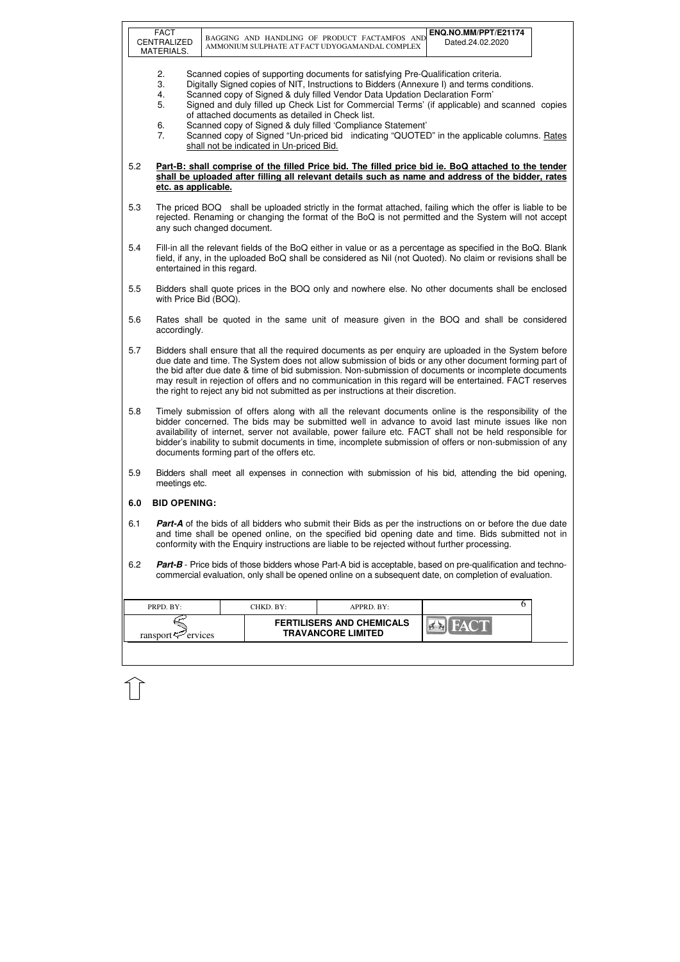|     | <b>FACT</b><br>CENTRALIZED<br>MATERIALS.                                                                                                                                                                                                                                                                                                                                                                                                                                                                                 |  |                                                                                              | BAGGING AND HANDLING OF PRODUCT FACTAMFOS AND<br>AMMONIUM SULPHATE AT FACT UDYOGAMANDAL COMPLEX                                                                                                                                 | ENQ.NO.MM/PPT/E21174<br>Dated.24.02.2020                                                                                                                                                                                                                                                  |  |
|-----|--------------------------------------------------------------------------------------------------------------------------------------------------------------------------------------------------------------------------------------------------------------------------------------------------------------------------------------------------------------------------------------------------------------------------------------------------------------------------------------------------------------------------|--|----------------------------------------------------------------------------------------------|---------------------------------------------------------------------------------------------------------------------------------------------------------------------------------------------------------------------------------|-------------------------------------------------------------------------------------------------------------------------------------------------------------------------------------------------------------------------------------------------------------------------------------------|--|
|     | 2.<br>3.<br>4.<br>5.<br>6.<br>7.                                                                                                                                                                                                                                                                                                                                                                                                                                                                                         |  | of attached documents as detailed in Check list.<br>shall not be indicated in Un-priced Bid. | Scanned copies of supporting documents for satisfying Pre-Qualification criteria.<br>Scanned copy of Signed & duly filled Vendor Data Updation Declaration Form'<br>Scanned copy of Signed & duly filled 'Compliance Statement' | Digitally Signed copies of NIT, Instructions to Bidders (Annexure I) and terms conditions.<br>Signed and duly filled up Check List for Commercial Terms' (if applicable) and scanned copies<br>Scanned copy of Signed "Un-priced bid indicating "QUOTED" in the applicable columns. Rates |  |
| 5.2 | etc. as applicable.                                                                                                                                                                                                                                                                                                                                                                                                                                                                                                      |  |                                                                                              |                                                                                                                                                                                                                                 | Part-B: shall comprise of the filled Price bid. The filled price bid ie. BoQ attached to the tender<br>shall be uploaded after filling all relevant details such as name and address of the bidder, rates                                                                                 |  |
| 5.3 | any such changed document.                                                                                                                                                                                                                                                                                                                                                                                                                                                                                               |  |                                                                                              |                                                                                                                                                                                                                                 | The priced BOQ shall be uploaded strictly in the format attached, failing which the offer is liable to be<br>rejected. Renaming or changing the format of the BoQ is not permitted and the System will not accept                                                                         |  |
| 5.4 | Fill-in all the relevant fields of the BoQ either in value or as a percentage as specified in the BoQ. Blank<br>field, if any, in the uploaded BoQ shall be considered as Nil (not Quoted). No claim or revisions shall be<br>entertained in this regard.                                                                                                                                                                                                                                                                |  |                                                                                              |                                                                                                                                                                                                                                 |                                                                                                                                                                                                                                                                                           |  |
| 5.5 | with Price Bid (BOQ).                                                                                                                                                                                                                                                                                                                                                                                                                                                                                                    |  |                                                                                              |                                                                                                                                                                                                                                 | Bidders shall quote prices in the BOQ only and nowhere else. No other documents shall be enclosed                                                                                                                                                                                         |  |
| 5.6 | accordingly.                                                                                                                                                                                                                                                                                                                                                                                                                                                                                                             |  |                                                                                              |                                                                                                                                                                                                                                 | Rates shall be quoted in the same unit of measure given in the BOQ and shall be considered                                                                                                                                                                                                |  |
| 5.7 | Bidders shall ensure that all the required documents as per enquiry are uploaded in the System before<br>due date and time. The System does not allow submission of bids or any other document forming part of<br>the bid after due date & time of bid submission. Non-submission of documents or incomplete documents<br>may result in rejection of offers and no communication in this regard will be entertained. FACT reserves<br>the right to reject any bid not submitted as per instructions at their discretion. |  |                                                                                              |                                                                                                                                                                                                                                 |                                                                                                                                                                                                                                                                                           |  |
| 5.8 | Timely submission of offers along with all the relevant documents online is the responsibility of the<br>bidder concerned. The bids may be submitted well in advance to avoid last minute issues like non<br>availability of internet, server not available, power failure etc. FACT shall not be held responsible for<br>bidder's inability to submit documents in time, incomplete submission of offers or non-submission of any<br>documents forming part of the offers etc.                                          |  |                                                                                              |                                                                                                                                                                                                                                 |                                                                                                                                                                                                                                                                                           |  |
| 5.9 | Bidders shall meet all expenses in connection with submission of his bid, attending the bid opening,<br>meetings etc.                                                                                                                                                                                                                                                                                                                                                                                                    |  |                                                                                              |                                                                                                                                                                                                                                 |                                                                                                                                                                                                                                                                                           |  |
| 6.0 | <b>BID OPENING:</b>                                                                                                                                                                                                                                                                                                                                                                                                                                                                                                      |  |                                                                                              |                                                                                                                                                                                                                                 |                                                                                                                                                                                                                                                                                           |  |
| 6.1 |                                                                                                                                                                                                                                                                                                                                                                                                                                                                                                                          |  |                                                                                              | conformity with the Enquiry instructions are liable to be rejected without further processing.                                                                                                                                  | <b>Part-A</b> of the bids of all bidders who submit their Bids as per the instructions on or before the due date<br>and time shall be opened online, on the specified bid opening date and time. Bids submitted not in                                                                    |  |
| 6.2 |                                                                                                                                                                                                                                                                                                                                                                                                                                                                                                                          |  |                                                                                              |                                                                                                                                                                                                                                 | Part-B - Price bids of those bidders whose Part-A bid is acceptable, based on pre-qualification and techno-<br>commercial evaluation, only shall be opened online on a subsequent date, on completion of evaluation.                                                                      |  |
|     | PRPD. BY:                                                                                                                                                                                                                                                                                                                                                                                                                                                                                                                |  | CHKD. BY:                                                                                    | APPRD. BY:                                                                                                                                                                                                                      | 6                                                                                                                                                                                                                                                                                         |  |
|     | ransport <sup>-</sup> ervices                                                                                                                                                                                                                                                                                                                                                                                                                                                                                            |  |                                                                                              | <b>FERTILISERS AND CHEMICALS</b><br><b>TRAVANCORE LIMITED</b>                                                                                                                                                                   |                                                                                                                                                                                                                                                                                           |  |
|     |                                                                                                                                                                                                                                                                                                                                                                                                                                                                                                                          |  |                                                                                              |                                                                                                                                                                                                                                 |                                                                                                                                                                                                                                                                                           |  |

 $\hat{1}$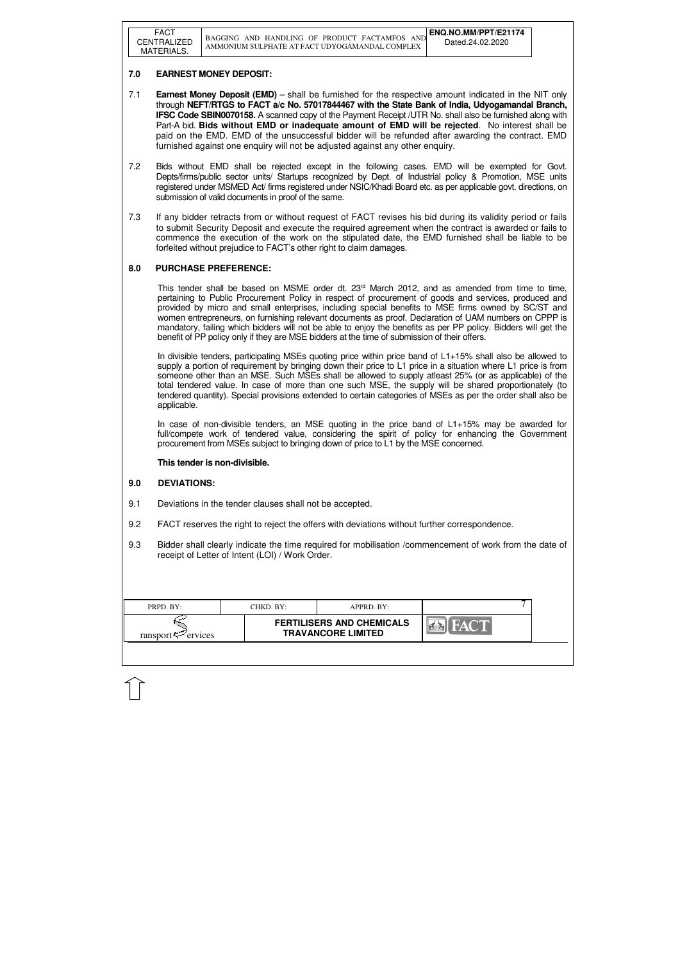| <b>FACT</b><br>CENTRALIZED<br>MATERIALS. | ENQ.NO.MM/PPT/E21174<br>BAGGING AND HANDLING OF PRODUCT FACTAMFOS<br>AND<br>Dated.24.02.2020<br>AMMONIUM SULPHATE AT FACT UDYOGAMANDAL COMPLEX |
|------------------------------------------|------------------------------------------------------------------------------------------------------------------------------------------------|
|------------------------------------------|------------------------------------------------------------------------------------------------------------------------------------------------|

| PRPD. BY:               | CHKD. BY: | $APPRD$ . BY:                                                 |  |
|-------------------------|-----------|---------------------------------------------------------------|--|
| ransport $\leq$ ervices |           | <b>FERTILISERS AND CHEMICALS</b><br><b>TRAVANCORE LIMITED</b> |  |

## **7.0 EARNEST MONEY DEPOSIT:**

- 7.1 **Earnest Money Deposit (EMD)** shall be furnished for the respective amount indicated in the NIT only through **NEFT/RTGS to FACT a/c No. 57017844467 with the State Bank of India, Udyogamandal Branch, IFSC Code SBIN0070158.** A scanned copy of the Payment Receipt /UTR No. shall also be furnished along with Part-A bid. **Bids without EMD or inadequate amount of EMD will be rejected**. No interest shall be paid on the EMD. EMD of the unsuccessful bidder will be refunded after awarding the contract. EMD furnished against one enquiry will not be adjusted against any other enquiry.
- 7.2 Bids without EMD shall be rejected except in the following cases. EMD will be exempted for Govt. Depts/firms/public sector units/ Startups recognized by Dept. of Industrial policy & Promotion, MSE units registered under MSMED Act/ firms registered under NSIC/Khadi Board etc. as per applicable govt. directions, on submission of valid documents in proof of the same.
- 7.3 If any bidder retracts from or without request of FACT revises his bid during its validity period or fails to submit Security Deposit and execute the required agreement when the contract is awarded or fails to commence the execution of the work on the stipulated date, the EMD furnished shall be liable to be forfeited without prejudice to FACT's other right to claim damages.

This tender shall be based on MSME order dt.  $23<sup>rd</sup>$  March 2012, and as amended from time to time, pertaining to Public Procurement Policy in respect of procurement of goods and services, produced and provided by micro and small enterprises, including special benefits to MSE firms owned by SC/ST and women entrepreneurs, on furnishing relevant documents as proof. Declaration of UAM numbers on CPPP is mandatory, failing which bidders will not be able to enjoy the benefits as per PP policy. Bidders will get the benefit of PP policy only if they are MSE bidders at the time of submission of their offers.

In case of non-divisible tenders, an MSE quoting in the price band of  $L1+15%$  may be awarded for full/compete work of tendered value, considering the spirit of policy for enhancing the Government procurement from MSEs subject to bringing down of price to L1 by the MSE concerned.

## **8.0 PURCHASE PREFERENCE:**

In divisible tenders, participating MSEs quoting price within price band of L1+15% shall also be allowed to supply a portion of requirement by bringing down their price to L1 price in a situation where L1 price is from someone other than an MSE. Such MSEs shall be allowed to supply atleast 25% (or as applicable) of the total tendered value. In case of more than one such MSE, the supply will be shared proportionately (to tendered quantity). Special provisions extended to certain categories of MSEs as per the order shall also be applicable.

### **This tender is non-divisible.**

### **9.0 DEVIATIONS:**

- 9.1 Deviations in the tender clauses shall not be accepted.
- 9.2 FACT reserves the right to reject the offers with deviations without further correspondence.
- 9.3 Bidder shall clearly indicate the time required for mobilisation /commencement of work from the date of receipt of Letter of Intent (LOI) / Work Order.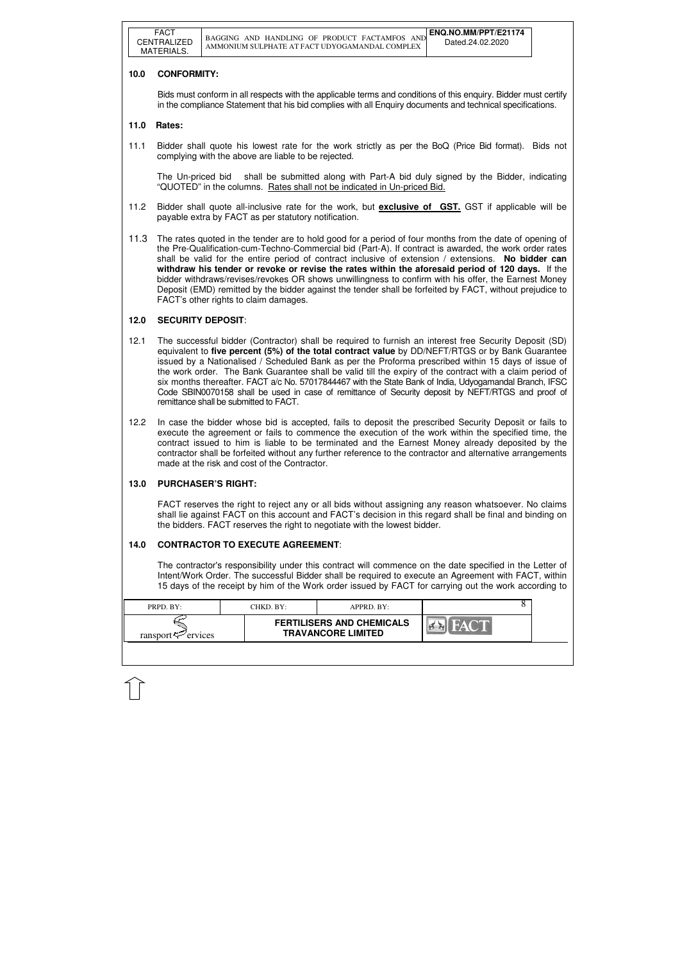| PRPD. BY:               | CHKD. BY: | $APPRD$ . BY:                                                 |  |
|-------------------------|-----------|---------------------------------------------------------------|--|
| ransport $\leq$ ervices |           | <b>FERTILISERS AND CHEMICALS</b><br><b>TRAVANCORE LIMITED</b> |  |

## **10.0 CONFORMITY:**

The Un-priced bid shall be submitted along with Part-A bid duly signed by the Bidder, indicating "QUOTED" in the columns. Rates shall not be indicated in Un-priced Bid.

Bids must conform in all respects with the applicable terms and conditions of this enquiry. Bidder must certify in the compliance Statement that his bid complies with all Enquiry documents and technical specifications.

### **11.0 Rates:**

11.1 Bidder shall quote his lowest rate for the work strictly as per the BoQ (Price Bid format). Bids not complying with the above are liable to be rejected.

- 11.2 Bidder shall quote all-inclusive rate for the work, but **exclusive of GST.** GST if applicable will be payable extra by FACT as per statutory notification.
- 11.3 The rates quoted in the tender are to hold good for a period of four months from the date of opening of the Pre-Qualification-cum-Techno-Commercial bid (Part-A). If contract is awarded, the work order rates shall be valid for the entire period of contract inclusive of extension / extensions. **No bidder can withdraw his tender or revoke or revise the rates within the aforesaid period of 120 days.** If the bidder withdraws/revises/revokes OR shows unwillingness to confirm with his offer, the Earnest Money Deposit (EMD) remitted by the bidder against the tender shall be forfeited by FACT, without prejudice to FACT's other rights to claim damages.

## **12.0 SECURITY DEPOSIT**:

- 12.1 The successful bidder (Contractor) shall be required to furnish an interest free Security Deposit (SD) equivalent to **five percent (5%) of the total contract value** by DD/NEFT/RTGS or by Bank Guarantee issued by a Nationalised / Scheduled Bank as per the Proforma prescribed within 15 days of issue of the work order. The Bank Guarantee shall be valid till the expiry of the contract with a claim period of six months thereafter. FACT a/c No. 57017844467 with the State Bank of India, Udyogamandal Branch, IFSC Code SBIN0070158 shall be used in case of remittance of Security deposit by NEFT/RTGS and proof of remittance shall be submitted to FACT.
- 12.2 In case the bidder whose bid is accepted, fails to deposit the prescribed Security Deposit or fails to execute the agreement or fails to commence the execution of the work within the specified time, the contract issued to him is liable to be terminated and the Earnest Money already deposited by the contractor shall be forfeited without any further reference to the contractor and alternative arrangements made at the risk and cost of the Contractor.

## **13.0 PURCHASER'S RIGHT:**

 FACT reserves the right to reject any or all bids without assigning any reason whatsoever. No claims shall lie against FACT on this account and FACT's decision in this regard shall be final and binding on the bidders. FACT reserves the right to negotiate with the lowest bidder.

## **14.0 CONTRACTOR TO EXECUTE AGREEMENT**:

 The contractor's responsibility under this contract will commence on the date specified in the Letter of Intent/Work Order. The successful Bidder shall be required to execute an Agreement with FACT, within 15 days of the receipt by him of the Work order issued by FACT for carrying out the work according to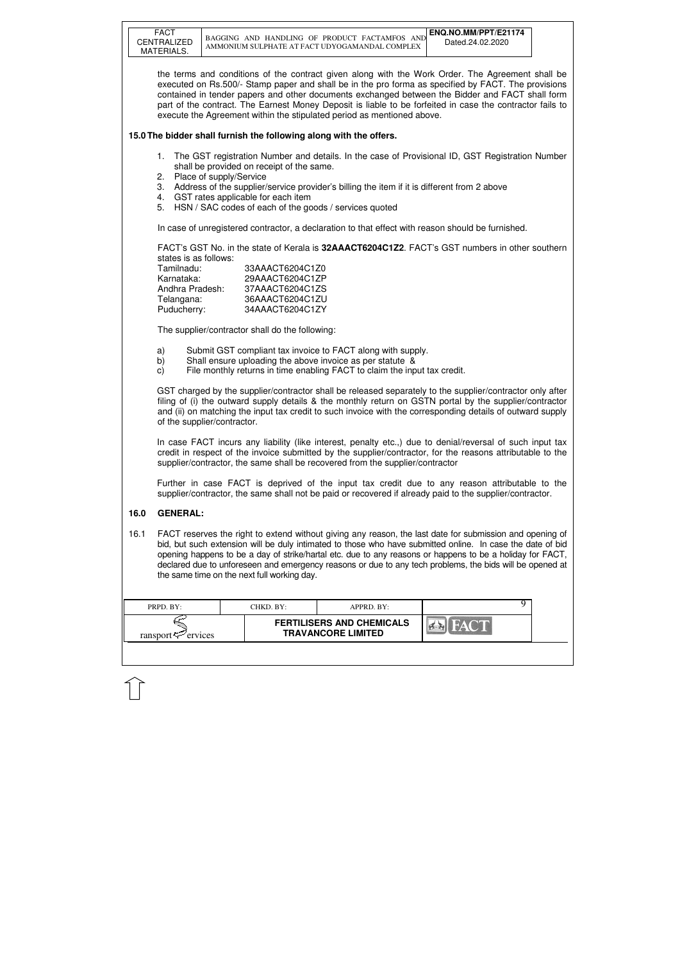| the terms and conditions of the contract given along with the Work Order. The Agreement shall be<br>executed on Rs.500/- Stamp paper and shall be in the pro forma as specified by FACT. The provisions<br>contained in tender papers and other documents exchanged between the Bidder and FACT shall form<br>part of the contract. The Earnest Money Deposit is liable to be forfeited in case the contractor fails to<br>execute the Agreement within the stipulated period as mentioned above.<br>15.0 The bidder shall furnish the following along with the offers.<br>The GST registration Number and details. In the case of Provisional ID, GST Registration Number<br>1.<br>shall be provided on receipt of the same.<br>Place of supply/Service<br>2.<br>Address of the supplier/service provider's billing the item if it is different from 2 above<br>3.<br>GST rates applicable for each item<br>4.<br>HSN / SAC codes of each of the goods / services quoted<br>5.<br>In case of unregistered contractor, a declaration to that effect with reason should be furnished.<br>FACT's GST No. in the state of Kerala is 32AAACT6204C1Z2. FACT's GST numbers in other southern<br>states is as follows:<br>Tamilnadu:<br>33AAACT6204C1Z0<br>29AAACT6204C1ZP<br>Karnataka:<br>Andhra Pradesh:<br>37AAACT6204C1ZS<br>36AAACT6204C1ZU<br>Telangana:<br>Puducherry:<br>34AAACT6204C1ZY<br>The supplier/contractor shall do the following:<br>Submit GST compliant tax invoice to FACT along with supply.<br>a)<br>Shall ensure uploading the above invoice as per statute &<br>b)<br>File monthly returns in time enabling FACT to claim the input tax credit.<br>$\mathbf{c}$<br>GST charged by the supplier/contractor shall be released separately to the supplier/contractor only after<br>filing of (i) the outward supply details & the monthly return on GSTN portal by the supplier/contractor<br>and (ii) on matching the input tax credit to such invoice with the corresponding details of outward supply<br>of the supplier/contractor.<br>In case FACT incurs any liability (like interest, penalty etc.,) due to denial/reversal of such input tax<br>credit in respect of the invoice submitted by the supplier/contractor, for the reasons attributable to the<br>supplier/contractor, the same shall be recovered from the supplier/contractor<br>Further in case FACT is deprived of the input tax credit due to any reason attributable to the<br>supplier/contractor, the same shall not be paid or recovered if already paid to the supplier/contractor.<br><b>GENERAL:</b><br>16.0<br>16.1<br>FACT reserves the right to extend without giving any reason, the last date for submission and opening of<br>bid, but such extension will be duly intimated to those who have submitted online. In case the date of bid<br>opening happens to be a day of strike/hartal etc. due to any reasons or happens to be a holiday for FACT,<br>declared due to unforeseen and emergency reasons or due to any tech problems, the bids will be opened at<br>the same time on the next full working day.<br>9<br>PRPD. BY:<br>CHKD. BY:<br>APPRD. BY:<br><b>FERTILISERS AND CHEMICALS</b><br><b>TRAVANCORE LIMITED</b><br>ransport <sup>52</sup> ervices | <b>FACT</b><br>CENTRALIZED<br>MATERIALS. |  | BAGGING AND HANDLING OF PRODUCT FACTAMFOS AND<br>AMMONIUM SULPHATE AT FACT UDYOGAMANDAL COMPLEX | ENQ.NO.MM/PPT/E21174<br>Dated.24.02.2020 |
|------------------------------------------------------------------------------------------------------------------------------------------------------------------------------------------------------------------------------------------------------------------------------------------------------------------------------------------------------------------------------------------------------------------------------------------------------------------------------------------------------------------------------------------------------------------------------------------------------------------------------------------------------------------------------------------------------------------------------------------------------------------------------------------------------------------------------------------------------------------------------------------------------------------------------------------------------------------------------------------------------------------------------------------------------------------------------------------------------------------------------------------------------------------------------------------------------------------------------------------------------------------------------------------------------------------------------------------------------------------------------------------------------------------------------------------------------------------------------------------------------------------------------------------------------------------------------------------------------------------------------------------------------------------------------------------------------------------------------------------------------------------------------------------------------------------------------------------------------------------------------------------------------------------------------------------------------------------------------------------------------------------------------------------------------------------------------------------------------------------------------------------------------------------------------------------------------------------------------------------------------------------------------------------------------------------------------------------------------------------------------------------------------------------------------------------------------------------------------------------------------------------------------------------------------------------------------------------------------------------------------------------------------------------------------------------------------------------------------------------------------------------------------------------------------------------------------------------------------------------------------------------------------------------------------------------------------------------------------------------------------------------------------------------------------------------------------------------------------------------------------------------------------------------------------------------------------------------------------------------------------------------------|------------------------------------------|--|-------------------------------------------------------------------------------------------------|------------------------------------------|
|                                                                                                                                                                                                                                                                                                                                                                                                                                                                                                                                                                                                                                                                                                                                                                                                                                                                                                                                                                                                                                                                                                                                                                                                                                                                                                                                                                                                                                                                                                                                                                                                                                                                                                                                                                                                                                                                                                                                                                                                                                                                                                                                                                                                                                                                                                                                                                                                                                                                                                                                                                                                                                                                                                                                                                                                                                                                                                                                                                                                                                                                                                                                                                                                                                                                        |                                          |  |                                                                                                 |                                          |
|                                                                                                                                                                                                                                                                                                                                                                                                                                                                                                                                                                                                                                                                                                                                                                                                                                                                                                                                                                                                                                                                                                                                                                                                                                                                                                                                                                                                                                                                                                                                                                                                                                                                                                                                                                                                                                                                                                                                                                                                                                                                                                                                                                                                                                                                                                                                                                                                                                                                                                                                                                                                                                                                                                                                                                                                                                                                                                                                                                                                                                                                                                                                                                                                                                                                        |                                          |  |                                                                                                 |                                          |
|                                                                                                                                                                                                                                                                                                                                                                                                                                                                                                                                                                                                                                                                                                                                                                                                                                                                                                                                                                                                                                                                                                                                                                                                                                                                                                                                                                                                                                                                                                                                                                                                                                                                                                                                                                                                                                                                                                                                                                                                                                                                                                                                                                                                                                                                                                                                                                                                                                                                                                                                                                                                                                                                                                                                                                                                                                                                                                                                                                                                                                                                                                                                                                                                                                                                        |                                          |  |                                                                                                 |                                          |
|                                                                                                                                                                                                                                                                                                                                                                                                                                                                                                                                                                                                                                                                                                                                                                                                                                                                                                                                                                                                                                                                                                                                                                                                                                                                                                                                                                                                                                                                                                                                                                                                                                                                                                                                                                                                                                                                                                                                                                                                                                                                                                                                                                                                                                                                                                                                                                                                                                                                                                                                                                                                                                                                                                                                                                                                                                                                                                                                                                                                                                                                                                                                                                                                                                                                        |                                          |  |                                                                                                 |                                          |
|                                                                                                                                                                                                                                                                                                                                                                                                                                                                                                                                                                                                                                                                                                                                                                                                                                                                                                                                                                                                                                                                                                                                                                                                                                                                                                                                                                                                                                                                                                                                                                                                                                                                                                                                                                                                                                                                                                                                                                                                                                                                                                                                                                                                                                                                                                                                                                                                                                                                                                                                                                                                                                                                                                                                                                                                                                                                                                                                                                                                                                                                                                                                                                                                                                                                        |                                          |  |                                                                                                 |                                          |
|                                                                                                                                                                                                                                                                                                                                                                                                                                                                                                                                                                                                                                                                                                                                                                                                                                                                                                                                                                                                                                                                                                                                                                                                                                                                                                                                                                                                                                                                                                                                                                                                                                                                                                                                                                                                                                                                                                                                                                                                                                                                                                                                                                                                                                                                                                                                                                                                                                                                                                                                                                                                                                                                                                                                                                                                                                                                                                                                                                                                                                                                                                                                                                                                                                                                        |                                          |  |                                                                                                 |                                          |
|                                                                                                                                                                                                                                                                                                                                                                                                                                                                                                                                                                                                                                                                                                                                                                                                                                                                                                                                                                                                                                                                                                                                                                                                                                                                                                                                                                                                                                                                                                                                                                                                                                                                                                                                                                                                                                                                                                                                                                                                                                                                                                                                                                                                                                                                                                                                                                                                                                                                                                                                                                                                                                                                                                                                                                                                                                                                                                                                                                                                                                                                                                                                                                                                                                                                        |                                          |  |                                                                                                 |                                          |
|                                                                                                                                                                                                                                                                                                                                                                                                                                                                                                                                                                                                                                                                                                                                                                                                                                                                                                                                                                                                                                                                                                                                                                                                                                                                                                                                                                                                                                                                                                                                                                                                                                                                                                                                                                                                                                                                                                                                                                                                                                                                                                                                                                                                                                                                                                                                                                                                                                                                                                                                                                                                                                                                                                                                                                                                                                                                                                                                                                                                                                                                                                                                                                                                                                                                        |                                          |  |                                                                                                 |                                          |
|                                                                                                                                                                                                                                                                                                                                                                                                                                                                                                                                                                                                                                                                                                                                                                                                                                                                                                                                                                                                                                                                                                                                                                                                                                                                                                                                                                                                                                                                                                                                                                                                                                                                                                                                                                                                                                                                                                                                                                                                                                                                                                                                                                                                                                                                                                                                                                                                                                                                                                                                                                                                                                                                                                                                                                                                                                                                                                                                                                                                                                                                                                                                                                                                                                                                        |                                          |  |                                                                                                 |                                          |
|                                                                                                                                                                                                                                                                                                                                                                                                                                                                                                                                                                                                                                                                                                                                                                                                                                                                                                                                                                                                                                                                                                                                                                                                                                                                                                                                                                                                                                                                                                                                                                                                                                                                                                                                                                                                                                                                                                                                                                                                                                                                                                                                                                                                                                                                                                                                                                                                                                                                                                                                                                                                                                                                                                                                                                                                                                                                                                                                                                                                                                                                                                                                                                                                                                                                        |                                          |  |                                                                                                 |                                          |
|                                                                                                                                                                                                                                                                                                                                                                                                                                                                                                                                                                                                                                                                                                                                                                                                                                                                                                                                                                                                                                                                                                                                                                                                                                                                                                                                                                                                                                                                                                                                                                                                                                                                                                                                                                                                                                                                                                                                                                                                                                                                                                                                                                                                                                                                                                                                                                                                                                                                                                                                                                                                                                                                                                                                                                                                                                                                                                                                                                                                                                                                                                                                                                                                                                                                        |                                          |  |                                                                                                 |                                          |
|                                                                                                                                                                                                                                                                                                                                                                                                                                                                                                                                                                                                                                                                                                                                                                                                                                                                                                                                                                                                                                                                                                                                                                                                                                                                                                                                                                                                                                                                                                                                                                                                                                                                                                                                                                                                                                                                                                                                                                                                                                                                                                                                                                                                                                                                                                                                                                                                                                                                                                                                                                                                                                                                                                                                                                                                                                                                                                                                                                                                                                                                                                                                                                                                                                                                        |                                          |  |                                                                                                 |                                          |
|                                                                                                                                                                                                                                                                                                                                                                                                                                                                                                                                                                                                                                                                                                                                                                                                                                                                                                                                                                                                                                                                                                                                                                                                                                                                                                                                                                                                                                                                                                                                                                                                                                                                                                                                                                                                                                                                                                                                                                                                                                                                                                                                                                                                                                                                                                                                                                                                                                                                                                                                                                                                                                                                                                                                                                                                                                                                                                                                                                                                                                                                                                                                                                                                                                                                        |                                          |  |                                                                                                 |                                          |
|                                                                                                                                                                                                                                                                                                                                                                                                                                                                                                                                                                                                                                                                                                                                                                                                                                                                                                                                                                                                                                                                                                                                                                                                                                                                                                                                                                                                                                                                                                                                                                                                                                                                                                                                                                                                                                                                                                                                                                                                                                                                                                                                                                                                                                                                                                                                                                                                                                                                                                                                                                                                                                                                                                                                                                                                                                                                                                                                                                                                                                                                                                                                                                                                                                                                        |                                          |  |                                                                                                 |                                          |
|                                                                                                                                                                                                                                                                                                                                                                                                                                                                                                                                                                                                                                                                                                                                                                                                                                                                                                                                                                                                                                                                                                                                                                                                                                                                                                                                                                                                                                                                                                                                                                                                                                                                                                                                                                                                                                                                                                                                                                                                                                                                                                                                                                                                                                                                                                                                                                                                                                                                                                                                                                                                                                                                                                                                                                                                                                                                                                                                                                                                                                                                                                                                                                                                                                                                        |                                          |  |                                                                                                 |                                          |
|                                                                                                                                                                                                                                                                                                                                                                                                                                                                                                                                                                                                                                                                                                                                                                                                                                                                                                                                                                                                                                                                                                                                                                                                                                                                                                                                                                                                                                                                                                                                                                                                                                                                                                                                                                                                                                                                                                                                                                                                                                                                                                                                                                                                                                                                                                                                                                                                                                                                                                                                                                                                                                                                                                                                                                                                                                                                                                                                                                                                                                                                                                                                                                                                                                                                        |                                          |  |                                                                                                 |                                          |
|                                                                                                                                                                                                                                                                                                                                                                                                                                                                                                                                                                                                                                                                                                                                                                                                                                                                                                                                                                                                                                                                                                                                                                                                                                                                                                                                                                                                                                                                                                                                                                                                                                                                                                                                                                                                                                                                                                                                                                                                                                                                                                                                                                                                                                                                                                                                                                                                                                                                                                                                                                                                                                                                                                                                                                                                                                                                                                                                                                                                                                                                                                                                                                                                                                                                        |                                          |  |                                                                                                 |                                          |
|                                                                                                                                                                                                                                                                                                                                                                                                                                                                                                                                                                                                                                                                                                                                                                                                                                                                                                                                                                                                                                                                                                                                                                                                                                                                                                                                                                                                                                                                                                                                                                                                                                                                                                                                                                                                                                                                                                                                                                                                                                                                                                                                                                                                                                                                                                                                                                                                                                                                                                                                                                                                                                                                                                                                                                                                                                                                                                                                                                                                                                                                                                                                                                                                                                                                        |                                          |  |                                                                                                 |                                          |
|                                                                                                                                                                                                                                                                                                                                                                                                                                                                                                                                                                                                                                                                                                                                                                                                                                                                                                                                                                                                                                                                                                                                                                                                                                                                                                                                                                                                                                                                                                                                                                                                                                                                                                                                                                                                                                                                                                                                                                                                                                                                                                                                                                                                                                                                                                                                                                                                                                                                                                                                                                                                                                                                                                                                                                                                                                                                                                                                                                                                                                                                                                                                                                                                                                                                        |                                          |  |                                                                                                 |                                          |
|                                                                                                                                                                                                                                                                                                                                                                                                                                                                                                                                                                                                                                                                                                                                                                                                                                                                                                                                                                                                                                                                                                                                                                                                                                                                                                                                                                                                                                                                                                                                                                                                                                                                                                                                                                                                                                                                                                                                                                                                                                                                                                                                                                                                                                                                                                                                                                                                                                                                                                                                                                                                                                                                                                                                                                                                                                                                                                                                                                                                                                                                                                                                                                                                                                                                        |                                          |  |                                                                                                 |                                          |
|                                                                                                                                                                                                                                                                                                                                                                                                                                                                                                                                                                                                                                                                                                                                                                                                                                                                                                                                                                                                                                                                                                                                                                                                                                                                                                                                                                                                                                                                                                                                                                                                                                                                                                                                                                                                                                                                                                                                                                                                                                                                                                                                                                                                                                                                                                                                                                                                                                                                                                                                                                                                                                                                                                                                                                                                                                                                                                                                                                                                                                                                                                                                                                                                                                                                        |                                          |  |                                                                                                 |                                          |
|                                                                                                                                                                                                                                                                                                                                                                                                                                                                                                                                                                                                                                                                                                                                                                                                                                                                                                                                                                                                                                                                                                                                                                                                                                                                                                                                                                                                                                                                                                                                                                                                                                                                                                                                                                                                                                                                                                                                                                                                                                                                                                                                                                                                                                                                                                                                                                                                                                                                                                                                                                                                                                                                                                                                                                                                                                                                                                                                                                                                                                                                                                                                                                                                                                                                        |                                          |  |                                                                                                 |                                          |
|                                                                                                                                                                                                                                                                                                                                                                                                                                                                                                                                                                                                                                                                                                                                                                                                                                                                                                                                                                                                                                                                                                                                                                                                                                                                                                                                                                                                                                                                                                                                                                                                                                                                                                                                                                                                                                                                                                                                                                                                                                                                                                                                                                                                                                                                                                                                                                                                                                                                                                                                                                                                                                                                                                                                                                                                                                                                                                                                                                                                                                                                                                                                                                                                                                                                        |                                          |  |                                                                                                 |                                          |
|                                                                                                                                                                                                                                                                                                                                                                                                                                                                                                                                                                                                                                                                                                                                                                                                                                                                                                                                                                                                                                                                                                                                                                                                                                                                                                                                                                                                                                                                                                                                                                                                                                                                                                                                                                                                                                                                                                                                                                                                                                                                                                                                                                                                                                                                                                                                                                                                                                                                                                                                                                                                                                                                                                                                                                                                                                                                                                                                                                                                                                                                                                                                                                                                                                                                        |                                          |  |                                                                                                 |                                          |
|                                                                                                                                                                                                                                                                                                                                                                                                                                                                                                                                                                                                                                                                                                                                                                                                                                                                                                                                                                                                                                                                                                                                                                                                                                                                                                                                                                                                                                                                                                                                                                                                                                                                                                                                                                                                                                                                                                                                                                                                                                                                                                                                                                                                                                                                                                                                                                                                                                                                                                                                                                                                                                                                                                                                                                                                                                                                                                                                                                                                                                                                                                                                                                                                                                                                        |                                          |  |                                                                                                 |                                          |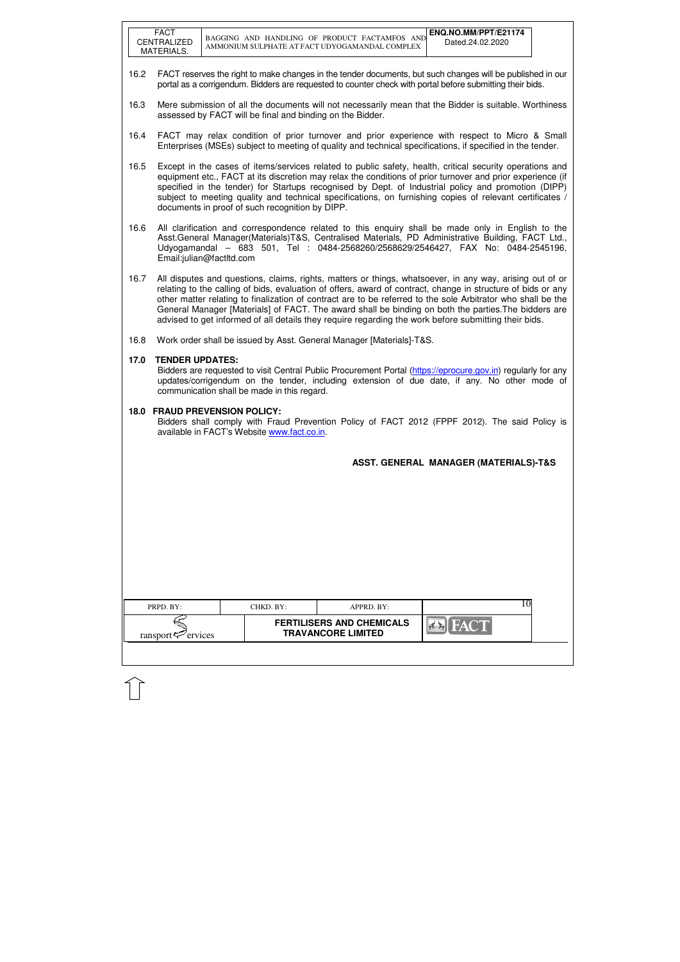|      | <b>FACT</b><br>CENTRALIZED<br>MATERIALS.                                                                                                                                                                                                                                                                                                                                                                                                                                                                                                                 |  |                                                           | BAGGING AND HANDLING OF PRODUCT FACTAMFOS AND<br>AMMONIUM SULPHATE AT FACT UDYOGAMANDAL COMPLEX                                                                                                                         | ENQ.NO.MM/PPT/E21174<br>Dated.24.02.2020         |  |  |  |  |
|------|----------------------------------------------------------------------------------------------------------------------------------------------------------------------------------------------------------------------------------------------------------------------------------------------------------------------------------------------------------------------------------------------------------------------------------------------------------------------------------------------------------------------------------------------------------|--|-----------------------------------------------------------|-------------------------------------------------------------------------------------------------------------------------------------------------------------------------------------------------------------------------|--------------------------------------------------|--|--|--|--|
| 16.2 |                                                                                                                                                                                                                                                                                                                                                                                                                                                                                                                                                          |  |                                                           | FACT reserves the right to make changes in the tender documents, but such changes will be published in our<br>portal as a corrigendum. Bidders are requested to counter check with portal before submitting their bids. |                                                  |  |  |  |  |
| 16.3 |                                                                                                                                                                                                                                                                                                                                                                                                                                                                                                                                                          |  | assessed by FACT will be final and binding on the Bidder. | Mere submission of all the documents will not necessarily mean that the Bidder is suitable. Worthiness                                                                                                                  |                                                  |  |  |  |  |
| 16.4 | FACT may relax condition of prior turnover and prior experience with respect to Micro & Small<br>Enterprises (MSEs) subject to meeting of quality and technical specifications, if specified in the tender.                                                                                                                                                                                                                                                                                                                                              |  |                                                           |                                                                                                                                                                                                                         |                                                  |  |  |  |  |
| 16.5 | Except in the cases of items/services related to public safety, health, critical security operations and<br>equipment etc., FACT at its discretion may relax the conditions of prior turnover and prior experience (if<br>specified in the tender) for Startups recognised by Dept. of Industrial policy and promotion (DIPP)<br>subject to meeting quality and technical specifications, on furnishing copies of relevant certificates /<br>documents in proof of such recognition by DIPP.                                                             |  |                                                           |                                                                                                                                                                                                                         |                                                  |  |  |  |  |
| 16.6 | All clarification and correspondence related to this enguiry shall be made only in English to the<br>Asst.General Manager(Materials)T&S, Centralised Materials, PD Administrative Building, FACT Ltd.,<br>Udyogamandal - 683 501, Tel : 0484-2568260/2568629/2546427, FAX No: 0484-2545196,<br>Email:julian@factltd.com                                                                                                                                                                                                                                  |  |                                                           |                                                                                                                                                                                                                         |                                                  |  |  |  |  |
| 16.7 | All disputes and questions, claims, rights, matters or things, whatsoever, in any way, arising out of or<br>relating to the calling of bids, evaluation of offers, award of contract, change in structure of bids or any<br>other matter relating to finalization of contract are to be referred to the sole Arbitrator who shall be the<br>General Manager [Materials] of FACT. The award shall be binding on both the parties. The bidders are<br>advised to get informed of all details they require regarding the work before submitting their bids. |  |                                                           |                                                                                                                                                                                                                         |                                                  |  |  |  |  |
| 16.8 |                                                                                                                                                                                                                                                                                                                                                                                                                                                                                                                                                          |  |                                                           | Work order shall be issued by Asst. General Manager [Materials]-T&S.                                                                                                                                                    |                                                  |  |  |  |  |
| 17.0 | <b>TENDER UPDATES:</b><br>Bidders are requested to visit Central Public Procurement Portal (https://eprocure.gov.in) regularly for any<br>updates/corrigendum on the tender, including extension of due date, if any. No other mode of<br>communication shall be made in this regard.                                                                                                                                                                                                                                                                    |  |                                                           |                                                                                                                                                                                                                         |                                                  |  |  |  |  |
|      | <b>18.0 FRAUD PREVENSION POLICY:</b>                                                                                                                                                                                                                                                                                                                                                                                                                                                                                                                     |  | available in FACT's Website www.fact.co.in.               | Bidders shall comply with Fraud Prevention Policy of FACT 2012 (FPPF 2012). The said Policy is                                                                                                                          |                                                  |  |  |  |  |
|      |                                                                                                                                                                                                                                                                                                                                                                                                                                                                                                                                                          |  |                                                           |                                                                                                                                                                                                                         | <b>ASST. GENERAL MANAGER (MATERIALS)-T&amp;S</b> |  |  |  |  |
|      |                                                                                                                                                                                                                                                                                                                                                                                                                                                                                                                                                          |  |                                                           |                                                                                                                                                                                                                         |                                                  |  |  |  |  |
|      |                                                                                                                                                                                                                                                                                                                                                                                                                                                                                                                                                          |  |                                                           |                                                                                                                                                                                                                         |                                                  |  |  |  |  |
|      |                                                                                                                                                                                                                                                                                                                                                                                                                                                                                                                                                          |  |                                                           |                                                                                                                                                                                                                         |                                                  |  |  |  |  |
|      |                                                                                                                                                                                                                                                                                                                                                                                                                                                                                                                                                          |  |                                                           |                                                                                                                                                                                                                         |                                                  |  |  |  |  |
|      |                                                                                                                                                                                                                                                                                                                                                                                                                                                                                                                                                          |  |                                                           |                                                                                                                                                                                                                         |                                                  |  |  |  |  |
|      | PRPD. BY:                                                                                                                                                                                                                                                                                                                                                                                                                                                                                                                                                |  | CHKD. BY:                                                 | APPRD. BY:                                                                                                                                                                                                              | 10                                               |  |  |  |  |
|      | ransport <sup>52</sup> ervices                                                                                                                                                                                                                                                                                                                                                                                                                                                                                                                           |  |                                                           | <b>FERTILISERS AND CHEMICALS</b><br><b>TRAVANCORE LIMITED</b>                                                                                                                                                           | <b>FACT</b>                                      |  |  |  |  |
|      |                                                                                                                                                                                                                                                                                                                                                                                                                                                                                                                                                          |  |                                                           |                                                                                                                                                                                                                         |                                                  |  |  |  |  |

イト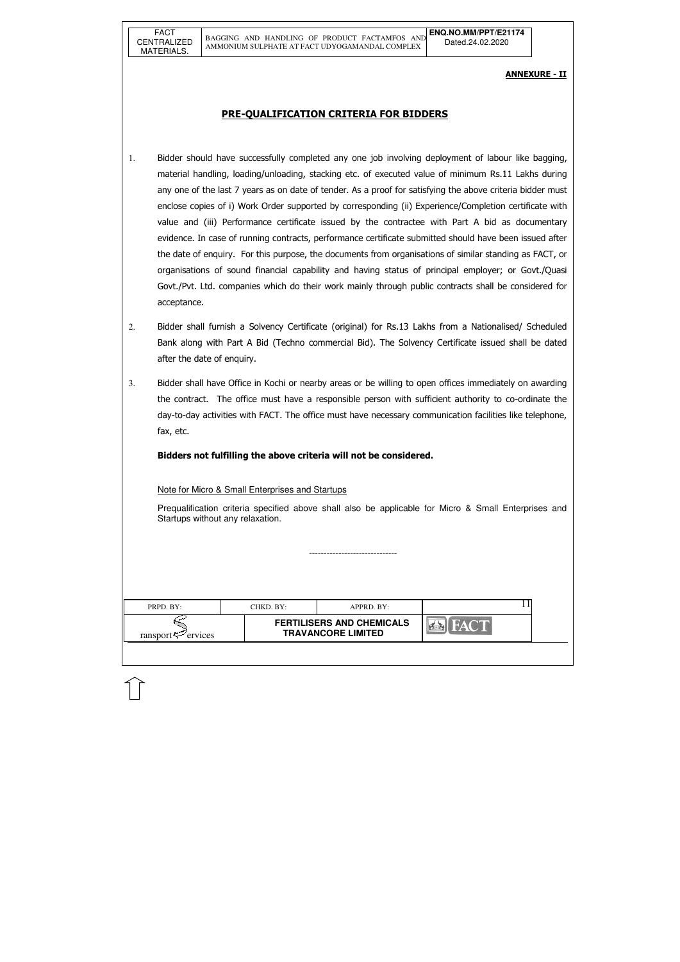|                                                                                             |  | $APPRD$ . $BY:$ | CHKD. BY:- | PRPD. BY: |
|---------------------------------------------------------------------------------------------|--|-----------------|------------|-----------|
| <b>FERTILISERS AND CHEMICALS</b><br><b>TRAVANCORE LIMITED</b><br>ransport $\approx$ ervices |  |                 |            |           |

## ANNEXURE - II

# PRE-QUALIFICATION CRITERIA FOR BIDDERS

- 1. Bidder should have successfully completed any one job involving deployment of labour like bagging, material handling, loading/unloading, stacking etc. of executed value of minimum Rs.11 Lakhs during any one of the last 7 years as on date of tender. As a proof for satisfying the above criteria bidder must enclose copies of i) Work Order supported by corresponding (ii) Experience/Completion certificate with value and (iii) Performance certificate issued by the contractee with Part A bid as documentary evidence. In case of running contracts, performance certificate submitted should have been issued after the date of enquiry. For this purpose, the documents from organisations of similar standing as FACT, or organisations of sound financial capability and having status of principal employer; or Govt./Quasi Govt./Pvt. Ltd. companies which do their work mainly through public contracts shall be considered for acceptance.
- 2. Bidder shall furnish a Solvency Certificate (original) for Rs.13 Lakhs from a Nationalised/ Scheduled Bank along with Part A Bid (Techno commercial Bid). The Solvency Certificate issued shall be dated after the date of enquiry.
- 3. Bidder shall have Office in Kochi or nearby areas or be willing to open offices immediately on awarding the contract. The office must have a responsible person with sufficient authority to co-ordinate the day-to-day activities with FACT. The office must have necessary communication facilities like telephone, fax, etc.

Bidders not fulfilling the above criteria will not be considered.

### Note for Micro & Small Enterprises and Startups

Prequalification criteria specified above shall also be applicable for Micro & Small Enterprises and Startups without any relaxation.

------------------------------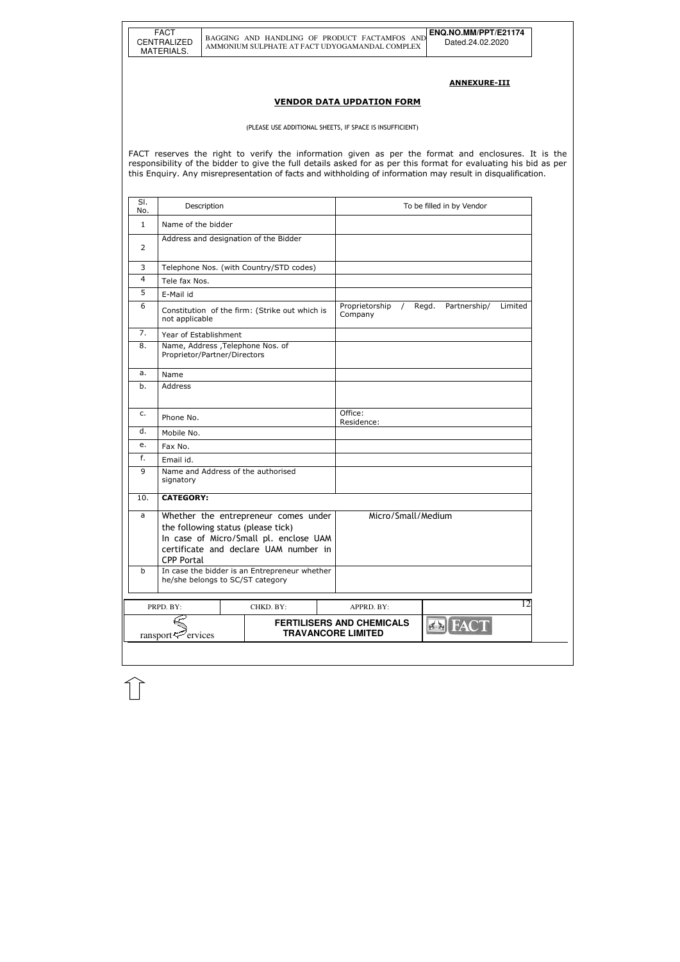#### ANNEXURE-III

#### VENDOR DATA UPDATION FORM

(PLEASE USE ADDITIONAL SHEETS, IF SPACE IS INSUFFICIENT)

FACT reserves the right to verify the information given as per the format and enclosures. It is the responsibility of the bidder to give the full details asked for as per this format for evaluating his bid as per this Enquiry. Any misrepresentation of facts and withholding of information may result in disqualification.

| SI.<br>No.          | Description                                                       |                                                                                                                         |                                                               | To be filled in by Vendor        |
|---------------------|-------------------------------------------------------------------|-------------------------------------------------------------------------------------------------------------------------|---------------------------------------------------------------|----------------------------------|
| $\mathbf{1}$        | Name of the bidder                                                |                                                                                                                         |                                                               |                                  |
| 2                   | Address and designation of the Bidder                             |                                                                                                                         |                                                               |                                  |
| 3                   |                                                                   | Telephone Nos. (with Country/STD codes)                                                                                 |                                                               |                                  |
| 4                   | Tele fax Nos.                                                     |                                                                                                                         |                                                               |                                  |
| 5                   | E-Mail id                                                         |                                                                                                                         |                                                               |                                  |
| 6                   | not applicable                                                    | Constitution of the firm: (Strike out which is                                                                          | Proprietorship<br>$\sqrt{2}$<br>Company                       | Regd.<br>Partnership/<br>Limited |
| 7.                  | Year of Establishment                                             |                                                                                                                         |                                                               |                                  |
| 8.                  | Name, Address , Telephone Nos. of<br>Proprietor/Partner/Directors |                                                                                                                         |                                                               |                                  |
| a.                  | Name                                                              |                                                                                                                         |                                                               |                                  |
| b.                  | Address                                                           |                                                                                                                         |                                                               |                                  |
| c.                  | Phone No.                                                         |                                                                                                                         | Office:<br>Residence:                                         |                                  |
| d.                  | Mobile No.                                                        |                                                                                                                         |                                                               |                                  |
| е.                  | Fax No.                                                           |                                                                                                                         |                                                               |                                  |
| f.                  | Email id.                                                         |                                                                                                                         |                                                               |                                  |
| 9                   | Name and Address of the authorised<br>signatory                   |                                                                                                                         |                                                               |                                  |
| 10.                 | <b>CATEGORY:</b>                                                  |                                                                                                                         |                                                               |                                  |
| a                   | the following status (please tick)<br><b>CPP Portal</b>           | Whether the entrepreneur comes under<br>In case of Micro/Small pl. enclose UAM<br>certificate and declare UAM number in | Micro/Small/Medium                                            |                                  |
| b                   | he/she belongs to SC/ST category                                  | In case the bidder is an Entrepreneur whether                                                                           |                                                               |                                  |
|                     | PRPD. BY:                                                         | CHKD. BY:                                                                                                               | APPRD. BY:                                                    | 12                               |
| ervices<br>ransport |                                                                   |                                                                                                                         | <b>FERTILISERS AND CHEMICALS</b><br><b>TRAVANCORE LIMITED</b> | <b>EN FACT</b>                   |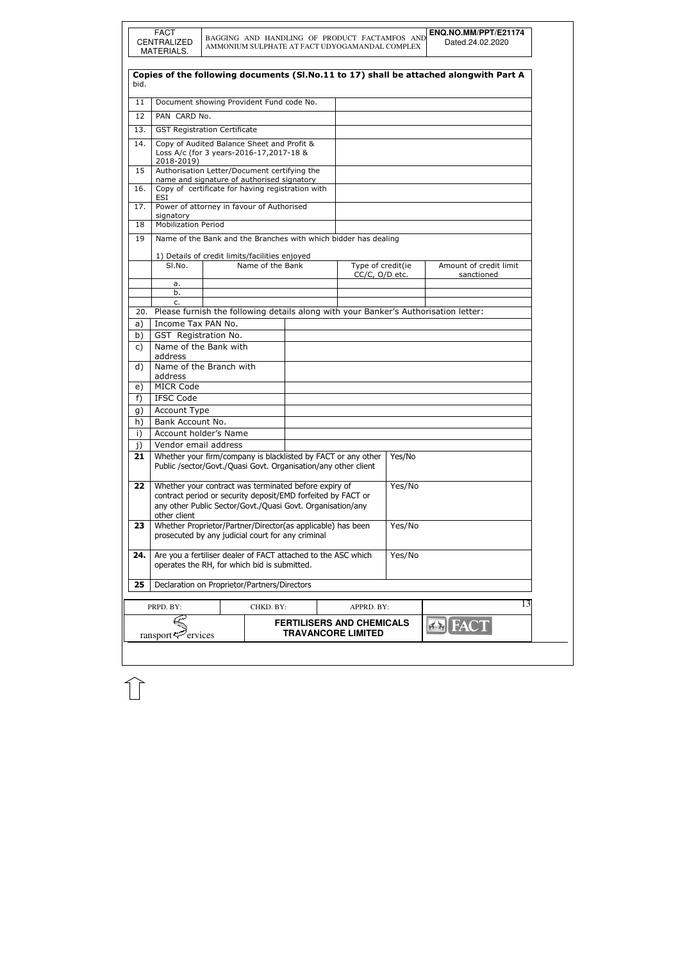|              | <b>FACT</b><br>CENTRALIZED<br>MATERIALS.                                                                                                                                                            |         |                  |                                                                | BAGGING AND HANDLING OF PRODUCT FACTAMFOS AND<br>AMMONIUM SULPHATE AT FACT UDYOGAMANDAL COMPLEX |        | ENQ.NO.MM/PPT/E21174<br>Dated.24.02.2020                                                |
|--------------|-----------------------------------------------------------------------------------------------------------------------------------------------------------------------------------------------------|---------|------------------|----------------------------------------------------------------|-------------------------------------------------------------------------------------------------|--------|-----------------------------------------------------------------------------------------|
| bid.         |                                                                                                                                                                                                     |         |                  |                                                                |                                                                                                 |        | Copies of the following documents (SI.No.11 to 17) shall be attached alongwith Part A   |
| 11           |                                                                                                                                                                                                     |         |                  |                                                                |                                                                                                 |        |                                                                                         |
|              | Document showing Provident Fund code No.                                                                                                                                                            |         |                  |                                                                |                                                                                                 |        |                                                                                         |
| 12           | PAN CARD No.                                                                                                                                                                                        |         |                  |                                                                |                                                                                                 |        |                                                                                         |
| 13.          | <b>GST Registration Certificate</b>                                                                                                                                                                 |         |                  |                                                                |                                                                                                 |        |                                                                                         |
| 14.          | Copy of Audited Balance Sheet and Profit &<br>Loss A/c (for 3 years-2016-17,2017-18 &<br>2018-2019)                                                                                                 |         |                  |                                                                |                                                                                                 |        |                                                                                         |
| 15           | Authorisation Letter/Document certifying the                                                                                                                                                        |         |                  |                                                                |                                                                                                 |        |                                                                                         |
| 16.          | name and signature of authorised signatory<br>Copy of certificate for having registration with                                                                                                      |         |                  |                                                                |                                                                                                 |        |                                                                                         |
| 17.          | <b>ESI</b><br>Power of attorney in favour of Authorised                                                                                                                                             |         |                  |                                                                |                                                                                                 |        |                                                                                         |
|              | signatory<br><b>Mobilization Period</b>                                                                                                                                                             |         |                  |                                                                |                                                                                                 |        |                                                                                         |
| 18           |                                                                                                                                                                                                     |         |                  |                                                                |                                                                                                 |        |                                                                                         |
| 19           |                                                                                                                                                                                                     |         |                  |                                                                | Name of the Bank and the Branches with which bidder has dealing                                 |        |                                                                                         |
|              | 1) Details of credit limits/facilities enjoyed                                                                                                                                                      |         |                  |                                                                |                                                                                                 |        |                                                                                         |
|              | SI.No.                                                                                                                                                                                              |         | Name of the Bank |                                                                | Type of credit(ie<br>CC/C, O/D etc.                                                             |        | Amount of credit limit<br>sanctioned                                                    |
|              | а.                                                                                                                                                                                                  |         |                  |                                                                |                                                                                                 |        |                                                                                         |
|              | b.                                                                                                                                                                                                  |         |                  |                                                                |                                                                                                 |        |                                                                                         |
|              | c.                                                                                                                                                                                                  |         |                  |                                                                |                                                                                                 |        | 20. Please furnish the following details along with your Banker's Authorisation letter: |
|              | Income Tax PAN No.                                                                                                                                                                                  |         |                  |                                                                |                                                                                                 |        |                                                                                         |
| a)<br>b)     | GST Registration No.                                                                                                                                                                                |         |                  |                                                                |                                                                                                 |        |                                                                                         |
| $\mathsf{C}$ | Name of the Bank with                                                                                                                                                                               |         |                  |                                                                |                                                                                                 |        |                                                                                         |
|              | address                                                                                                                                                                                             |         |                  |                                                                |                                                                                                 |        |                                                                                         |
| d)           | Name of the Branch with<br>address                                                                                                                                                                  |         |                  |                                                                |                                                                                                 |        |                                                                                         |
| e)           | <b>MICR Code</b>                                                                                                                                                                                    |         |                  |                                                                |                                                                                                 |        |                                                                                         |
| f)           | <b>IFSC Code</b>                                                                                                                                                                                    |         |                  |                                                                |                                                                                                 |        |                                                                                         |
| g)           | Account Type                                                                                                                                                                                        |         |                  |                                                                |                                                                                                 |        |                                                                                         |
| h)           | Bank Account No.                                                                                                                                                                                    |         |                  |                                                                |                                                                                                 |        |                                                                                         |
| i)           | Account holder's Name                                                                                                                                                                               |         |                  |                                                                |                                                                                                 |        |                                                                                         |
| j)           | Vendor email address                                                                                                                                                                                |         |                  |                                                                |                                                                                                 |        |                                                                                         |
| 21           |                                                                                                                                                                                                     |         |                  | Public /sector/Govt./Quasi Govt. Organisation/any other client | Whether your firm/company is blacklisted by FACT or any other                                   | Yes/No |                                                                                         |
| 22           | Whether your contract was terminated before expiry of<br>contract period or security deposit/EMD forfeited by FACT or<br>any other Public Sector/Govt./Quasi Govt. Organisation/any<br>other client |         |                  |                                                                | Yes/No                                                                                          |        |                                                                                         |
| 23           | Whether Proprietor/Partner/Director(as applicable) has been<br>prosecuted by any judicial court for any criminal                                                                                    |         |                  |                                                                | Yes/No                                                                                          |        |                                                                                         |
| 24.          | Are you a fertiliser dealer of FACT attached to the ASC which<br>operates the RH, for which bid is submitted.                                                                                       |         |                  |                                                                | Yes/No                                                                                          |        |                                                                                         |
| 25           | Declaration on Proprietor/Partners/Directors                                                                                                                                                        |         |                  |                                                                |                                                                                                 |        |                                                                                         |
|              | PRPD. BY:                                                                                                                                                                                           |         | CHKD. BY:        |                                                                | APPRD. BY:                                                                                      |        | 13                                                                                      |
|              | ransport                                                                                                                                                                                            | ervices |                  |                                                                | <b>FERTILISERS AND CHEMICALS</b><br><b>TRAVANCORE LIMITED</b>                                   |        |                                                                                         |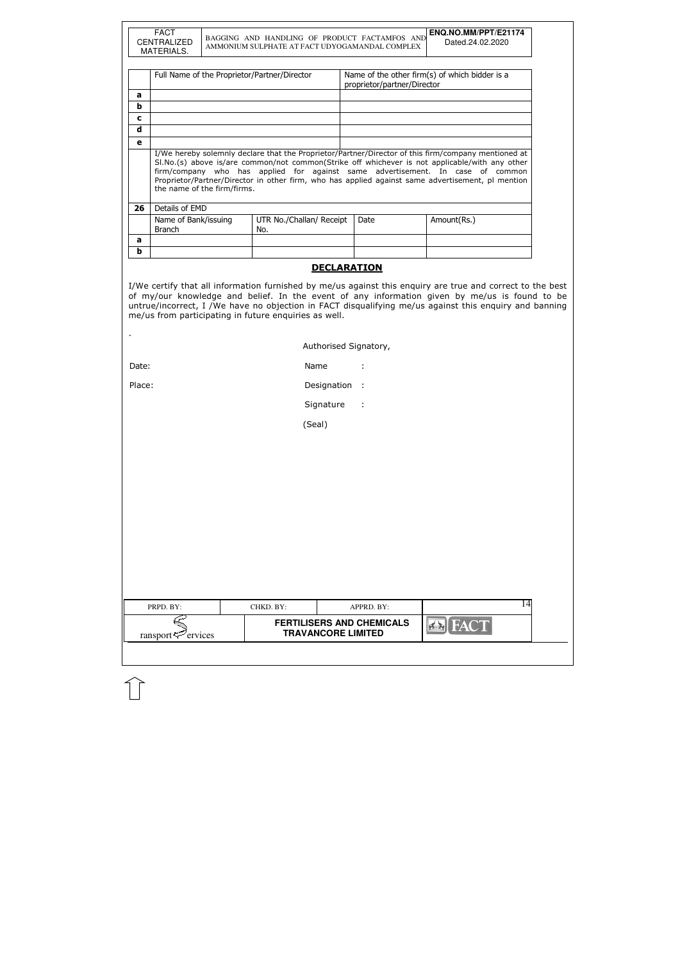| PRPD. BY:                  | CHKD. BY: | APPRD. BY:                                                    |                | 14 |
|----------------------------|-----------|---------------------------------------------------------------|----------------|----|
| ransport $\approx$ ervices |           | <b>FERTILISERS AND CHEMICALS</b><br><b>TRAVANCORE LIMITED</b> | <b>EX</b> FACT |    |
|                            |           |                                                               |                |    |

|              | <b>FACT</b><br><b>CENTRALIZED</b><br>MATERIALS. |  | BAGGING AND HANDLING OF PRODUCT FACTAMFOS AND<br>AMMONIUM SULPHATE AT FACT UDYOGAMANDAL COMPLEX |                             | ENQ.NO.MM/PPT/E21174<br>Dated.24.02.2020                                                                                                                                                                                                                                                                                                                                                     |  |
|--------------|-------------------------------------------------|--|-------------------------------------------------------------------------------------------------|-----------------------------|----------------------------------------------------------------------------------------------------------------------------------------------------------------------------------------------------------------------------------------------------------------------------------------------------------------------------------------------------------------------------------------------|--|
|              |                                                 |  |                                                                                                 |                             |                                                                                                                                                                                                                                                                                                                                                                                              |  |
|              | Full Name of the Proprietor/Partner/Director    |  |                                                                                                 | proprietor/partner/Director | Name of the other firm(s) of which bidder is a                                                                                                                                                                                                                                                                                                                                               |  |
| a            |                                                 |  |                                                                                                 |                             |                                                                                                                                                                                                                                                                                                                                                                                              |  |
| b            |                                                 |  |                                                                                                 |                             |                                                                                                                                                                                                                                                                                                                                                                                              |  |
| $\mathbf c$  |                                                 |  |                                                                                                 |                             |                                                                                                                                                                                                                                                                                                                                                                                              |  |
| d            |                                                 |  |                                                                                                 |                             |                                                                                                                                                                                                                                                                                                                                                                                              |  |
| $\mathbf{e}$ |                                                 |  |                                                                                                 |                             |                                                                                                                                                                                                                                                                                                                                                                                              |  |
|              |                                                 |  |                                                                                                 |                             | I/We hereby solemnly declare that the Proprietor/Partner/Director of this firm/company mentioned at<br>SI.No.(s) above is/are common/not common(Strike off whichever is not applicable/with any other<br>firm/company who has applied for against same advertisement. In case of common<br>Proprietor/Partner/Director in other firm, who has applied against same advertisement, pl mention |  |
| 26           | the name of the firm/firms.<br>Details of EMD   |  |                                                                                                 |                             |                                                                                                                                                                                                                                                                                                                                                                                              |  |
|              | Name of Bank/issuing<br><b>Branch</b>           |  | UTR No./Challan/ Receipt<br>No.                                                                 | Date                        | Amount(Rs.)                                                                                                                                                                                                                                                                                                                                                                                  |  |
| a            |                                                 |  |                                                                                                 |                             |                                                                                                                                                                                                                                                                                                                                                                                              |  |
| b            |                                                 |  |                                                                                                 |                             |                                                                                                                                                                                                                                                                                                                                                                                              |  |
|              |                                                 |  |                                                                                                 | <b>DECLARATION</b>          |                                                                                                                                                                                                                                                                                                                                                                                              |  |

|  | Authorised Signatory, |
|--|-----------------------|
|--|-----------------------|

| Date: | Name |  |
|-------|------|--|
|       |      |  |

Place: Place: Place: Place: Place: Place: Place: Place: Place: Place: Place: Place: Place: Place: Place: Place

Signature :

(Seal)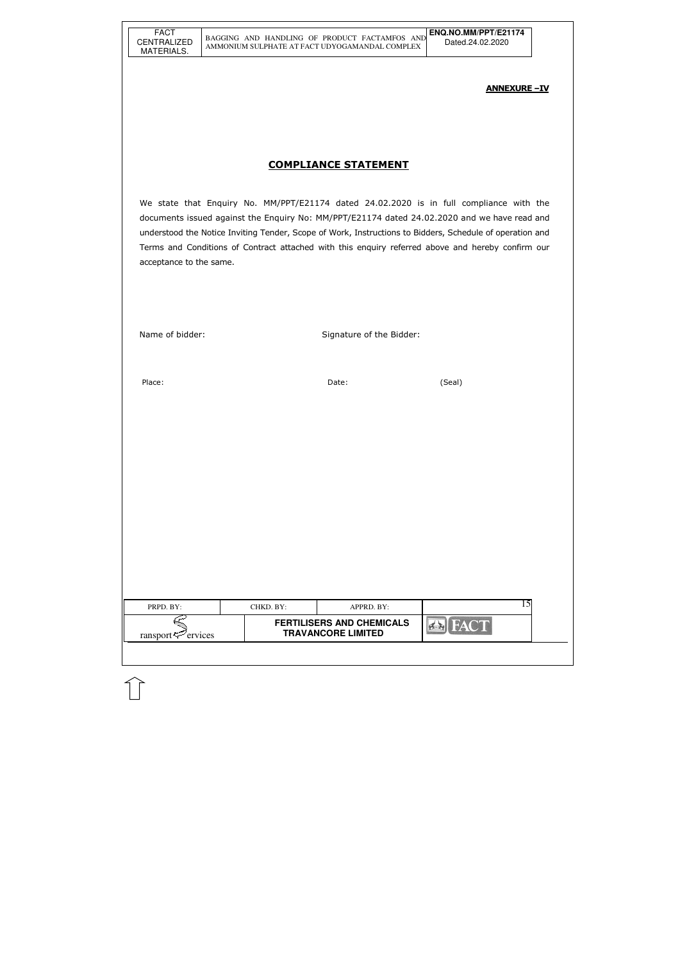| FACT               |
|--------------------|
| <b>CENTRALIZED</b> |
| MATERIALS.         |

| PRPD. BY:                      | CHKD. BY: | APPRD. BY:                                                    |  |  |
|--------------------------------|-----------|---------------------------------------------------------------|--|--|
| ransport $\mathcal{P}$ ervices |           | <b>FERTILISERS AND CHEMICALS</b><br><b>TRAVANCORE LIMITED</b> |  |  |
|                                |           |                                                               |  |  |

### ANNEXURE –IV

# COMPLIANCE STATEMENT

We state that Enquiry No. MM/PPT/E21174 dated 24.02.2020 is in full compliance with the documents issued against the Enquiry No: MM/PPT/E21174 dated 24.02.2020 and we have read and understood the Notice Inviting Tender, Scope of Work, Instructions to Bidders, Schedule of operation and Terms and Conditions of Contract attached with this enquiry referred above and hereby confirm our acceptance to the same.

Name of bidder: Signature of the Bidder:

Place: (Seal) and the contract of the contract of the Date: (Seal) and the contract of the contract of the contract of the contract of the contract of the contract of the contract of the contract of the contract of the con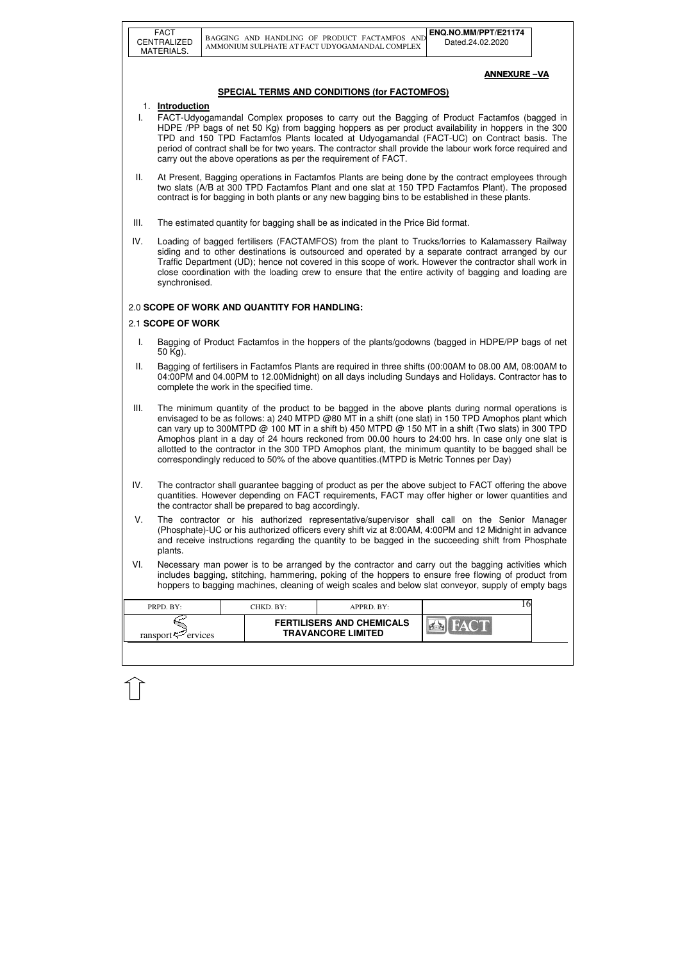|      | <b>FACT</b><br>CENTRALIZED<br>MATERIALS.                                                                                                                                                                                                                                                                                                                                                                                                                                                                                                                                                                              |  |                                              | BAGGING AND HANDLING OF PRODUCT FACTAMFOS AND<br>AMMONIUM SULPHATE AT FACT UDYOGAMANDAL COMPLEX |  | ENQ.NO.MM/PPT/E21174<br>Dated.24.02.2020                                                                                                                                                                                                                                                                                                                                                                                    |  |
|------|-----------------------------------------------------------------------------------------------------------------------------------------------------------------------------------------------------------------------------------------------------------------------------------------------------------------------------------------------------------------------------------------------------------------------------------------------------------------------------------------------------------------------------------------------------------------------------------------------------------------------|--|----------------------------------------------|-------------------------------------------------------------------------------------------------|--|-----------------------------------------------------------------------------------------------------------------------------------------------------------------------------------------------------------------------------------------------------------------------------------------------------------------------------------------------------------------------------------------------------------------------------|--|
|      |                                                                                                                                                                                                                                                                                                                                                                                                                                                                                                                                                                                                                       |  |                                              |                                                                                                 |  | <b>ANNEXURE-VA</b>                                                                                                                                                                                                                                                                                                                                                                                                          |  |
|      |                                                                                                                                                                                                                                                                                                                                                                                                                                                                                                                                                                                                                       |  |                                              | <b>SPECIAL TERMS AND CONDITIONS (for FACTOMFOS)</b>                                             |  |                                                                                                                                                                                                                                                                                                                                                                                                                             |  |
| L.   | 1. Introduction                                                                                                                                                                                                                                                                                                                                                                                                                                                                                                                                                                                                       |  |                                              | carry out the above operations as per the requirement of FACT.                                  |  | FACT-Udyogamandal Complex proposes to carry out the Bagging of Product Factamfos (bagged in<br>HDPE /PP bags of net 50 Kg) from bagging hoppers as per product availability in hoppers in the 300<br>TPD and 150 TPD Factamfos Plants located at Udyogamandal (FACT-UC) on Contract basis. The<br>period of contract shall be for two years. The contractor shall provide the labour work force required and                |  |
| Ш.   |                                                                                                                                                                                                                                                                                                                                                                                                                                                                                                                                                                                                                       |  |                                              |                                                                                                 |  | At Present, Bagging operations in Factamfos Plants are being done by the contract employees through<br>two slats (A/B at 300 TPD Factamfos Plant and one slat at 150 TPD Factamfos Plant). The proposed<br>contract is for bagging in both plants or any new bagging bins to be established in these plants.                                                                                                                |  |
| III. |                                                                                                                                                                                                                                                                                                                                                                                                                                                                                                                                                                                                                       |  |                                              | The estimated quantity for bagging shall be as indicated in the Price Bid format.               |  |                                                                                                                                                                                                                                                                                                                                                                                                                             |  |
| IV.  | synchronised.                                                                                                                                                                                                                                                                                                                                                                                                                                                                                                                                                                                                         |  |                                              |                                                                                                 |  | Loading of bagged fertilisers (FACTAMFOS) from the plant to Trucks/lorries to Kalamassery Railway<br>siding and to other destinations is outsourced and operated by a separate contract arranged by our<br>Traffic Department (UD); hence not covered in this scope of work. However the contractor shall work in<br>close coordination with the loading crew to ensure that the entire activity of bagging and loading are |  |
|      |                                                                                                                                                                                                                                                                                                                                                                                                                                                                                                                                                                                                                       |  | 2.0 SCOPE OF WORK AND QUANTITY FOR HANDLING: |                                                                                                 |  |                                                                                                                                                                                                                                                                                                                                                                                                                             |  |
|      | 2.1 SCOPE OF WORK                                                                                                                                                                                                                                                                                                                                                                                                                                                                                                                                                                                                     |  |                                              |                                                                                                 |  |                                                                                                                                                                                                                                                                                                                                                                                                                             |  |
| I.   | 50 Kg).                                                                                                                                                                                                                                                                                                                                                                                                                                                                                                                                                                                                               |  |                                              |                                                                                                 |  | Bagging of Product Factamfos in the hoppers of the plants/godowns (bagged in HDPE/PP bags of net                                                                                                                                                                                                                                                                                                                            |  |
| Ш.   |                                                                                                                                                                                                                                                                                                                                                                                                                                                                                                                                                                                                                       |  | complete the work in the specified time.     |                                                                                                 |  | Bagging of fertilisers in Factamfos Plants are required in three shifts (00:00AM to 08.00 AM, 08:00AM to<br>04:00PM and 04.00PM to 12.00Midnight) on all days including Sundays and Holidays. Contractor has to                                                                                                                                                                                                             |  |
| III. | The minimum quantity of the product to be bagged in the above plants during normal operations is<br>envisaged to be as follows: a) 240 MTPD @80 MT in a shift (one slat) in 150 TPD Amophos plant which<br>can vary up to 300MTPD @ 100 MT in a shift b) 450 MTPD @ 150 MT in a shift (Two slats) in 300 TPD<br>Amophos plant in a day of 24 hours reckoned from 00.00 hours to 24:00 hrs. In case only one slat is<br>allotted to the contractor in the 300 TPD Amophos plant, the minimum quantity to be bagged shall be<br>correspondingly reduced to 50% of the above quantities. (MTPD is Metric Tonnes per Day) |  |                                              |                                                                                                 |  |                                                                                                                                                                                                                                                                                                                                                                                                                             |  |
| IV.  | The contractor shall guarantee bagging of product as per the above subject to FACT offering the above<br>quantities. However depending on FACT requirements, FACT may offer higher or lower quantities and<br>the contractor shall be prepared to bag accordingly.                                                                                                                                                                                                                                                                                                                                                    |  |                                              |                                                                                                 |  |                                                                                                                                                                                                                                                                                                                                                                                                                             |  |
| V.   | The contractor or his authorized representative/supervisor shall call on the Senior Manager<br>(Phosphate)-UC or his authorized officers every shift viz at 8:00AM, 4:00PM and 12 Midnight in advance<br>and receive instructions regarding the quantity to be bagged in the succeeding shift from Phosphate<br>plants.                                                                                                                                                                                                                                                                                               |  |                                              |                                                                                                 |  |                                                                                                                                                                                                                                                                                                                                                                                                                             |  |
| VI.  | Necessary man power is to be arranged by the contractor and carry out the bagging activities which<br>includes bagging, stitching, hammering, poking of the hoppers to ensure free flowing of product from<br>hoppers to bagging machines, cleaning of weigh scales and below slat conveyor, supply of empty bags                                                                                                                                                                                                                                                                                                     |  |                                              |                                                                                                 |  |                                                                                                                                                                                                                                                                                                                                                                                                                             |  |
|      | PRPD. BY:                                                                                                                                                                                                                                                                                                                                                                                                                                                                                                                                                                                                             |  | CHKD. BY:                                    | APPRD. BY:                                                                                      |  | 16                                                                                                                                                                                                                                                                                                                                                                                                                          |  |
|      | ransport $\approx$ ervices                                                                                                                                                                                                                                                                                                                                                                                                                                                                                                                                                                                            |  |                                              | <b>FERTILISERS AND CHEMICALS</b><br><b>TRAVANCORE LIMITED</b>                                   |  |                                                                                                                                                                                                                                                                                                                                                                                                                             |  |
|      |                                                                                                                                                                                                                                                                                                                                                                                                                                                                                                                                                                                                                       |  |                                              |                                                                                                 |  |                                                                                                                                                                                                                                                                                                                                                                                                                             |  |

 $\bigcap$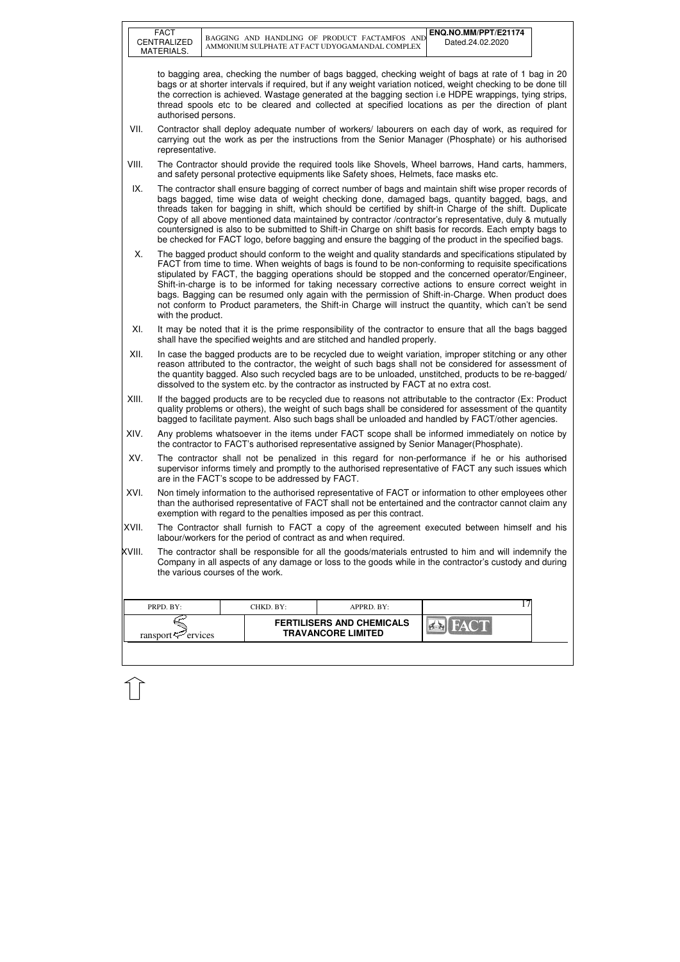| <b>FACT</b><br>ENQ.NO.MM/PPT/E21174<br>BAGGING AND HANDLING OF PRODUCT FACTAMFOS AND<br>CENTRALIZED<br>Dated.24.02.2020<br>AMMONIUM SULPHATE AT FACT UDYOGAMANDAL COMPLEX<br>MATERIALS.<br>to bagging area, checking the number of bags bagged, checking weight of bags at rate of 1 bag in 20<br>bags or at shorter intervals if required, but if any weight variation noticed, weight checking to be done till<br>the correction is achieved. Wastage generated at the bagging section i.e HDPE wrappings, tying strips,<br>thread spools etc to be cleared and collected at specified locations as per the direction of plant<br>authorised persons.<br>VII.<br>Contractor shall deploy adequate number of workers/labourers on each day of work, as required for<br>carrying out the work as per the instructions from the Senior Manager (Phosphate) or his authorised<br>representative.<br>VIII.<br>The Contractor should provide the required tools like Shovels, Wheel barrows, Hand carts, hammers,<br>and safety personal protective equipments like Safety shoes, Helmets, face masks etc.<br>IX.<br>The contractor shall ensure bagging of correct number of bags and maintain shift wise proper records of<br>bags bagged, time wise data of weight checking done, damaged bags, quantity bagged, bags, and<br>threads taken for bagging in shift, which should be certified by shift-in Charge of the shift. Duplicate<br>Copy of all above mentioned data maintained by contractor /contractor's representative, duly & mutually<br>countersigned is also to be submitted to Shift-in Charge on shift basis for records. Each empty bags to<br>be checked for FACT logo, before bagging and ensure the bagging of the product in the specified bags.<br>Х.<br>The bagged product should conform to the weight and quality standards and specifications stipulated by<br>FACT from time to time. When weights of bags is found to be non-conforming to requisite specifications<br>stipulated by FACT, the bagging operations should be stopped and the concerned operator/Engineer,<br>Shift-in-charge is to be informed for taking necessary corrective actions to ensure correct weight in<br>bags. Bagging can be resumed only again with the permission of Shift-in-Charge. When product does<br>not conform to Product parameters, the Shift-in Charge will instruct the quantity, which can't be send<br>with the product.<br>XI.<br>It may be noted that it is the prime responsibility of the contractor to ensure that all the bags bagged<br>shall have the specified weights and are stitched and handled properly.<br>XII.<br>In case the bagged products are to be recycled due to weight variation, improper stitching or any other<br>reason attributed to the contractor, the weight of such bags shall not be considered for assessment of<br>the quantity bagged. Also such recycled bags are to be unloaded, unstitched, products to be re-bagged/<br>dissolved to the system etc. by the contractor as instructed by FACT at no extra cost.<br>XIII.<br>If the bagged products are to be recycled due to reasons not attributable to the contractor (Ex: Product<br>quality problems or others), the weight of such bags shall be considered for assessment of the quantity<br>bagged to facilitate payment. Also such bags shall be unloaded and handled by FACT/other agencies.<br>XIV.<br>Any problems whatsoever in the items under FACT scope shall be informed immediately on notice by<br>the contractor to FACT's authorised representative assigned by Senior Manager (Phosphate).<br>XV.<br>The contractor shall not be penalized in this regard for non-performance if he or his authorised<br>supervisor informs timely and promptly to the authorised representative of FACT any such issues which<br>are in the FACT's scope to be addressed by FACT.<br>XVI.<br>exemption with regard to the penalties imposed as per this contract.<br>XVII.<br>labour/workers for the period of contract as and when required.<br>XVIII. |                                                                                                                                                                                                                                                       |                                                                                                                                                                                                                    |  |  |  |  |  |
|-------------------------------------------------------------------------------------------------------------------------------------------------------------------------------------------------------------------------------------------------------------------------------------------------------------------------------------------------------------------------------------------------------------------------------------------------------------------------------------------------------------------------------------------------------------------------------------------------------------------------------------------------------------------------------------------------------------------------------------------------------------------------------------------------------------------------------------------------------------------------------------------------------------------------------------------------------------------------------------------------------------------------------------------------------------------------------------------------------------------------------------------------------------------------------------------------------------------------------------------------------------------------------------------------------------------------------------------------------------------------------------------------------------------------------------------------------------------------------------------------------------------------------------------------------------------------------------------------------------------------------------------------------------------------------------------------------------------------------------------------------------------------------------------------------------------------------------------------------------------------------------------------------------------------------------------------------------------------------------------------------------------------------------------------------------------------------------------------------------------------------------------------------------------------------------------------------------------------------------------------------------------------------------------------------------------------------------------------------------------------------------------------------------------------------------------------------------------------------------------------------------------------------------------------------------------------------------------------------------------------------------------------------------------------------------------------------------------------------------------------------------------------------------------------------------------------------------------------------------------------------------------------------------------------------------------------------------------------------------------------------------------------------------------------------------------------------------------------------------------------------------------------------------------------------------------------------------------------------------------------------------------------------------------------------------------------------------------------------------------------------------------------------------------------------------------------------------------------------------------------------------------------------------------------------------------------------------------------------------------------------------------------------------------------------------------------------------------------------------------------------------------------------------------------------------------------------------------------------------------------------------------------------------------------------------------------------------------------------------------------------------------------------------------------------------------------------|-------------------------------------------------------------------------------------------------------------------------------------------------------------------------------------------------------------------------------------------------------|--------------------------------------------------------------------------------------------------------------------------------------------------------------------------------------------------------------------|--|--|--|--|--|
|                                                                                                                                                                                                                                                                                                                                                                                                                                                                                                                                                                                                                                                                                                                                                                                                                                                                                                                                                                                                                                                                                                                                                                                                                                                                                                                                                                                                                                                                                                                                                                                                                                                                                                                                                                                                                                                                                                                                                                                                                                                                                                                                                                                                                                                                                                                                                                                                                                                                                                                                                                                                                                                                                                                                                                                                                                                                                                                                                                                                                                                                                                                                                                                                                                                                                                                                                                                                                                                                                                                                                                                                                                                                                                                                                                                                                                                                                                                                                                                                                                                                               |                                                                                                                                                                                                                                                       |                                                                                                                                                                                                                    |  |  |  |  |  |
|                                                                                                                                                                                                                                                                                                                                                                                                                                                                                                                                                                                                                                                                                                                                                                                                                                                                                                                                                                                                                                                                                                                                                                                                                                                                                                                                                                                                                                                                                                                                                                                                                                                                                                                                                                                                                                                                                                                                                                                                                                                                                                                                                                                                                                                                                                                                                                                                                                                                                                                                                                                                                                                                                                                                                                                                                                                                                                                                                                                                                                                                                                                                                                                                                                                                                                                                                                                                                                                                                                                                                                                                                                                                                                                                                                                                                                                                                                                                                                                                                                                                               |                                                                                                                                                                                                                                                       |                                                                                                                                                                                                                    |  |  |  |  |  |
|                                                                                                                                                                                                                                                                                                                                                                                                                                                                                                                                                                                                                                                                                                                                                                                                                                                                                                                                                                                                                                                                                                                                                                                                                                                                                                                                                                                                                                                                                                                                                                                                                                                                                                                                                                                                                                                                                                                                                                                                                                                                                                                                                                                                                                                                                                                                                                                                                                                                                                                                                                                                                                                                                                                                                                                                                                                                                                                                                                                                                                                                                                                                                                                                                                                                                                                                                                                                                                                                                                                                                                                                                                                                                                                                                                                                                                                                                                                                                                                                                                                                               |                                                                                                                                                                                                                                                       |                                                                                                                                                                                                                    |  |  |  |  |  |
|                                                                                                                                                                                                                                                                                                                                                                                                                                                                                                                                                                                                                                                                                                                                                                                                                                                                                                                                                                                                                                                                                                                                                                                                                                                                                                                                                                                                                                                                                                                                                                                                                                                                                                                                                                                                                                                                                                                                                                                                                                                                                                                                                                                                                                                                                                                                                                                                                                                                                                                                                                                                                                                                                                                                                                                                                                                                                                                                                                                                                                                                                                                                                                                                                                                                                                                                                                                                                                                                                                                                                                                                                                                                                                                                                                                                                                                                                                                                                                                                                                                                               |                                                                                                                                                                                                                                                       |                                                                                                                                                                                                                    |  |  |  |  |  |
|                                                                                                                                                                                                                                                                                                                                                                                                                                                                                                                                                                                                                                                                                                                                                                                                                                                                                                                                                                                                                                                                                                                                                                                                                                                                                                                                                                                                                                                                                                                                                                                                                                                                                                                                                                                                                                                                                                                                                                                                                                                                                                                                                                                                                                                                                                                                                                                                                                                                                                                                                                                                                                                                                                                                                                                                                                                                                                                                                                                                                                                                                                                                                                                                                                                                                                                                                                                                                                                                                                                                                                                                                                                                                                                                                                                                                                                                                                                                                                                                                                                                               |                                                                                                                                                                                                                                                       |                                                                                                                                                                                                                    |  |  |  |  |  |
|                                                                                                                                                                                                                                                                                                                                                                                                                                                                                                                                                                                                                                                                                                                                                                                                                                                                                                                                                                                                                                                                                                                                                                                                                                                                                                                                                                                                                                                                                                                                                                                                                                                                                                                                                                                                                                                                                                                                                                                                                                                                                                                                                                                                                                                                                                                                                                                                                                                                                                                                                                                                                                                                                                                                                                                                                                                                                                                                                                                                                                                                                                                                                                                                                                                                                                                                                                                                                                                                                                                                                                                                                                                                                                                                                                                                                                                                                                                                                                                                                                                                               |                                                                                                                                                                                                                                                       |                                                                                                                                                                                                                    |  |  |  |  |  |
|                                                                                                                                                                                                                                                                                                                                                                                                                                                                                                                                                                                                                                                                                                                                                                                                                                                                                                                                                                                                                                                                                                                                                                                                                                                                                                                                                                                                                                                                                                                                                                                                                                                                                                                                                                                                                                                                                                                                                                                                                                                                                                                                                                                                                                                                                                                                                                                                                                                                                                                                                                                                                                                                                                                                                                                                                                                                                                                                                                                                                                                                                                                                                                                                                                                                                                                                                                                                                                                                                                                                                                                                                                                                                                                                                                                                                                                                                                                                                                                                                                                                               |                                                                                                                                                                                                                                                       |                                                                                                                                                                                                                    |  |  |  |  |  |
|                                                                                                                                                                                                                                                                                                                                                                                                                                                                                                                                                                                                                                                                                                                                                                                                                                                                                                                                                                                                                                                                                                                                                                                                                                                                                                                                                                                                                                                                                                                                                                                                                                                                                                                                                                                                                                                                                                                                                                                                                                                                                                                                                                                                                                                                                                                                                                                                                                                                                                                                                                                                                                                                                                                                                                                                                                                                                                                                                                                                                                                                                                                                                                                                                                                                                                                                                                                                                                                                                                                                                                                                                                                                                                                                                                                                                                                                                                                                                                                                                                                                               |                                                                                                                                                                                                                                                       |                                                                                                                                                                                                                    |  |  |  |  |  |
|                                                                                                                                                                                                                                                                                                                                                                                                                                                                                                                                                                                                                                                                                                                                                                                                                                                                                                                                                                                                                                                                                                                                                                                                                                                                                                                                                                                                                                                                                                                                                                                                                                                                                                                                                                                                                                                                                                                                                                                                                                                                                                                                                                                                                                                                                                                                                                                                                                                                                                                                                                                                                                                                                                                                                                                                                                                                                                                                                                                                                                                                                                                                                                                                                                                                                                                                                                                                                                                                                                                                                                                                                                                                                                                                                                                                                                                                                                                                                                                                                                                                               |                                                                                                                                                                                                                                                       |                                                                                                                                                                                                                    |  |  |  |  |  |
|                                                                                                                                                                                                                                                                                                                                                                                                                                                                                                                                                                                                                                                                                                                                                                                                                                                                                                                                                                                                                                                                                                                                                                                                                                                                                                                                                                                                                                                                                                                                                                                                                                                                                                                                                                                                                                                                                                                                                                                                                                                                                                                                                                                                                                                                                                                                                                                                                                                                                                                                                                                                                                                                                                                                                                                                                                                                                                                                                                                                                                                                                                                                                                                                                                                                                                                                                                                                                                                                                                                                                                                                                                                                                                                                                                                                                                                                                                                                                                                                                                                                               |                                                                                                                                                                                                                                                       |                                                                                                                                                                                                                    |  |  |  |  |  |
|                                                                                                                                                                                                                                                                                                                                                                                                                                                                                                                                                                                                                                                                                                                                                                                                                                                                                                                                                                                                                                                                                                                                                                                                                                                                                                                                                                                                                                                                                                                                                                                                                                                                                                                                                                                                                                                                                                                                                                                                                                                                                                                                                                                                                                                                                                                                                                                                                                                                                                                                                                                                                                                                                                                                                                                                                                                                                                                                                                                                                                                                                                                                                                                                                                                                                                                                                                                                                                                                                                                                                                                                                                                                                                                                                                                                                                                                                                                                                                                                                                                                               |                                                                                                                                                                                                                                                       |                                                                                                                                                                                                                    |  |  |  |  |  |
|                                                                                                                                                                                                                                                                                                                                                                                                                                                                                                                                                                                                                                                                                                                                                                                                                                                                                                                                                                                                                                                                                                                                                                                                                                                                                                                                                                                                                                                                                                                                                                                                                                                                                                                                                                                                                                                                                                                                                                                                                                                                                                                                                                                                                                                                                                                                                                                                                                                                                                                                                                                                                                                                                                                                                                                                                                                                                                                                                                                                                                                                                                                                                                                                                                                                                                                                                                                                                                                                                                                                                                                                                                                                                                                                                                                                                                                                                                                                                                                                                                                                               |                                                                                                                                                                                                                                                       | Non timely information to the authorised representative of FACT or information to other employees other<br>than the authorised representative of FACT shall not be entertained and the contractor cannot claim any |  |  |  |  |  |
|                                                                                                                                                                                                                                                                                                                                                                                                                                                                                                                                                                                                                                                                                                                                                                                                                                                                                                                                                                                                                                                                                                                                                                                                                                                                                                                                                                                                                                                                                                                                                                                                                                                                                                                                                                                                                                                                                                                                                                                                                                                                                                                                                                                                                                                                                                                                                                                                                                                                                                                                                                                                                                                                                                                                                                                                                                                                                                                                                                                                                                                                                                                                                                                                                                                                                                                                                                                                                                                                                                                                                                                                                                                                                                                                                                                                                                                                                                                                                                                                                                                                               |                                                                                                                                                                                                                                                       | The Contractor shall furnish to FACT a copy of the agreement executed between himself and his                                                                                                                      |  |  |  |  |  |
|                                                                                                                                                                                                                                                                                                                                                                                                                                                                                                                                                                                                                                                                                                                                                                                                                                                                                                                                                                                                                                                                                                                                                                                                                                                                                                                                                                                                                                                                                                                                                                                                                                                                                                                                                                                                                                                                                                                                                                                                                                                                                                                                                                                                                                                                                                                                                                                                                                                                                                                                                                                                                                                                                                                                                                                                                                                                                                                                                                                                                                                                                                                                                                                                                                                                                                                                                                                                                                                                                                                                                                                                                                                                                                                                                                                                                                                                                                                                                                                                                                                                               | The contractor shall be responsible for all the goods/materials entrusted to him and will indemnify the<br>Company in all aspects of any damage or loss to the goods while in the contractor's custody and during<br>the various courses of the work. |                                                                                                                                                                                                                    |  |  |  |  |  |
| 17<br>PRPD. BY:<br>CHKD. BY:<br>APPRD. BY:                                                                                                                                                                                                                                                                                                                                                                                                                                                                                                                                                                                                                                                                                                                                                                                                                                                                                                                                                                                                                                                                                                                                                                                                                                                                                                                                                                                                                                                                                                                                                                                                                                                                                                                                                                                                                                                                                                                                                                                                                                                                                                                                                                                                                                                                                                                                                                                                                                                                                                                                                                                                                                                                                                                                                                                                                                                                                                                                                                                                                                                                                                                                                                                                                                                                                                                                                                                                                                                                                                                                                                                                                                                                                                                                                                                                                                                                                                                                                                                                                                    |                                                                                                                                                                                                                                                       |                                                                                                                                                                                                                    |  |  |  |  |  |
| <b>FERTILISERS AND CHEMICALS</b><br><b>TRAVANCORE LIMITED</b><br>ransport <sup>ry</sup> ervices                                                                                                                                                                                                                                                                                                                                                                                                                                                                                                                                                                                                                                                                                                                                                                                                                                                                                                                                                                                                                                                                                                                                                                                                                                                                                                                                                                                                                                                                                                                                                                                                                                                                                                                                                                                                                                                                                                                                                                                                                                                                                                                                                                                                                                                                                                                                                                                                                                                                                                                                                                                                                                                                                                                                                                                                                                                                                                                                                                                                                                                                                                                                                                                                                                                                                                                                                                                                                                                                                                                                                                                                                                                                                                                                                                                                                                                                                                                                                                               |                                                                                                                                                                                                                                                       |                                                                                                                                                                                                                    |  |  |  |  |  |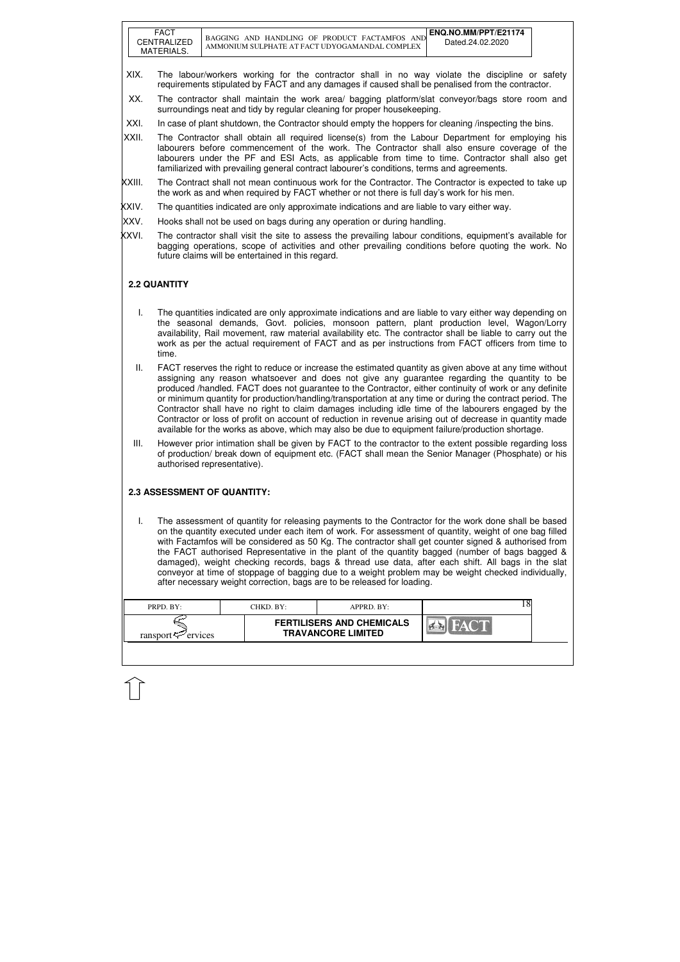| <b>FACT</b><br>CENTRALIZED<br>MATERIALS. | ENQ.NO.MM/PPT/E21174<br>BAGGING AND HANDLING OF PRODUCT FACTAMEOS<br><b>AND</b><br>Dated.24.02.2020<br>AMMONIUM SULPHATE AT FACT UDYOGAMANDAL COMPLEX |
|------------------------------------------|-------------------------------------------------------------------------------------------------------------------------------------------------------|
|------------------------------------------|-------------------------------------------------------------------------------------------------------------------------------------------------------|

| PRPD. BY:               | CHKD. BY: | $APPRD$ . BY:                                                 |  |
|-------------------------|-----------|---------------------------------------------------------------|--|
| ransport $\leq$ ervices |           | <b>FERTILISERS AND CHEMICALS</b><br><b>TRAVANCORE LIMITED</b> |  |

- XIX. The labour/workers working for the contractor shall in no way violate the discipline or safety requirements stipulated by FACT and any damages if caused shall be penalised from the contractor.
- XX. The contractor shall maintain the work area/ bagging platform/slat conveyor/bags store room and surroundings neat and tidy by regular cleaning for proper housekeeping.
- XXI. In case of plant shutdown, the Contractor should empty the hoppers for cleaning *linspecting the bins.*
- XXII. The Contractor shall obtain all required license(s) from the Labour Department for employing his labourers before commencement of the work. The Contractor shall also ensure coverage of the labourers under the PF and ESI Acts, as applicable from time to time. Contractor shall also get familiarized with prevailing general contract labourer's conditions, terms and agreements.
- XXIII. The Contract shall not mean continuous work for the Contractor. The Contractor is expected to take up the work as and when required by FACT whether or not there is full day's work for his men.
- XXIV. The quantities indicated are only approximate indications and are liable to vary either way.
- XXV. Hooks shall not be used on bags during any operation or during handling.
- XXVI. The contractor shall visit the site to assess the prevailing labour conditions, equipment's available for bagging operations, scope of activities and other prevailing conditions before quoting the work. No future claims will be entertained in this regard.

## **2.2 QUANTITY**

- I. The quantities indicated are only approximate indications and are liable to vary either way depending on the seasonal demands, Govt. policies, monsoon pattern, plant production level, Wagon/Lorry availability, Rail movement, raw material availability etc. The contractor shall be liable to carry out the work as per the actual requirement of FACT and as per instructions from FACT officers from time to time.
- II. FACT reserves the right to reduce or increase the estimated quantity as given above at any time without assigning any reason whatsoever and does not give any guarantee regarding the quantity to be produced /handled. FACT does not guarantee to the Contractor, either continuity of work or any definite or minimum quantity for production/handling/transportation at any time or during the contract period. The Contractor shall have no right to claim damages including idle time of the labourers engaged by the Contractor or loss of profit on account of reduction in revenue arising out of decrease in quantity made available for the works as above, which may also be due to equipment failure/production shortage.
- III. However prior intimation shall be given by FACT to the contractor to the extent possible regarding loss of production/ break down of equipment etc. (FACT shall mean the Senior Manager (Phosphate) or his authorised representative).

### **2.3 ASSESSMENT OF QUANTITY:**

I. The assessment of quantity for releasing payments to the Contractor for the work done shall be based on the quantity executed under each item of work. For assessment of quantity, weight of one bag filled with Factamfos will be considered as 50 Kg. The contractor shall get counter signed & authorised from the FACT authorised Representative in the plant of the quantity bagged (number of bags bagged & damaged), weight checking records, bags & thread use data, after each shift. All bags in the slat conveyor at time of stoppage of bagging due to a weight problem may be weight checked individually, after necessary weight correction, bags are to be released for loading.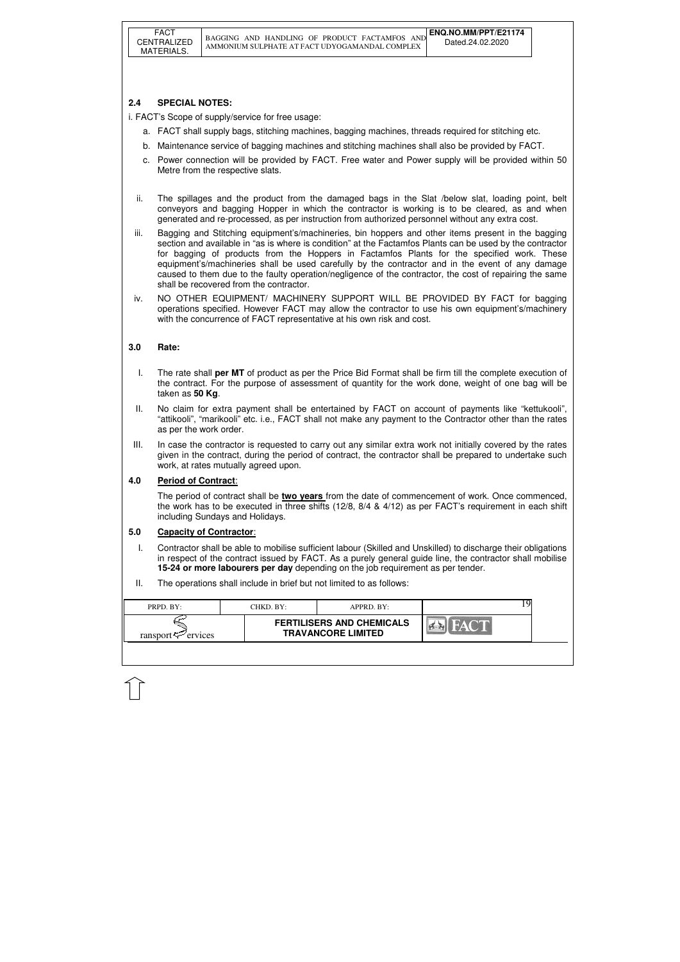| PRPD. BY:               | CHKD. BY: | APPRD. BY:                                                    |  |
|-------------------------|-----------|---------------------------------------------------------------|--|
| ransport $\leq$ ervices |           | <b>FERTILISERS AND CHEMICALS</b><br><b>TRAVANCORE LIMITED</b> |  |

## **2.4 SPECIAL NOTES:**

i. FACT's Scope of supply/service for free usage:

- a. FACT shall supply bags, stitching machines, bagging machines, threads required for stitching etc.
- b. Maintenance service of bagging machines and stitching machines shall also be provided by FACT.
- c. Power connection will be provided by FACT. Free water and Power supply will be provided within 50 Metre from the respective slats.
- ii. The spillages and the product from the damaged bags in the Slat /below slat, loading point, belt conveyors and bagging Hopper in which the contractor is working is to be cleared, as and when generated and re-processed, as per instruction from authorized personnel without any extra cost.
- iii. Bagging and Stitching equipment's/machineries, bin hoppers and other items present in the bagging section and available in "as is where is condition" at the Factamfos Plants can be used by the contractor for bagging of products from the Hoppers in Factamfos Plants for the specified work. These equipment's/machineries shall be used carefully by the contractor and in the event of any damage caused to them due to the faulty operation/negligence of the contractor, the cost of repairing the same shall be recovered from the contractor.
- iv. NO OTHER EQUIPMENT/ MACHINERY SUPPORT WILL BE PROVIDED BY FACT for bagging operations specified. However FACT may allow the contractor to use his own equipment's/machinery with the concurrence of FACT representative at his own risk and cost.

## **3.0 Rate:**

- I. The rate shall **per MT** of product as per the Price Bid Format shall be firm till the complete execution of the contract. For the purpose of assessment of quantity for the work done, weight of one bag will be taken as **50 Kg**.
- II. No claim for extra payment shall be entertained by FACT on account of payments like "kettukooli", "attikooli", "marikooli" etc. i.e., FACT shall not make any payment to the Contractor other than the rates as per the work order.
- III. In case the contractor is requested to carry out any similar extra work not initially covered by the rates given in the contract, during the period of contract, the contractor shall be prepared to undertake such work, at rates mutually agreed upon.

### **4.0 Period of Contract**:

The period of contract shall be **two years** from the date of commencement of work. Once commenced, the work has to be executed in three shifts (12/8, 8/4 & 4/12) as per FACT's requirement in each shift including Sundays and Holidays.

### **5.0 Capacity of Contractor**:

- I. Contractor shall be able to mobilise sufficient labour (Skilled and Unskilled) to discharge their obligations in respect of the contract issued by FACT. As a purely general guide line, the contractor shall mobilise **15-24 or more labourers per day** depending on the job requirement as per tender.
- II. The operations shall include in brief but not limited to as follows: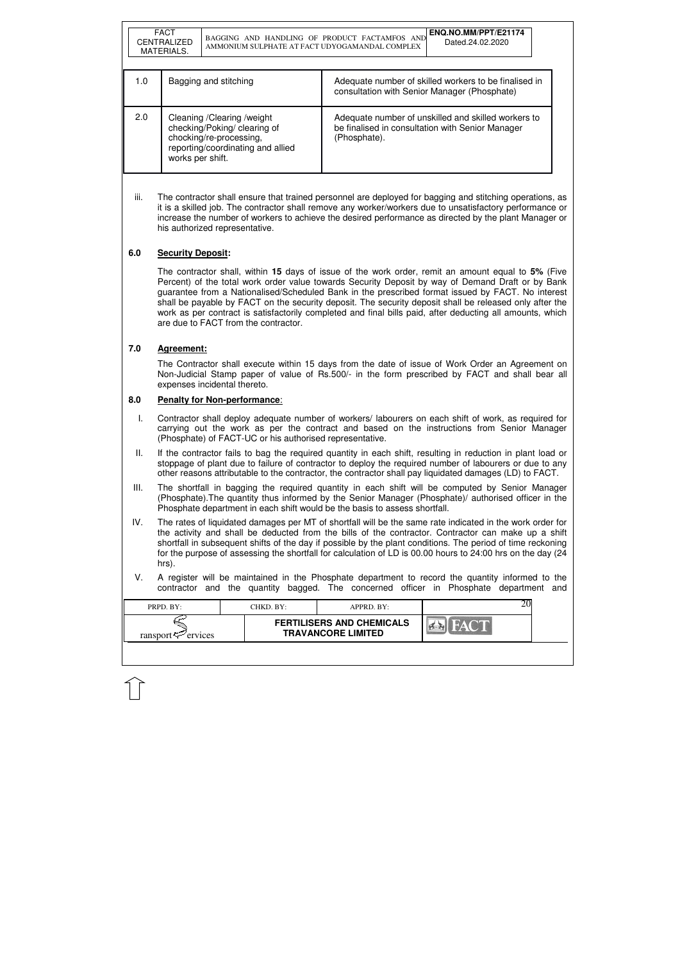| PRPD. BY:                  | CHKD. BY:- | $APPRD$ . BY:                                                 |  |
|----------------------------|------------|---------------------------------------------------------------|--|
| ransport $\approx$ ervices |            | <b>FERTILISERS AND CHEMICALS</b><br><b>TRAVANCORE LIMITED</b> |  |
|                            |            |                                                               |  |

|     | <b>FACT</b><br><b>CENTRALIZED</b><br>MATERIALS. | BAGGING AND HANDLING OF PRODUCT FACTAMFOS AND<br>AMMONIUM SULPHATE AT FACT UDYOGAMANDAL COMPLEX                              | ENQ.NO.MM/PPT/E21174<br>Dated.24.02.2020                                                                                |
|-----|-------------------------------------------------|------------------------------------------------------------------------------------------------------------------------------|-------------------------------------------------------------------------------------------------------------------------|
| 1.0 |                                                 | Bagging and stitching                                                                                                        | Adequate number of skilled workers to be finalised in<br>consultation with Senior Manager (Phosphate)                   |
| 2.0 | works per shift.                                | Cleaning / Clearing / weight<br>checking/Poking/ clearing of<br>chocking/re-processing,<br>reporting/coordinating and allied | Adequate number of unskilled and skilled workers to<br>be finalised in consultation with Senior Manager<br>(Phosphate). |

iii. The contractor shall ensure that trained personnel are deployed for bagging and stitching operations, as it is a skilled job. The contractor shall remove any worker/workers due to unsatisfactory performance or increase the number of workers to achieve the desired performance as directed by the plant Manager or his authorized representative.

## **6.0 Security Deposit:**

The contractor shall, within **15** days of issue of the work order, remit an amount equal to **5%** (Five Percent) of the total work order value towards Security Deposit by way of Demand Draft or by Bank guarantee from a Nationalised/Scheduled Bank in the prescribed format issued by FACT. No interest shall be payable by FACT on the security deposit. The security deposit shall be released only after the work as per contract is satisfactorily completed and final bills paid, after deducting all amounts, which are due to FACT from the contractor.

### **7.0 Agreement:**

The Contractor shall execute within 15 days from the date of issue of Work Order an Agreement on Non-Judicial Stamp paper of value of Rs.500/- in the form prescribed by FACT and shall bear all expenses incidental thereto.

#### **8.0 Penalty for Non-performance**:

- I. Contractor shall deploy adequate number of workers/ labourers on each shift of work, as required for carrying out the work as per the contract and based on the instructions from Senior Manager (Phosphate) of FACT-UC or his authorised representative.
- II. If the contractor fails to bag the required quantity in each shift, resulting in reduction in plant load or stoppage of plant due to failure of contractor to deploy the required number of labourers or due to any other reasons attributable to the contractor, the contractor shall pay liquidated damages (LD) to FACT.
- III. The shortfall in bagging the required quantity in each shift will be computed by Senior Manager (Phosphate).The quantity thus informed by the Senior Manager (Phosphate)/ authorised officer in the Phosphate department in each shift would be the basis to assess shortfall.
- IV. The rates of liquidated damages per MT of shortfall will be the same rate indicated in the work order for the activity and shall be deducted from the bills of the contractor. Contractor can make up a shift shortfall in subsequent shifts of the day if possible by the plant conditions. The period of time reckoning for the purpose of assessing the shortfall for calculation of LD is 00.00 hours to 24:00 hrs on the day (24 hrs).
- V. A register will be maintained in the Phosphate department to record the quantity informed to the contractor and the quantity bagged. The concerned officer in Phosphate department and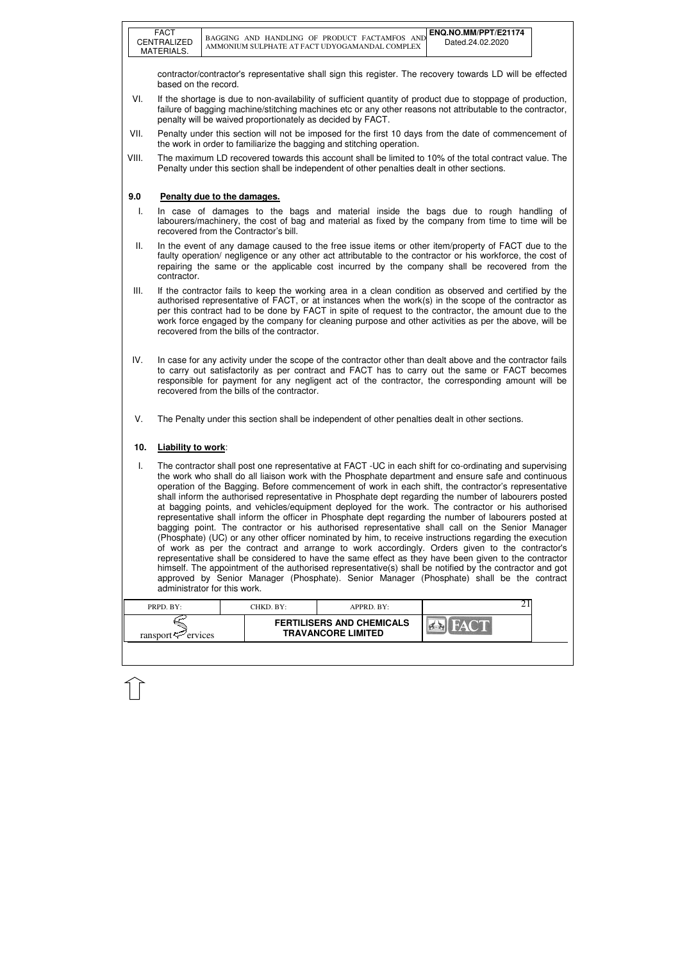| PRPD. BY:               | CHKD. BY:- | $APPRD$ $BY:$                                                 |  |
|-------------------------|------------|---------------------------------------------------------------|--|
| ransport $\sim$ ervices |            | <b>FERTILISERS AND CHEMICALS</b><br><b>TRAVANCORE LIMITED</b> |  |

contractor/contractor's representative shall sign this register. The recovery towards LD will be effected based on the record.

- VI. If the shortage is due to non-availability of sufficient quantity of product due to stoppage of production, failure of bagging machine/stitching machines etc or any other reasons not attributable to the contractor, penalty will be waived proportionately as decided by FACT.
- VII. Penalty under this section will not be imposed for the first 10 days from the date of commencement of the work in order to familiarize the bagging and stitching operation.
- VIII. The maximum LD recovered towards this account shall be limited to 10% of the total contract value. The Penalty under this section shall be independent of other penalties dealt in other sections.

### **9.0 Penalty due to the damages.**

- I. In case of damages to the bags and material inside the bags due to rough handling of labourers/machinery, the cost of bag and material as fixed by the company from time to time will be recovered from the Contractor's bill.
- II. In the event of any damage caused to the free issue items or other item/property of FACT due to the faulty operation/ negligence or any other act attributable to the contractor or his workforce, the cost of repairing the same or the applicable cost incurred by the company shall be recovered from the contractor.
- III. If the contractor fails to keep the working area in a clean condition as observed and certified by the authorised representative of FACT, or at instances when the work(s) in the scope of the contractor as per this contract had to be done by FACT in spite of request to the contractor, the amount due to the work force engaged by the company for cleaning purpose and other activities as per the above, will be recovered from the bills of the contractor.
- IV. In case for any activity under the scope of the contractor other than dealt above and the contractor fails to carry out satisfactorily as per contract and FACT has to carry out the same or FACT becomes responsible for payment for any negligent act of the contractor, the corresponding amount will be recovered from the bills of the contractor.
- V. The Penalty under this section shall be independent of other penalties dealt in other sections.

### **10. Liability to work**:

I. The contractor shall post one representative at FACT -UC in each shift for co-ordinating and supervising the work who shall do all liaison work with the Phosphate department and ensure safe and continuous operation of the Bagging. Before commencement of work in each shift, the contractor's representative shall inform the authorised representative in Phosphate dept regarding the number of labourers posted at bagging points, and vehicles/equipment deployed for the work. The contractor or his authorised representative shall inform the officer in Phosphate dept regarding the number of labourers posted at bagging point. The contractor or his authorised representative shall call on the Senior Manager (Phosphate) (UC) or any other officer nominated by him, to receive instructions regarding the execution of work as per the contract and arrange to work accordingly. Orders given to the contractor's representative shall be considered to have the same effect as they have been given to the contractor himself. The appointment of the authorised representative(s) shall be notified by the contractor and got approved by Senior Manager (Phosphate). Senior Manager (Phosphate) shall be the contract administrator for this work.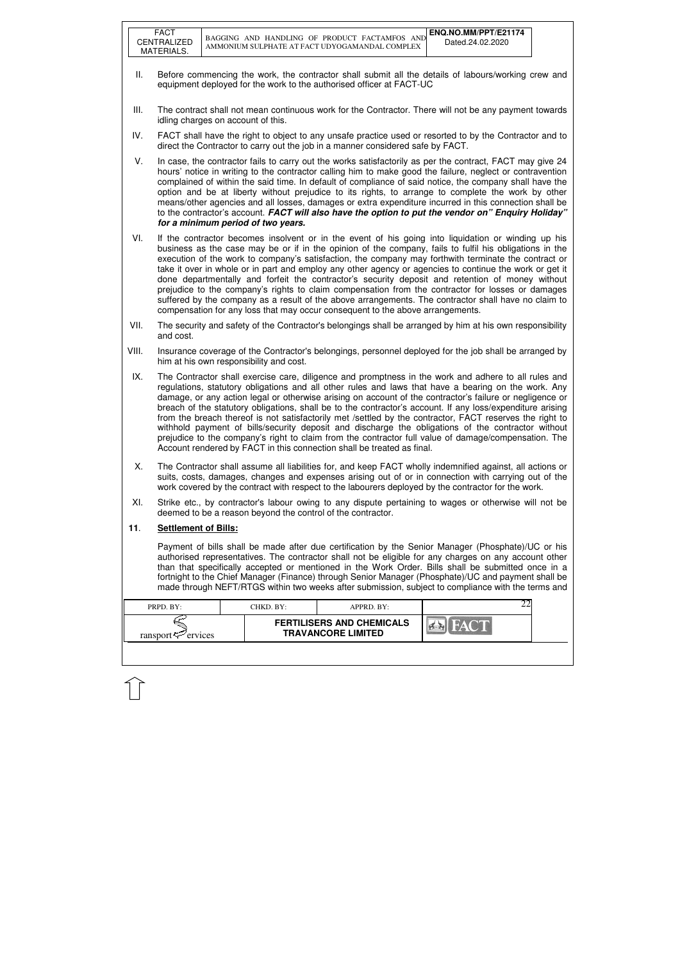|       | <b>FACT</b><br>CENTRALIZED<br>MATERIALS.                                                                                                                                    |  |                                         | BAGGING AND HANDLING OF PRODUCT FACTAMFOS AND<br>AMMONIUM SULPHATE AT FACT UDYOGAMANDAL COMPLEX                                                                                                                                                                                                                                                                                                                                                                                                                                                                                                                                                                                                                                                                                                                                            | ENQ.NO.MM/PPT/E21174<br>Dated.24.02.2020 |  |  |
|-------|-----------------------------------------------------------------------------------------------------------------------------------------------------------------------------|--|-----------------------------------------|--------------------------------------------------------------------------------------------------------------------------------------------------------------------------------------------------------------------------------------------------------------------------------------------------------------------------------------------------------------------------------------------------------------------------------------------------------------------------------------------------------------------------------------------------------------------------------------------------------------------------------------------------------------------------------------------------------------------------------------------------------------------------------------------------------------------------------------------|------------------------------------------|--|--|
| Ш.    | Before commencing the work, the contractor shall submit all the details of labours/working crew and<br>equipment deployed for the work to the authorised officer at FACT-UC |  |                                         |                                                                                                                                                                                                                                                                                                                                                                                                                                                                                                                                                                                                                                                                                                                                                                                                                                            |                                          |  |  |
| III.  | idling charges on account of this.                                                                                                                                          |  |                                         | The contract shall not mean continuous work for the Contractor. There will not be any payment towards                                                                                                                                                                                                                                                                                                                                                                                                                                                                                                                                                                                                                                                                                                                                      |                                          |  |  |
| IV.   |                                                                                                                                                                             |  |                                         | FACT shall have the right to object to any unsafe practice used or resorted to by the Contractor and to<br>direct the Contractor to carry out the job in a manner considered safe by FACT.                                                                                                                                                                                                                                                                                                                                                                                                                                                                                                                                                                                                                                                 |                                          |  |  |
| V.    |                                                                                                                                                                             |  | for a minimum period of two years.      | In case, the contractor fails to carry out the works satisfactorily as per the contract, FACT may give 24<br>hours' notice in writing to the contractor calling him to make good the failure, neglect or contravention<br>complained of within the said time. In default of compliance of said notice, the company shall have the<br>option and be at liberty without prejudice to its rights, to arrange to complete the work by other<br>means/other agencies and all losses, damages or extra expenditure incurred in this connection shall be<br>to the contractor's account. FACT will also have the option to put the vendor on" Enquiry Holiday"                                                                                                                                                                                    |                                          |  |  |
| VI.   |                                                                                                                                                                             |  |                                         | If the contractor becomes insolvent or in the event of his going into liquidation or winding up his<br>business as the case may be or if in the opinion of the company, fails to fulfil his obligations in the<br>execution of the work to company's satisfaction, the company may forthwith terminate the contract or<br>take it over in whole or in part and employ any other agency or agencies to continue the work or get it<br>done departmentally and forfeit the contractor's security deposit and retention of money without<br>prejudice to the company's rights to claim compensation from the contractor for losses or damages<br>suffered by the company as a result of the above arrangements. The contractor shall have no claim to<br>compensation for any loss that may occur consequent to the above arrangements.       |                                          |  |  |
| VII.  | and cost.                                                                                                                                                                   |  |                                         | The security and safety of the Contractor's belongings shall be arranged by him at his own responsibility                                                                                                                                                                                                                                                                                                                                                                                                                                                                                                                                                                                                                                                                                                                                  |                                          |  |  |
| VIII. |                                                                                                                                                                             |  | him at his own responsibility and cost. | Insurance coverage of the Contractor's belongings, personnel deployed for the job shall be arranged by                                                                                                                                                                                                                                                                                                                                                                                                                                                                                                                                                                                                                                                                                                                                     |                                          |  |  |
| IX.   |                                                                                                                                                                             |  |                                         | The Contractor shall exercise care, diligence and promptness in the work and adhere to all rules and<br>regulations, statutory obligations and all other rules and laws that have a bearing on the work. Any<br>damage, or any action legal or otherwise arising on account of the contractor's failure or negligence or<br>breach of the statutory obligations, shall be to the contractor's account. If any loss/expenditure arising<br>from the breach thereof is not satisfactorily met /settled by the contractor, FACT reserves the right to<br>withhold payment of bills/security deposit and discharge the obligations of the contractor without<br>prejudice to the company's right to claim from the contractor full value of damage/compensation. The<br>Account rendered by FACT in this connection shall be treated as final. |                                          |  |  |
| Х.    |                                                                                                                                                                             |  |                                         | The Contractor shall assume all liabilities for, and keep FACT wholly indemnified against, all actions or<br>suits, costs, damages, changes and expenses arising out of or in connection with carrying out of the<br>work covered by the contract with respect to the labourers deployed by the contractor for the work.                                                                                                                                                                                                                                                                                                                                                                                                                                                                                                                   |                                          |  |  |
| XI.   |                                                                                                                                                                             |  |                                         | Strike etc., by contractor's labour owing to any dispute pertaining to wages or otherwise will not be<br>deemed to be a reason beyond the control of the contractor.                                                                                                                                                                                                                                                                                                                                                                                                                                                                                                                                                                                                                                                                       |                                          |  |  |
| 11.   | <b>Settlement of Bills:</b>                                                                                                                                                 |  |                                         |                                                                                                                                                                                                                                                                                                                                                                                                                                                                                                                                                                                                                                                                                                                                                                                                                                            |                                          |  |  |
|       |                                                                                                                                                                             |  |                                         | Payment of bills shall be made after due certification by the Senior Manager (Phosphate)/UC or his<br>authorised representatives. The contractor shall not be eligible for any charges on any account other<br>than that specifically accepted or mentioned in the Work Order. Bills shall be submitted once in a<br>fortnight to the Chief Manager (Finance) through Senior Manager (Phosphate)/UC and payment shall be<br>made through NEFT/RTGS within two weeks after submission, subject to compliance with the terms and                                                                                                                                                                                                                                                                                                             |                                          |  |  |
|       | PRPD. BY:                                                                                                                                                                   |  | CHKD. BY:                               | APPRD. BY:                                                                                                                                                                                                                                                                                                                                                                                                                                                                                                                                                                                                                                                                                                                                                                                                                                 | 22                                       |  |  |
|       | ransport $\approx$ ervices                                                                                                                                                  |  |                                         | <b>FERTILISERS AND CHEMICALS</b><br><b>TRAVANCORE LIMITED</b>                                                                                                                                                                                                                                                                                                                                                                                                                                                                                                                                                                                                                                                                                                                                                                              |                                          |  |  |
|       |                                                                                                                                                                             |  |                                         |                                                                                                                                                                                                                                                                                                                                                                                                                                                                                                                                                                                                                                                                                                                                                                                                                                            |                                          |  |  |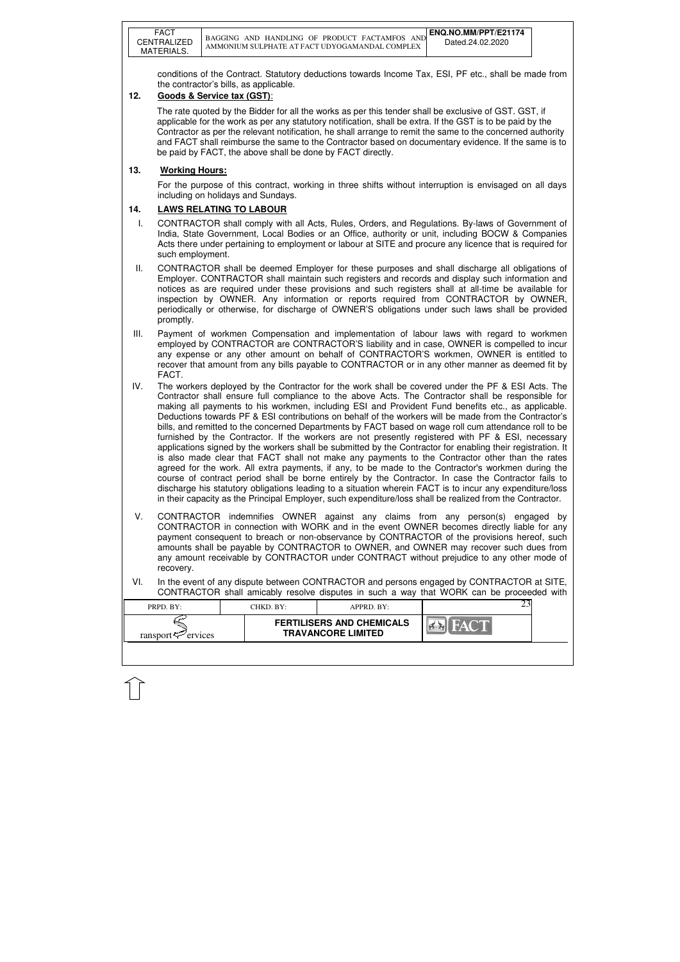|      | <b>FACT</b><br>CENTRALIZED<br>MATERIALS.                                                                                                                                                                                                                                                                                                                                                                                                                                     |  |                                        | BAGGING AND HANDLING OF PRODUCT FACTAMFOS AND<br>AMMONIUM SULPHATE AT FACT UDYOGAMANDAL COMPLEX                                                                                                                                                                                                                                                                                                                                                                                                                                                                                                                                                                                                                                                                                                                                                                                                                                                                                                                                                                                                                                                                                                                                                                                               | ENQ.NO.MM/PPT/E21174<br>Dated.24.02.2020 |  |
|------|------------------------------------------------------------------------------------------------------------------------------------------------------------------------------------------------------------------------------------------------------------------------------------------------------------------------------------------------------------------------------------------------------------------------------------------------------------------------------|--|----------------------------------------|-----------------------------------------------------------------------------------------------------------------------------------------------------------------------------------------------------------------------------------------------------------------------------------------------------------------------------------------------------------------------------------------------------------------------------------------------------------------------------------------------------------------------------------------------------------------------------------------------------------------------------------------------------------------------------------------------------------------------------------------------------------------------------------------------------------------------------------------------------------------------------------------------------------------------------------------------------------------------------------------------------------------------------------------------------------------------------------------------------------------------------------------------------------------------------------------------------------------------------------------------------------------------------------------------|------------------------------------------|--|
| 12.  | Goods & Service tax (GST):                                                                                                                                                                                                                                                                                                                                                                                                                                                   |  | the contractor's bills, as applicable. | conditions of the Contract. Statutory deductions towards Income Tax, ESI, PF etc., shall be made from                                                                                                                                                                                                                                                                                                                                                                                                                                                                                                                                                                                                                                                                                                                                                                                                                                                                                                                                                                                                                                                                                                                                                                                         |                                          |  |
|      |                                                                                                                                                                                                                                                                                                                                                                                                                                                                              |  |                                        | The rate quoted by the Bidder for all the works as per this tender shall be exclusive of GST. GST, if<br>applicable for the work as per any statutory notification, shall be extra. If the GST is to be paid by the<br>Contractor as per the relevant notification, he shall arrange to remit the same to the concerned authority<br>and FACT shall reimburse the same to the Contractor based on documentary evidence. If the same is to<br>be paid by FACT, the above shall be done by FACT directly.                                                                                                                                                                                                                                                                                                                                                                                                                                                                                                                                                                                                                                                                                                                                                                                       |                                          |  |
| 13.  | <b>Working Hours:</b>                                                                                                                                                                                                                                                                                                                                                                                                                                                        |  |                                        |                                                                                                                                                                                                                                                                                                                                                                                                                                                                                                                                                                                                                                                                                                                                                                                                                                                                                                                                                                                                                                                                                                                                                                                                                                                                                               |                                          |  |
|      |                                                                                                                                                                                                                                                                                                                                                                                                                                                                              |  | including on holidays and Sundays.     | For the purpose of this contract, working in three shifts without interruption is envisaged on all days                                                                                                                                                                                                                                                                                                                                                                                                                                                                                                                                                                                                                                                                                                                                                                                                                                                                                                                                                                                                                                                                                                                                                                                       |                                          |  |
| 14.  | <b>LAWS RELATING TO LABOUR</b>                                                                                                                                                                                                                                                                                                                                                                                                                                               |  |                                        |                                                                                                                                                                                                                                                                                                                                                                                                                                                                                                                                                                                                                                                                                                                                                                                                                                                                                                                                                                                                                                                                                                                                                                                                                                                                                               |                                          |  |
| T.   | such employment.                                                                                                                                                                                                                                                                                                                                                                                                                                                             |  |                                        | CONTRACTOR shall comply with all Acts, Rules, Orders, and Regulations. By-laws of Government of<br>India, State Government, Local Bodies or an Office, authority or unit, including BOCW & Companies<br>Acts there under pertaining to employment or labour at SITE and procure any licence that is required for                                                                                                                                                                                                                                                                                                                                                                                                                                                                                                                                                                                                                                                                                                                                                                                                                                                                                                                                                                              |                                          |  |
| Ш.   | promptly.                                                                                                                                                                                                                                                                                                                                                                                                                                                                    |  |                                        | CONTRACTOR shall be deemed Employer for these purposes and shall discharge all obligations of<br>Employer. CONTRACTOR shall maintain such registers and records and display such information and<br>notices as are required under these provisions and such registers shall at all-time be available for<br>inspection by OWNER. Any information or reports required from CONTRACTOR by OWNER,<br>periodically or otherwise, for discharge of OWNER'S obligations under such laws shall be provided                                                                                                                                                                                                                                                                                                                                                                                                                                                                                                                                                                                                                                                                                                                                                                                           |                                          |  |
| III. | FACT.                                                                                                                                                                                                                                                                                                                                                                                                                                                                        |  |                                        | Payment of workmen Compensation and implementation of labour laws with regard to workmen<br>employed by CONTRACTOR are CONTRACTOR'S liability and in case, OWNER is compelled to incur<br>any expense or any other amount on behalf of CONTRACTOR'S workmen, OWNER is entitled to<br>recover that amount from any bills payable to CONTRACTOR or in any other manner as deemed fit by                                                                                                                                                                                                                                                                                                                                                                                                                                                                                                                                                                                                                                                                                                                                                                                                                                                                                                         |                                          |  |
| IV.  |                                                                                                                                                                                                                                                                                                                                                                                                                                                                              |  |                                        | The workers deployed by the Contractor for the work shall be covered under the PF & ESI Acts. The<br>Contractor shall ensure full compliance to the above Acts. The Contractor shall be responsible for<br>making all payments to his workmen, including ESI and Provident Fund benefits etc., as applicable.<br>Deductions towards PF & ESI contributions on behalf of the workers will be made from the Contractor's<br>bills, and remitted to the concerned Departments by FACT based on wage roll cum attendance roll to be<br>furnished by the Contractor. If the workers are not presently registered with PF & ESI, necessary<br>applications signed by the workers shall be submitted by the Contractor for enabling their registration. It<br>is also made clear that FACT shall not make any payments to the Contractor other than the rates<br>agreed for the work. All extra payments, if any, to be made to the Contractor's workmen during the<br>course of contract period shall be borne entirely by the Contractor. In case the Contractor fails to<br>discharge his statutory obligations leading to a situation wherein FACT is to incur any expenditure/loss<br>in their capacity as the Principal Employer, such expenditure/loss shall be realized from the Contractor. |                                          |  |
| V.   | CONTRACTOR indemnifies OWNER against any claims from any person(s) engaged by<br>CONTRACTOR in connection with WORK and in the event OWNER becomes directly liable for any<br>payment consequent to breach or non-observance by CONTRACTOR of the provisions hereof, such<br>amounts shall be payable by CONTRACTOR to OWNER, and OWNER may recover such dues from<br>any amount receivable by CONTRACTOR under CONTRACT without prejudice to any other mode of<br>recovery. |  |                                        |                                                                                                                                                                                                                                                                                                                                                                                                                                                                                                                                                                                                                                                                                                                                                                                                                                                                                                                                                                                                                                                                                                                                                                                                                                                                                               |                                          |  |
| VI.  |                                                                                                                                                                                                                                                                                                                                                                                                                                                                              |  |                                        | In the event of any dispute between CONTRACTOR and persons engaged by CONTRACTOR at SITE,<br>CONTRACTOR shall amicably resolve disputes in such a way that WORK can be proceeded with                                                                                                                                                                                                                                                                                                                                                                                                                                                                                                                                                                                                                                                                                                                                                                                                                                                                                                                                                                                                                                                                                                         |                                          |  |
|      | PRPD. BY:                                                                                                                                                                                                                                                                                                                                                                                                                                                                    |  | CHKD. BY:                              | APPRD. BY:                                                                                                                                                                                                                                                                                                                                                                                                                                                                                                                                                                                                                                                                                                                                                                                                                                                                                                                                                                                                                                                                                                                                                                                                                                                                                    | 23                                       |  |
|      | ransport $\approx$ ervices                                                                                                                                                                                                                                                                                                                                                                                                                                                   |  |                                        | <b>FERTILISERS AND CHEMICALS</b><br><b>TRAVANCORE LIMITED</b>                                                                                                                                                                                                                                                                                                                                                                                                                                                                                                                                                                                                                                                                                                                                                                                                                                                                                                                                                                                                                                                                                                                                                                                                                                 |                                          |  |

 $\widehat{1}$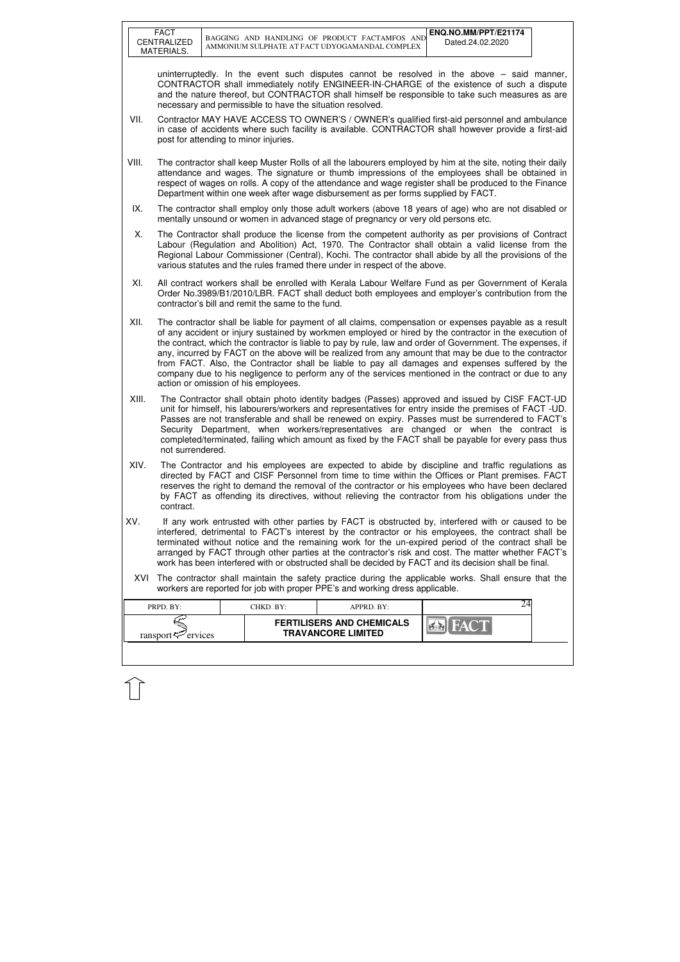|       | <b>FACT</b><br>CENTRALIZED<br>MATERIALS.                                                                                                                                                                                                                                                                                                                                                                                                                                                                                          |  |                                                           | BAGGING AND HANDLING OF PRODUCT FACTAMFOS AND<br>AMMONIUM SULPHATE AT FACT UDYOGAMANDAL COMPLEX                                                                                                                                                                                                                                                                                                                                                                                                                                                                                                                                                    | ENQ.NO.MM/PPT/E21174<br>Dated.24.02.2020 |  |
|-------|-----------------------------------------------------------------------------------------------------------------------------------------------------------------------------------------------------------------------------------------------------------------------------------------------------------------------------------------------------------------------------------------------------------------------------------------------------------------------------------------------------------------------------------|--|-----------------------------------------------------------|----------------------------------------------------------------------------------------------------------------------------------------------------------------------------------------------------------------------------------------------------------------------------------------------------------------------------------------------------------------------------------------------------------------------------------------------------------------------------------------------------------------------------------------------------------------------------------------------------------------------------------------------------|------------------------------------------|--|
|       |                                                                                                                                                                                                                                                                                                                                                                                                                                                                                                                                   |  | necessary and permissible to have the situation resolved. | uninterruptedly. In the event such disputes cannot be resolved in the above $-$ said manner,<br>CONTRACTOR shall immediately notify ENGINEER-IN-CHARGE of the existence of such a dispute<br>and the nature thereof, but CONTRACTOR shall himself be responsible to take such measures as are                                                                                                                                                                                                                                                                                                                                                      |                                          |  |
| VII.  |                                                                                                                                                                                                                                                                                                                                                                                                                                                                                                                                   |  | post for attending to minor injuries.                     | Contractor MAY HAVE ACCESS TO OWNER'S / OWNER's qualified first-aid personnel and ambulance<br>in case of accidents where such facility is available. CONTRACTOR shall however provide a first-aid                                                                                                                                                                                                                                                                                                                                                                                                                                                 |                                          |  |
| VIII. |                                                                                                                                                                                                                                                                                                                                                                                                                                                                                                                                   |  |                                                           | The contractor shall keep Muster Rolls of all the labourers employed by him at the site, noting their daily<br>attendance and wages. The signature or thumb impressions of the employees shall be obtained in<br>respect of wages on rolls. A copy of the attendance and wage register shall be produced to the Finance<br>Department within one week after wage disbursement as per forms supplied by FACT.                                                                                                                                                                                                                                       |                                          |  |
| IX.   |                                                                                                                                                                                                                                                                                                                                                                                                                                                                                                                                   |  |                                                           | The contractor shall employ only those adult workers (above 18 years of age) who are not disabled or<br>mentally unsound or women in advanced stage of pregnancy or very old persons etc.                                                                                                                                                                                                                                                                                                                                                                                                                                                          |                                          |  |
| Х.    |                                                                                                                                                                                                                                                                                                                                                                                                                                                                                                                                   |  |                                                           | The Contractor shall produce the license from the competent authority as per provisions of Contract<br>Labour (Regulation and Abolition) Act, 1970. The Contractor shall obtain a valid license from the<br>Regional Labour Commissioner (Central), Kochi. The contractor shall abide by all the provisions of the<br>various statutes and the rules framed there under in respect of the above.                                                                                                                                                                                                                                                   |                                          |  |
| XI.   |                                                                                                                                                                                                                                                                                                                                                                                                                                                                                                                                   |  | contractor's bill and remit the same to the fund.         | All contract workers shall be enrolled with Kerala Labour Welfare Fund as per Government of Kerala<br>Order No.3989/B1/2010/LBR. FACT shall deduct both employees and employer's contribution from the                                                                                                                                                                                                                                                                                                                                                                                                                                             |                                          |  |
| XII.  |                                                                                                                                                                                                                                                                                                                                                                                                                                                                                                                                   |  | action or omission of his employees.                      | The contractor shall be liable for payment of all claims, compensation or expenses payable as a result<br>of any accident or injury sustained by workmen employed or hired by the contractor in the execution of<br>the contract, which the contractor is liable to pay by rule, law and order of Government. The expenses, if<br>any, incurred by FACT on the above will be realized from any amount that may be due to the contractor<br>from FACT. Also, the Contractor shall be liable to pay all damages and expenses suffered by the<br>company due to his negligence to perform any of the services mentioned in the contract or due to any |                                          |  |
| XIII. | not surrendered.                                                                                                                                                                                                                                                                                                                                                                                                                                                                                                                  |  |                                                           | The Contractor shall obtain photo identity badges (Passes) approved and issued by CISF FACT-UD<br>unit for himself, his labourers/workers and representatives for entry inside the premises of FACT -UD.<br>Passes are not transferable and shall be renewed on expiry. Passes must be surrendered to FACT's<br>Security Department, when workers/representatives are changed or when the contract is<br>completed/terminated, failing which amount as fixed by the FACT shall be payable for every pass thus                                                                                                                                      |                                          |  |
| XIV.  | The Contractor and his employees are expected to abide by discipline and traffic regulations as<br>directed by FACT and CISF Personnel from time to time within the Offices or Plant premises. FACT<br>reserves the right to demand the removal of the contractor or his employees who have been declared<br>by FACT as offending its directives, without relieving the contractor from his obligations under the<br>contract.                                                                                                    |  |                                                           |                                                                                                                                                                                                                                                                                                                                                                                                                                                                                                                                                                                                                                                    |                                          |  |
| XV.   | If any work entrusted with other parties by FACT is obstructed by, interfered with or caused to be<br>interfered, detrimental to FACT's interest by the contractor or his employees, the contract shall be<br>terminated without notice and the remaining work for the un-expired period of the contract shall be<br>arranged by FACT through other parties at the contractor's risk and cost. The matter whether FACT's<br>work has been interfered with or obstructed shall be decided by FACT and its decision shall be final. |  |                                                           |                                                                                                                                                                                                                                                                                                                                                                                                                                                                                                                                                                                                                                                    |                                          |  |
| XVI   |                                                                                                                                                                                                                                                                                                                                                                                                                                                                                                                                   |  |                                                           | The contractor shall maintain the safety practice during the applicable works. Shall ensure that the<br>workers are reported for job with proper PPE's and working dress applicable.                                                                                                                                                                                                                                                                                                                                                                                                                                                               |                                          |  |
|       | PRPD. BY:                                                                                                                                                                                                                                                                                                                                                                                                                                                                                                                         |  | CHKD. BY:                                                 | APPRD. BY:                                                                                                                                                                                                                                                                                                                                                                                                                                                                                                                                                                                                                                         | 24                                       |  |
|       | ransport <sup>-</sup> ervices                                                                                                                                                                                                                                                                                                                                                                                                                                                                                                     |  |                                                           | <b>FERTILISERS AND CHEMICALS</b><br><b>TRAVANCORE LIMITED</b>                                                                                                                                                                                                                                                                                                                                                                                                                                                                                                                                                                                      |                                          |  |
|       |                                                                                                                                                                                                                                                                                                                                                                                                                                                                                                                                   |  |                                                           |                                                                                                                                                                                                                                                                                                                                                                                                                                                                                                                                                                                                                                                    |                                          |  |

 $\widehat{1}$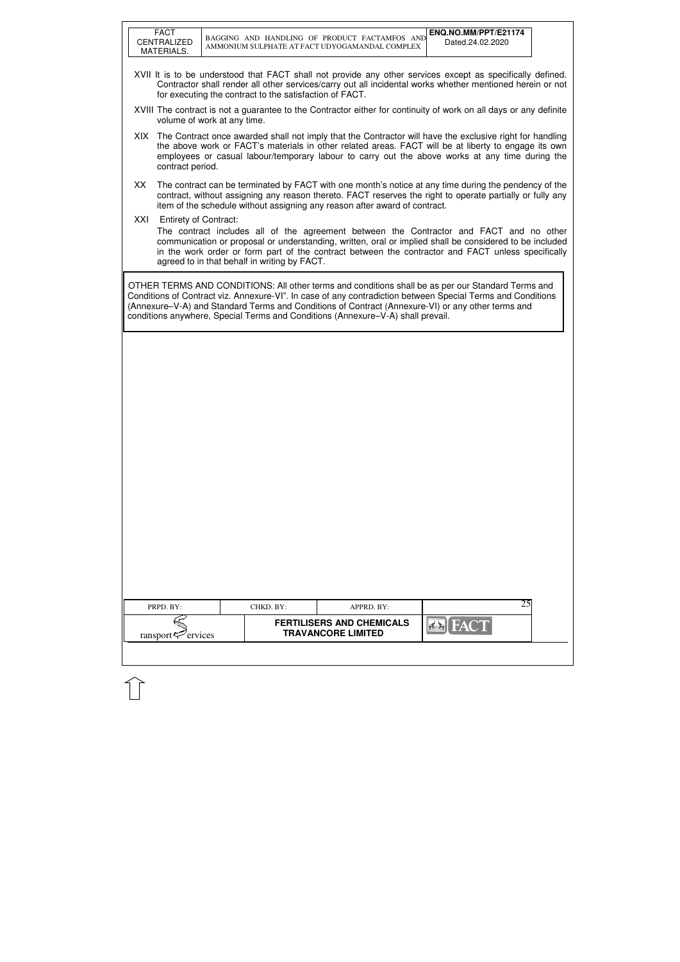|     | <b>FACT</b><br>CENTRALIZED<br>MATERIALS.                                                                                                                                                                                                                                                                                                                                                                 | BAGGING AND HANDLING OF PRODUCT FACTAMFOS AND<br>AMMONIUM SULPHATE AT FACT UDYOGAMANDAL COMPLEX |                                                               | ENQ.NO.MM/PPT/E21174<br>Dated.24.02.2020                                                                                                                                                                                                                                                                                |  |  |  |
|-----|----------------------------------------------------------------------------------------------------------------------------------------------------------------------------------------------------------------------------------------------------------------------------------------------------------------------------------------------------------------------------------------------------------|-------------------------------------------------------------------------------------------------|---------------------------------------------------------------|-------------------------------------------------------------------------------------------------------------------------------------------------------------------------------------------------------------------------------------------------------------------------------------------------------------------------|--|--|--|
|     |                                                                                                                                                                                                                                                                                                                                                                                                          | for executing the contract to the satisfaction of FACT.                                         |                                                               | XVII It is to be understood that FACT shall not provide any other services except as specifically defined.<br>Contractor shall render all other services/carry out all incidental works whether mentioned herein or not                                                                                                 |  |  |  |
|     |                                                                                                                                                                                                                                                                                                                                                                                                          | volume of work at any time.                                                                     |                                                               | XVIII The contract is not a guarantee to the Contractor either for continuity of work on all days or any definite                                                                                                                                                                                                       |  |  |  |
|     | contract period.                                                                                                                                                                                                                                                                                                                                                                                         |                                                                                                 |                                                               | XIX The Contract once awarded shall not imply that the Contractor will have the exclusive right for handling<br>the above work or FACT's materials in other related areas. FACT will be at liberty to engage its own<br>employees or casual labour/temporary labour to carry out the above works at any time during the |  |  |  |
| XX  |                                                                                                                                                                                                                                                                                                                                                                                                          | item of the schedule without assigning any reason after award of contract.                      |                                                               | The contract can be terminated by FACT with one month's notice at any time during the pendency of the<br>contract, without assigning any reason thereto. FACT reserves the right to operate partially or fully any                                                                                                      |  |  |  |
| XXI | <b>Entirety of Contract:</b>                                                                                                                                                                                                                                                                                                                                                                             | agreed to in that behalf in writing by FACT.                                                    |                                                               | The contract includes all of the agreement between the Contractor and FACT and no other<br>communication or proposal or understanding, written, oral or implied shall be considered to be included<br>in the work order or form part of the contract between the contractor and FACT unless specifically                |  |  |  |
|     | OTHER TERMS AND CONDITIONS: All other terms and conditions shall be as per our Standard Terms and<br>Conditions of Contract viz. Annexure-VI". In case of any contradiction between Special Terms and Conditions<br>(Annexure-V-A) and Standard Terms and Conditions of Contract (Annexure-VI) or any other terms and<br>conditions anywhere, Special Terms and Conditions (Annexure-V-A) shall prevail. |                                                                                                 |                                                               |                                                                                                                                                                                                                                                                                                                         |  |  |  |
|     |                                                                                                                                                                                                                                                                                                                                                                                                          |                                                                                                 |                                                               |                                                                                                                                                                                                                                                                                                                         |  |  |  |
|     |                                                                                                                                                                                                                                                                                                                                                                                                          |                                                                                                 |                                                               |                                                                                                                                                                                                                                                                                                                         |  |  |  |
|     |                                                                                                                                                                                                                                                                                                                                                                                                          |                                                                                                 |                                                               |                                                                                                                                                                                                                                                                                                                         |  |  |  |
|     |                                                                                                                                                                                                                                                                                                                                                                                                          |                                                                                                 |                                                               |                                                                                                                                                                                                                                                                                                                         |  |  |  |
|     |                                                                                                                                                                                                                                                                                                                                                                                                          |                                                                                                 |                                                               |                                                                                                                                                                                                                                                                                                                         |  |  |  |
|     |                                                                                                                                                                                                                                                                                                                                                                                                          |                                                                                                 |                                                               |                                                                                                                                                                                                                                                                                                                         |  |  |  |
|     |                                                                                                                                                                                                                                                                                                                                                                                                          |                                                                                                 |                                                               |                                                                                                                                                                                                                                                                                                                         |  |  |  |
|     | PRPD. BY:                                                                                                                                                                                                                                                                                                                                                                                                | CHKD. BY:                                                                                       | APPRD. BY:                                                    | 25                                                                                                                                                                                                                                                                                                                      |  |  |  |
|     | ransport $\approx$ ervices                                                                                                                                                                                                                                                                                                                                                                               |                                                                                                 | <b>FERTILISERS AND CHEMICALS</b><br><b>TRAVANCORE LIMITED</b> | FAC                                                                                                                                                                                                                                                                                                                     |  |  |  |
|     |                                                                                                                                                                                                                                                                                                                                                                                                          |                                                                                                 |                                                               |                                                                                                                                                                                                                                                                                                                         |  |  |  |

 $\hat{1}$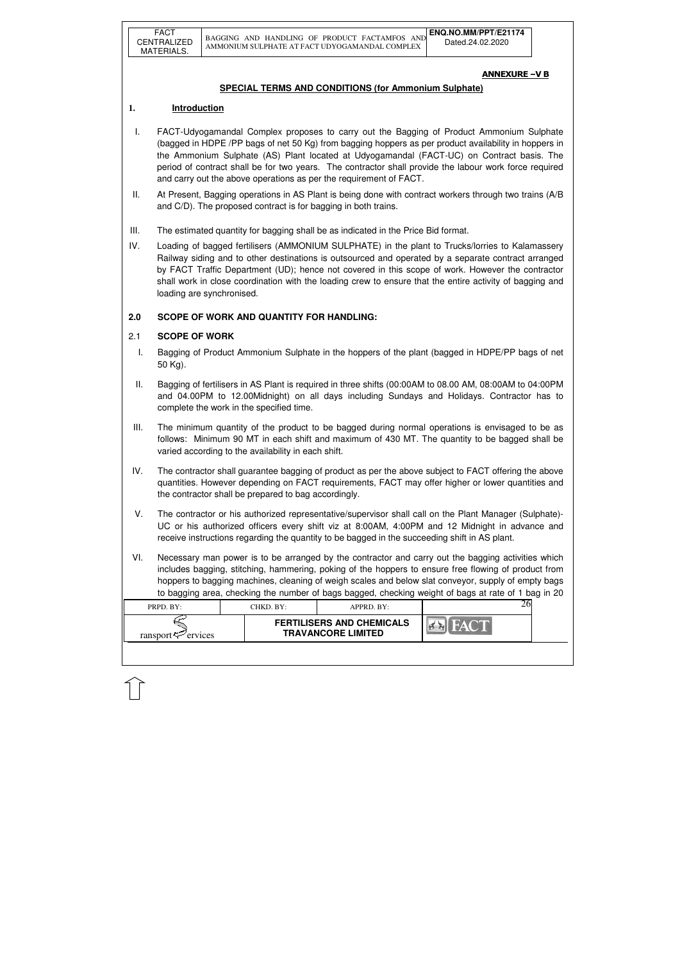| PRPD. BY:               | CHKD. BY: | $APPRD$ . BY:                                                 |  |
|-------------------------|-----------|---------------------------------------------------------------|--|
| ransport $\leq$ ervices |           | <b>FERTILISERS AND CHEMICALS</b><br><b>TRAVANCORE LIMITED</b> |  |
|                         |           |                                                               |  |

## ANNEXURE –V B

## **SPECIAL TERMS AND CONDITIONS (for Ammonium Sulphate)**

## **1. Introduction**

- I. FACT-Udyogamandal Complex proposes to carry out the Bagging of Product Ammonium Sulphate (bagged in HDPE /PP bags of net 50 Kg) from bagging hoppers as per product availability in hoppers in the Ammonium Sulphate (AS) Plant located at Udyogamandal (FACT-UC) on Contract basis. The period of contract shall be for two years. The contractor shall provide the labour work force required and carry out the above operations as per the requirement of FACT.
- II. At Present, Bagging operations in AS Plant is being done with contract workers through two trains (A/B and C/D). The proposed contract is for bagging in both trains.
- III. The estimated quantity for bagging shall be as indicated in the Price Bid format.
- IV. Loading of bagged fertilisers (AMMONIUM SULPHATE) in the plant to Trucks/lorries to Kalamassery Railway siding and to other destinations is outsourced and operated by a separate contract arranged by FACT Traffic Department (UD); hence not covered in this scope of work. However the contractor shall work in close coordination with the loading crew to ensure that the entire activity of bagging and loading are synchronised.

# **2.0 SCOPE OF WORK AND QUANTITY FOR HANDLING:**

## 2.1 **SCOPE OF WORK**

- I. Bagging of Product Ammonium Sulphate in the hoppers of the plant (bagged in HDPE/PP bags of net 50 Kg).
- II. Bagging of fertilisers in AS Plant is required in three shifts (00:00AM to 08.00 AM, 08:00AM to 04:00PM and 04.00PM to 12.00Midnight) on all days including Sundays and Holidays. Contractor has to complete the work in the specified time.
- III. The minimum quantity of the product to be bagged during normal operations is envisaged to be as follows: Minimum 90 MT in each shift and maximum of 430 MT. The quantity to be bagged shall be varied according to the availability in each shift.
- IV. The contractor shall guarantee bagging of product as per the above subject to FACT offering the above quantities. However depending on FACT requirements, FACT may offer higher or lower quantities and the contractor shall be prepared to bag accordingly.
- V. The contractor or his authorized representative/supervisor shall call on the Plant Manager (Sulphate)- UC or his authorized officers every shift viz at 8:00AM, 4:00PM and 12 Midnight in advance and receive instructions regarding the quantity to be bagged in the succeeding shift in AS plant.
- VI. Necessary man power is to be arranged by the contractor and carry out the bagging activities which includes bagging, stitching, hammering, poking of the hoppers to ensure free flowing of product from hoppers to bagging machines, cleaning of weigh scales and below slat conveyor, supply of empty bags to bagging area, checking the number of bags bagged, checking weight of bags at rate of 1 bag in 20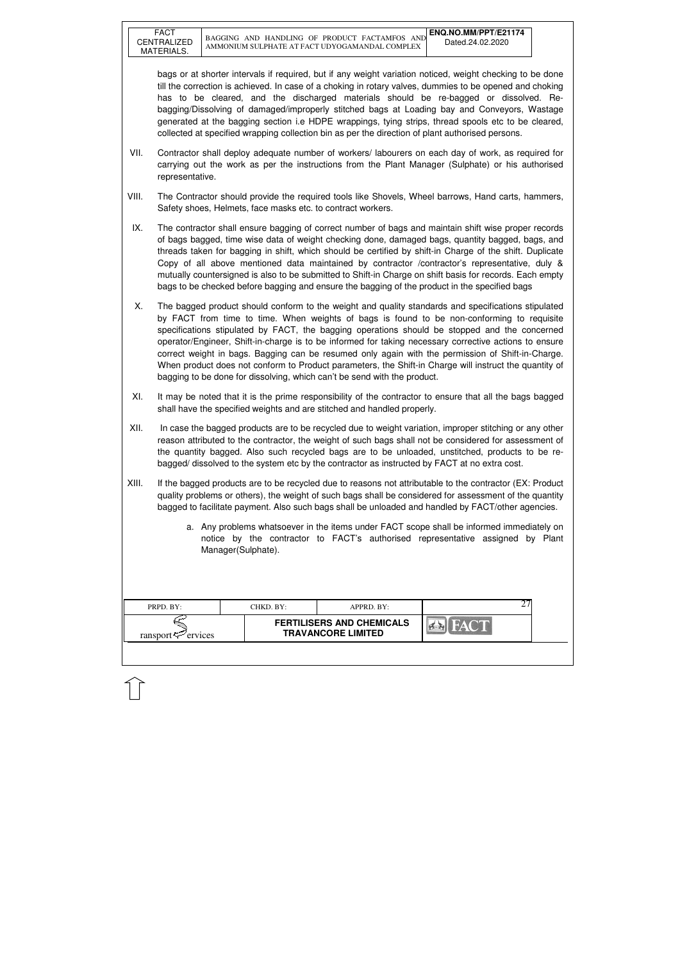| PRPD. BY:               | CHKD. BY:                                                     | APPRD. BY: | <u>_</u> |  |
|-------------------------|---------------------------------------------------------------|------------|----------|--|
| ransport $\leq$ ervices | <b>FERTILISERS AND CHEMICALS</b><br><b>TRAVANCORE LIMITED</b> |            |          |  |

bags or at shorter intervals if required, but if any weight variation noticed, weight checking to be done till the correction is achieved. In case of a choking in rotary valves, dummies to be opened and choking has to be cleared, and the discharged materials should be re-bagged or dissolved. Rebagging/Dissolving of damaged/improperly stitched bags at Loading bay and Conveyors, Wastage generated at the bagging section i.e HDPE wrappings, tying strips, thread spools etc to be cleared, collected at specified wrapping collection bin as per the direction of plant authorised persons.

- VII. Contractor shall deploy adequate number of workers/ labourers on each day of work, as required for carrying out the work as per the instructions from the Plant Manager (Sulphate) or his authorised representative.
- VIII. The Contractor should provide the required tools like Shovels, Wheel barrows, Hand carts, hammers, Safety shoes, Helmets, face masks etc. to contract workers.
- IX. The contractor shall ensure bagging of correct number of bags and maintain shift wise proper records of bags bagged, time wise data of weight checking done, damaged bags, quantity bagged, bags, and threads taken for bagging in shift, which should be certified by shift-in Charge of the shift. Duplicate Copy of all above mentioned data maintained by contractor /contractor's representative, duly & mutually countersigned is also to be submitted to Shift-in Charge on shift basis for records. Each empty bags to be checked before bagging and ensure the bagging of the product in the specified bags
- X. The bagged product should conform to the weight and quality standards and specifications stipulated by FACT from time to time. When weights of bags is found to be non-conforming to requisite specifications stipulated by FACT, the bagging operations should be stopped and the concerned operator/Engineer, Shift-in-charge is to be informed for taking necessary corrective actions to ensure correct weight in bags. Bagging can be resumed only again with the permission of Shift-in-Charge. When product does not conform to Product parameters, the Shift-in Charge will instruct the quantity of bagging to be done for dissolving, which can't be send with the product.
- XI. It may be noted that it is the prime responsibility of the contractor to ensure that all the bags bagged shall have the specified weights and are stitched and handled properly.
- XII. In case the bagged products are to be recycled due to weight variation, improper stitching or any other reason attributed to the contractor, the weight of such bags shall not be considered for assessment of the quantity bagged. Also such recycled bags are to be unloaded, unstitched, products to be rebagged/ dissolved to the system etc by the contractor as instructed by FACT at no extra cost.
- XIII. If the bagged products are to be recycled due to reasons not attributable to the contractor (EX: Product quality problems or others), the weight of such bags shall be considered for assessment of the quantity bagged to facilitate payment. Also such bags shall be unloaded and handled by FACT/other agencies.
	- a. Any problems whatsoever in the items under FACT scope shall be informed immediately on notice by the contractor to FACT's authorised representative assigned by Plant Manager(Sulphate).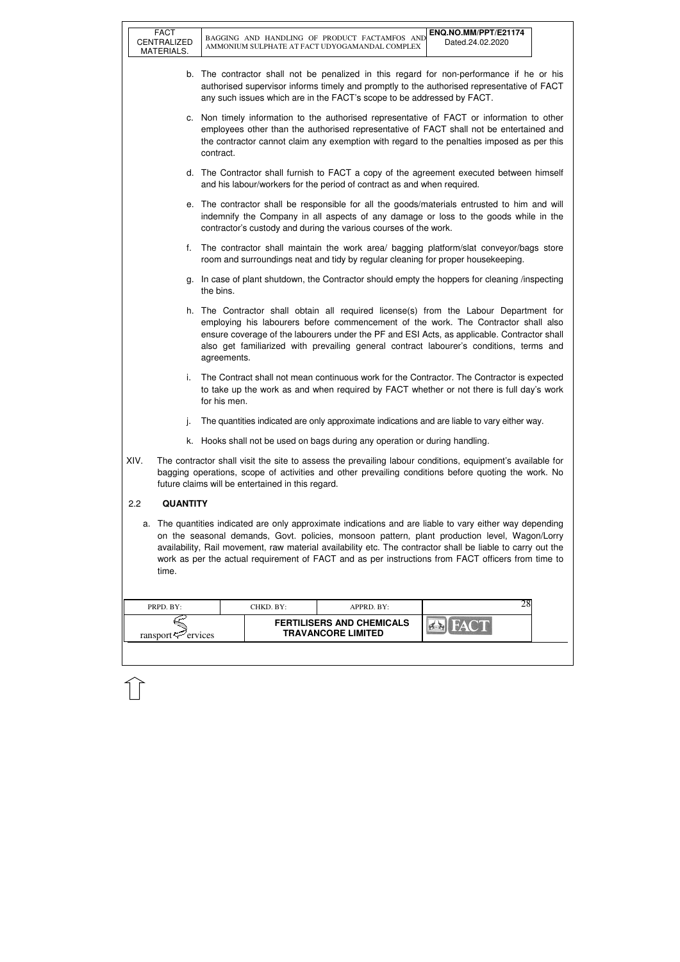FACT

| PRPD. BY:               | CHKD. BY:- | APPRD. BY:                                                    |  |
|-------------------------|------------|---------------------------------------------------------------|--|
| ransport $\leq$ ervices |            | <b>FERTILISERS AND CHEMICALS</b><br><b>TRAVANCORE LIMITED</b> |  |

- b. The contractor shall not be penalized in this regard for non-performance if he or his authorised supervisor informs timely and promptly to the authorised representative of FACT any such issues which are in the FACT's scope to be addressed by FACT.
- c. Non timely information to the authorised representative of FACT or information to other employees other than the authorised representative of FACT shall not be entertained and the contractor cannot claim any exemption with regard to the penalties imposed as per this contract.
- d. The Contractor shall furnish to FACT a copy of the agreement executed between himself and his labour/workers for the period of contract as and when required.
- e. The contractor shall be responsible for all the goods/materials entrusted to him and will indemnify the Company in all aspects of any damage or loss to the goods while in the contractor's custody and during the various courses of the work.
- f. The contractor shall maintain the work area/ bagging platform/slat conveyor/bags store room and surroundings neat and tidy by regular cleaning for proper housekeeping.
- g. In case of plant shutdown, the Contractor should empty the hoppers for cleaning /inspecting the bins.
- h. The Contractor shall obtain all required license(s) from the Labour Department for employing his labourers before commencement of the work. The Contractor shall also ensure coverage of the labourers under the PF and ESI Acts, as applicable. Contractor shall also get familiarized with prevailing general contract labourer's conditions, terms and agreements.
- i. The Contract shall not mean continuous work for the Contractor. The Contractor is expected to take up the work as and when required by FACT whether or not there is full day's work for his men.
- j. The quantities indicated are only approximate indications and are liable to vary either way.
- k. Hooks shall not be used on bags during any operation or during handling.
- XIV. The contractor shall visit the site to assess the prevailing labour conditions, equipment's available for bagging operations, scope of activities and other prevailing conditions before quoting the work. No future claims will be entertained in this regard.

## 2.2 **QUANTITY**

a. The quantities indicated are only approximate indications and are liable to vary either way depending on the seasonal demands, Govt. policies, monsoon pattern, plant production level, Wagon/Lorry availability, Rail movement, raw material availability etc. The contractor shall be liable to carry out the work as per the actual requirement of FACT and as per instructions from FACT officers from time to time.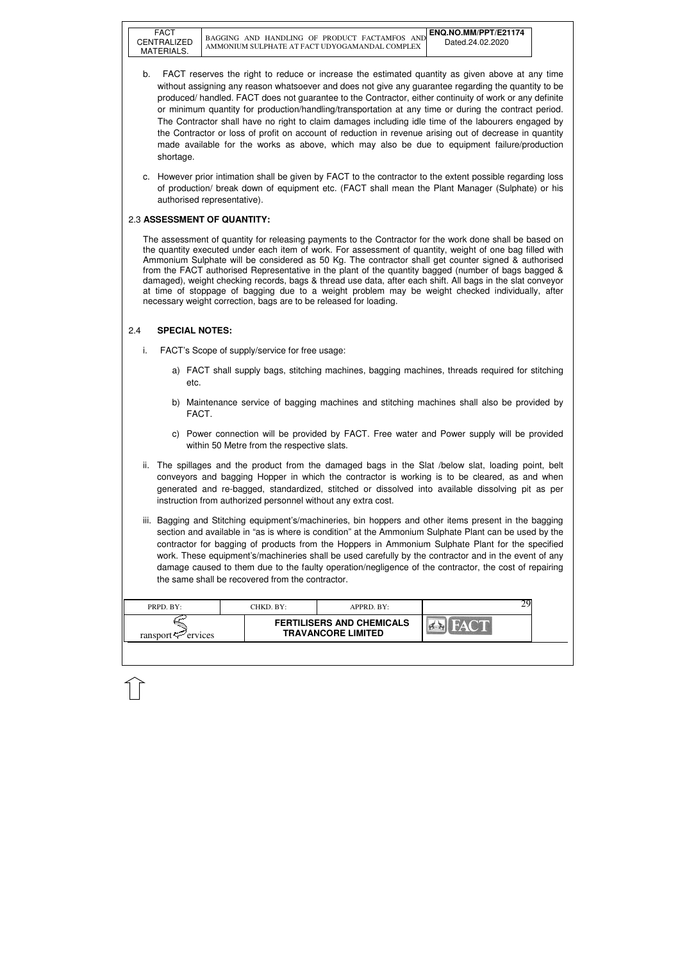FACT

| PRPD. BY:                  | CHKD. BY: | APPRD. BY:                                                    |  |
|----------------------------|-----------|---------------------------------------------------------------|--|
| ransport $\approx$ ervices |           | <b>FERTILISERS AND CHEMICALS</b><br><b>TRAVANCORE LIMITED</b> |  |

- b. FACT reserves the right to reduce or increase the estimated quantity as given above at any time without assigning any reason whatsoever and does not give any guarantee regarding the quantity to be produced/ handled. FACT does not guarantee to the Contractor, either continuity of work or any definite or minimum quantity for production/handling/transportation at any time or during the contract period. The Contractor shall have no right to claim damages including idle time of the labourers engaged by the Contractor or loss of profit on account of reduction in revenue arising out of decrease in quantity made available for the works as above, which may also be due to equipment failure/production shortage.
- c. However prior intimation shall be given by FACT to the contractor to the extent possible regarding loss of production/ break down of equipment etc. (FACT shall mean the Plant Manager (Sulphate) or his authorised representative).

## 2.3 **ASSESSMENT OF QUANTITY:**

The assessment of quantity for releasing payments to the Contractor for the work done shall be based on the quantity executed under each item of work. For assessment of quantity, weight of one bag filled with Ammonium Sulphate will be considered as 50 Kg. The contractor shall get counter signed & authorised from the FACT authorised Representative in the plant of the quantity bagged (number of bags bagged & damaged), weight checking records, bags & thread use data, after each shift. All bags in the slat conveyor at time of stoppage of bagging due to a weight problem may be weight checked individually, after necessary weight correction, bags are to be released for loading.

# 2.4 **SPECIAL NOTES:**

- i. FACT's Scope of supply/service for free usage:
	- a) FACT shall supply bags, stitching machines, bagging machines, threads required for stitching etc.
	- b) Maintenance service of bagging machines and stitching machines shall also be provided by FACT.
	- c) Power connection will be provided by FACT. Free water and Power supply will be provided within 50 Metre from the respective slats.
- ii. The spillages and the product from the damaged bags in the Slat /below slat, loading point, belt conveyors and bagging Hopper in which the contractor is working is to be cleared, as and when generated and re-bagged, standardized, stitched or dissolved into available dissolving pit as per instruction from authorized personnel without any extra cost.
- iii. Bagging and Stitching equipment's/machineries, bin hoppers and other items present in the bagging section and available in "as is where is condition" at the Ammonium Sulphate Plant can be used by the contractor for bagging of products from the Hoppers in Ammonium Sulphate Plant for the specified work. These equipment's/machineries shall be used carefully by the contractor and in the event of any damage caused to them due to the faulty operation/negligence of the contractor, the cost of repairing the same shall be recovered from the contractor.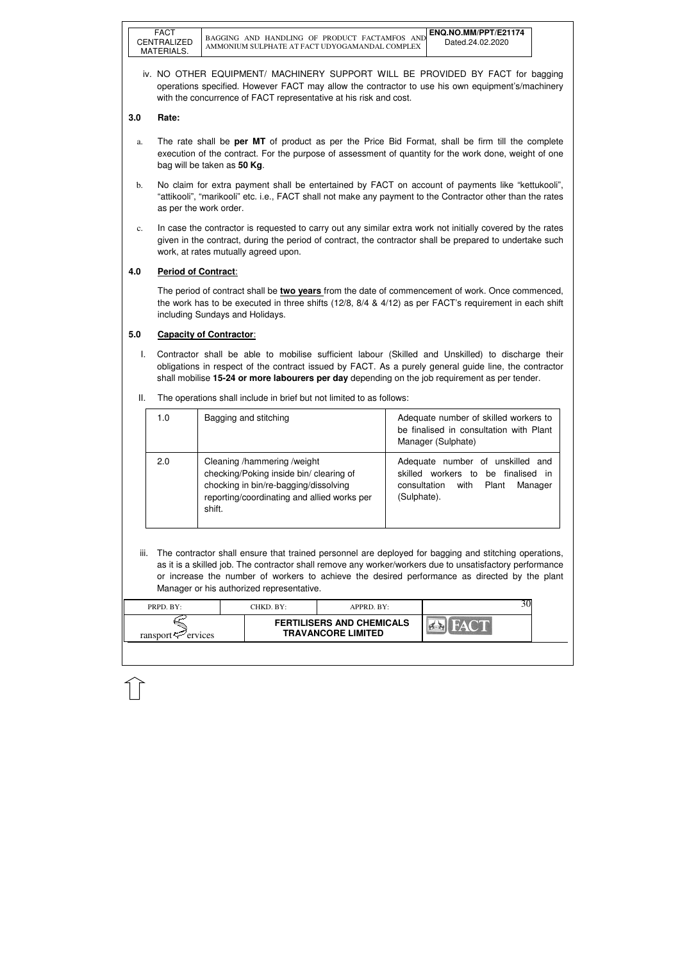| PRPD. BY:           | CHKD. BY:- | $APPRD$ $BY:$                                                 |  |
|---------------------|------------|---------------------------------------------------------------|--|
| ransport<br>ervices |            | <b>FERTILISERS AND CHEMICALS</b><br><b>TRAVANCORE LIMITED</b> |  |

iv. NO OTHER EQUIPMENT/ MACHINERY SUPPORT WILL BE PROVIDED BY FACT for bagging operations specified. However FACT may allow the contractor to use his own equipment's/machinery with the concurrence of FACT representative at his risk and cost.

## **3.0 Rate:**

- a. The rate shall be **per MT** of product as per the Price Bid Format, shall be firm till the complete execution of the contract. For the purpose of assessment of quantity for the work done, weight of one bag will be taken as **50 Kg**.
- b. No claim for extra payment shall be entertained by FACT on account of payments like "kettukooli", "attikooli", "marikooli" etc. i.e., FACT shall not make any payment to the Contractor other than the rates as per the work order.
- c. In case the contractor is requested to carry out any similar extra work not initially covered by the rates given in the contract, during the period of contract, the contractor shall be prepared to undertake such work, at rates mutually agreed upon.

# **4.0 Period of Contract**:

iii. The contractor shall ensure that trained personnel are deployed for bagging and stitching operations, as it is a skilled job. The contractor shall remove any worker/workers due to unsatisfactory performance or increase the number of workers to achieve the desired performance as directed by the plant Manager or his authorized representative.

 The period of contract shall be **two years** from the date of commencement of work. Once commenced, the work has to be executed in three shifts (12/8, 8/4 & 4/12) as per FACT's requirement in each shift including Sundays and Holidays.

## **5.0 Capacity of Contractor**:

I. Contractor shall be able to mobilise sufficient labour (Skilled and Unskilled) to discharge their obligations in respect of the contract issued by FACT. As a purely general guide line, the contractor shall mobilise **15-24 or more labourers per day** depending on the job requirement as per tender.

| The operations shall include in brief but not limited to as follows:<br>Ш. |
|----------------------------------------------------------------------------|
|----------------------------------------------------------------------------|

| 1.0 | Bagging and stitching                                                                                                                                                    | Adequate number of skilled workers to<br>be finalised in consultation with Plant<br>Manager (Sulphate)                                    |
|-----|--------------------------------------------------------------------------------------------------------------------------------------------------------------------------|-------------------------------------------------------------------------------------------------------------------------------------------|
| 2.0 | Cleaning /hammering /weight<br>checking/Poking inside bin/ clearing of<br>chocking in bin/re-bagging/dissolving<br>reporting/coordinating and allied works per<br>shift. | Adequate number of unskilled and<br>skilled workers to<br>be finalised<br>in i<br>with<br>consultation<br>Plant<br>Manager<br>(Sulphate). |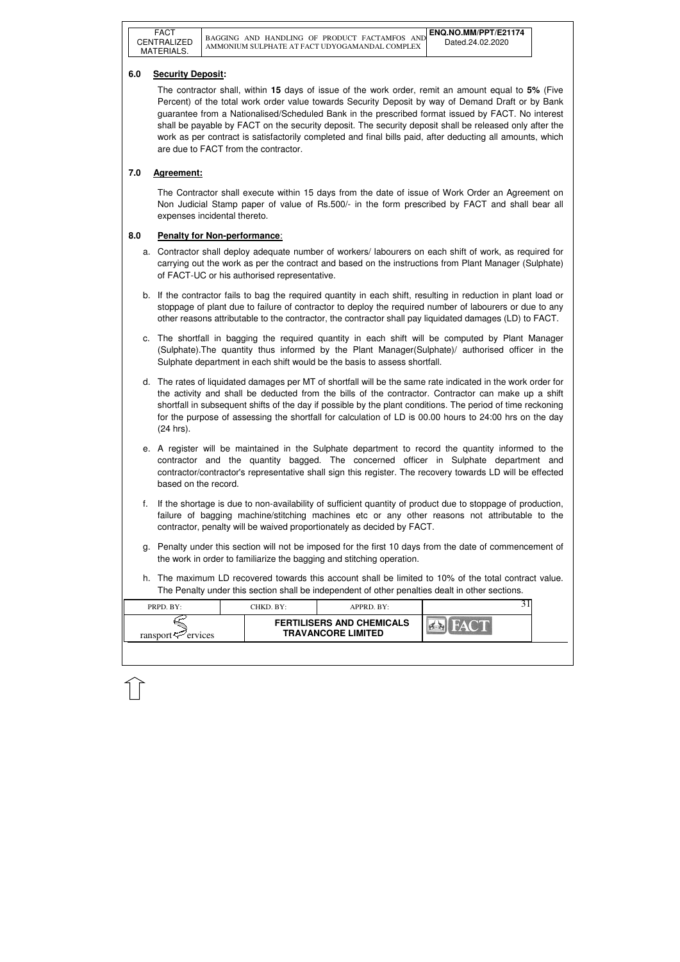| PRPD. BY:                      | CHKD. BY: | APPRD. BY:                                                    |  |
|--------------------------------|-----------|---------------------------------------------------------------|--|
| ransport $\mathcal{P}$ ervices |           | <b>FERTILISERS AND CHEMICALS</b><br><b>TRAVANCORE LIMITED</b> |  |
|                                |           |                                                               |  |

## **6.0 Security Deposit:**

 The contractor shall, within **15** days of issue of the work order, remit an amount equal to **5%** (Five Percent) of the total work order value towards Security Deposit by way of Demand Draft or by Bank guarantee from a Nationalised/Scheduled Bank in the prescribed format issued by FACT. No interest shall be payable by FACT on the security deposit. The security deposit shall be released only after the work as per contract is satisfactorily completed and final bills paid, after deducting all amounts, which are due to FACT from the contractor.

# **7.0 Agreement:**

The Contractor shall execute within 15 days from the date of issue of Work Order an Agreement on Non Judicial Stamp paper of value of Rs.500/- in the form prescribed by FACT and shall bear all expenses incidental thereto.

## **8.0 Penalty for Non-performance**:

- a. Contractor shall deploy adequate number of workers/ labourers on each shift of work, as required for carrying out the work as per the contract and based on the instructions from Plant Manager (Sulphate) of FACT-UC or his authorised representative.
- b. If the contractor fails to bag the required quantity in each shift, resulting in reduction in plant load or stoppage of plant due to failure of contractor to deploy the required number of labourers or due to any other reasons attributable to the contractor, the contractor shall pay liquidated damages (LD) to FACT.
- c. The shortfall in bagging the required quantity in each shift will be computed by Plant Manager (Sulphate).The quantity thus informed by the Plant Manager(Sulphate)/ authorised officer in the Sulphate department in each shift would be the basis to assess shortfall.
- d. The rates of liquidated damages per MT of shortfall will be the same rate indicated in the work order for the activity and shall be deducted from the bills of the contractor. Contractor can make up a shift shortfall in subsequent shifts of the day if possible by the plant conditions. The period of time reckoning for the purpose of assessing the shortfall for calculation of LD is 00.00 hours to 24:00 hrs on the day (24 hrs).
- e. A register will be maintained in the Sulphate department to record the quantity informed to the contractor and the quantity bagged. The concerned officer in Sulphate department and contractor/contractor's representative shall sign this register. The recovery towards LD will be effected based on the record.
- f. If the shortage is due to non-availability of sufficient quantity of product due to stoppage of production, failure of bagging machine/stitching machines etc or any other reasons not attributable to the contractor, penalty will be waived proportionately as decided by FACT.
- g. Penalty under this section will not be imposed for the first 10 days from the date of commencement of the work in order to familiarize the bagging and stitching operation.
- h. The maximum LD recovered towards this account shall be limited to 10% of the total contract value. The Penalty under this section shall be independent of other penalties dealt in other sections.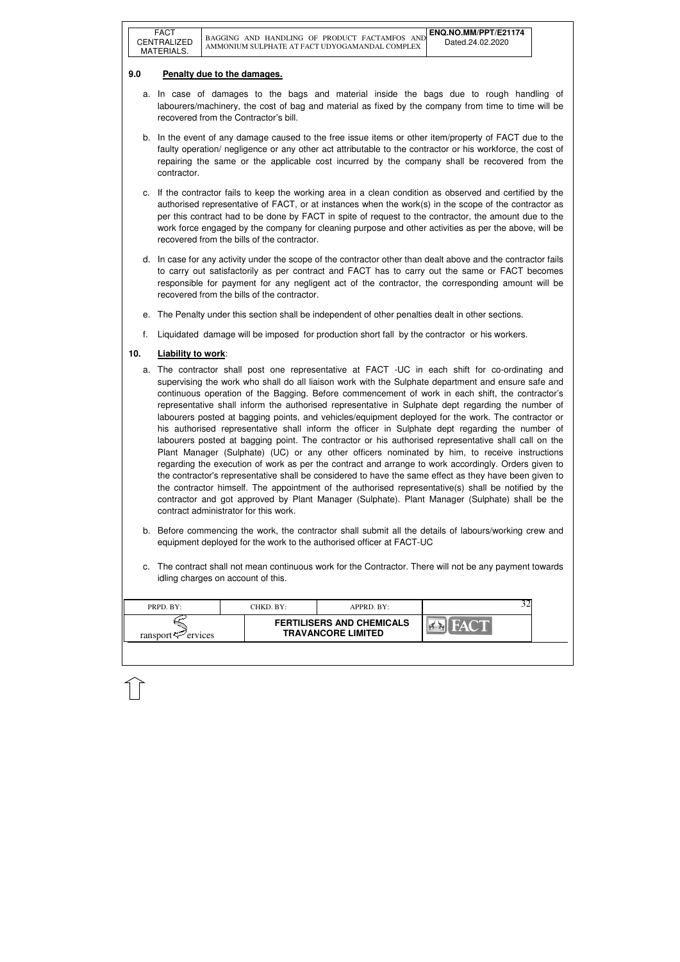| <b>FERTILISERS AND CHEMICALS</b><br><b>TRAVANCORE LIMITED</b> | PRPD. BY:               | CHKD. BY: | $APPRD$ . BY: |  |
|---------------------------------------------------------------|-------------------------|-----------|---------------|--|
|                                                               | ransport $\leq$ ervices |           |               |  |

## **9.0 Penalty due to the damages.**

- a. In case of damages to the bags and material inside the bags due to rough handling of labourers/machinery, the cost of bag and material as fixed by the company from time to time will be recovered from the Contractor's bill.
- b. In the event of any damage caused to the free issue items or other item/property of FACT due to the faulty operation/ negligence or any other act attributable to the contractor or his workforce, the cost of repairing the same or the applicable cost incurred by the company shall be recovered from the contractor.
- c. If the contractor fails to keep the working area in a clean condition as observed and certified by the authorised representative of FACT, or at instances when the work(s) in the scope of the contractor as per this contract had to be done by FACT in spite of request to the contractor, the amount due to the work force engaged by the company for cleaning purpose and other activities as per the above, will be recovered from the bills of the contractor.
- d. In case for any activity under the scope of the contractor other than dealt above and the contractor fails to carry out satisfactorily as per contract and FACT has to carry out the same or FACT becomes responsible for payment for any negligent act of the contractor, the corresponding amount will be recovered from the bills of the contractor.
- e. The Penalty under this section shall be independent of other penalties dealt in other sections.
- f. Liquidated damage will be imposed for production short fall by the contractor or his workers.

# **10. Liability to work**:

- a. The contractor shall post one representative at FACT -UC in each shift for co-ordinating and supervising the work who shall do all liaison work with the Sulphate department and ensure safe and continuous operation of the Bagging. Before commencement of work in each shift, the contractor's representative shall inform the authorised representative in Sulphate dept regarding the number of labourers posted at bagging points, and vehicles/equipment deployed for the work. The contractor or his authorised representative shall inform the officer in Sulphate dept regarding the number of labourers posted at bagging point. The contractor or his authorised representative shall call on the Plant Manager (Sulphate) (UC) or any other officers nominated by him, to receive instructions regarding the execution of work as per the contract and arrange to work accordingly. Orders given to the contractor's representative shall be considered to have the same effect as they have been given to the contractor himself. The appointment of the authorised representative(s) shall be notified by the contractor and got approved by Plant Manager (Sulphate). Plant Manager (Sulphate) shall be the contract administrator for this work.
- b. Before commencing the work, the contractor shall submit all the details of labours/working crew and equipment deployed for the work to the authorised officer at FACT-UC
- c. The contract shall not mean continuous work for the Contractor. There will not be any payment towards idling charges on account of this.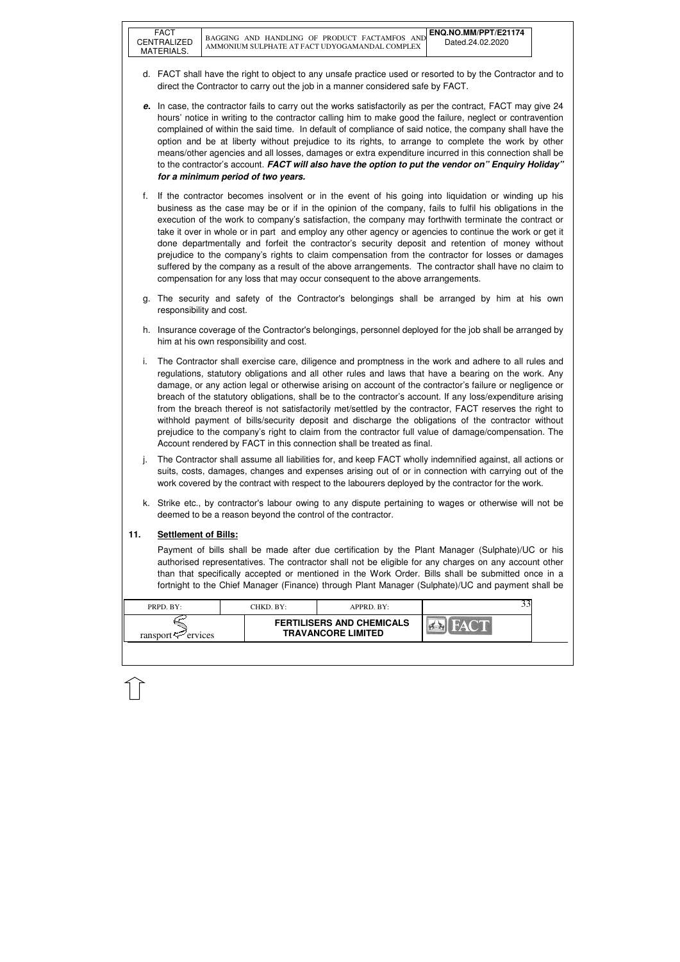| PRPD. BY:               | CHKD. BY: | $APPRD$ . BY:                                                 |  |
|-------------------------|-----------|---------------------------------------------------------------|--|
| ransport $\leq$ ervices |           | <b>FERTILISERS AND CHEMICALS</b><br><b>TRAVANCORE LIMITED</b> |  |

- d. FACT shall have the right to object to any unsafe practice used or resorted to by the Contractor and to direct the Contractor to carry out the job in a manner considered safe by FACT.
- **e.** In case, the contractor fails to carry out the works satisfactorily as per the contract, FACT may give 24 hours' notice in writing to the contractor calling him to make good the failure, neglect or contravention complained of within the said time. In default of compliance of said notice, the company shall have the option and be at liberty without prejudice to its rights, to arrange to complete the work by other means/other agencies and all losses, damages or extra expenditure incurred in this connection shall be to the contractor's account. **FACT will also have the option to put the vendor on" Enquiry Holiday" for a minimum period of two years.**
- f. If the contractor becomes insolvent or in the event of his going into liquidation or winding up his business as the case may be or if in the opinion of the company, fails to fulfil his obligations in the execution of the work to company's satisfaction, the company may forthwith terminate the contract or take it over in whole or in part and employ any other agency or agencies to continue the work or get it done departmentally and forfeit the contractor's security deposit and retention of money without prejudice to the company's rights to claim compensation from the contractor for losses or damages suffered by the company as a result of the above arrangements. The contractor shall have no claim to compensation for any loss that may occur consequent to the above arrangements.
- g. The security and safety of the Contractor's belongings shall be arranged by him at his own responsibility and cost.
- h. Insurance coverage of the Contractor's belongings, personnel deployed for the job shall be arranged by him at his own responsibility and cost.
- i. The Contractor shall exercise care, diligence and promptness in the work and adhere to all rules and regulations, statutory obligations and all other rules and laws that have a bearing on the work. Any damage, or any action legal or otherwise arising on account of the contractor's failure or negligence or breach of the statutory obligations, shall be to the contractor's account. If any loss/expenditure arising from the breach thereof is not satisfactorily met/settled by the contractor, FACT reserves the right to withhold payment of bills/security deposit and discharge the obligations of the contractor without prejudice to the company's right to claim from the contractor full value of damage/compensation. The Account rendered by FACT in this connection shall be treated as final.
- j. The Contractor shall assume all liabilities for, and keep FACT wholly indemnified against, all actions or suits, costs, damages, changes and expenses arising out of or in connection with carrying out of the work covered by the contract with respect to the labourers deployed by the contractor for the work.
- k. Strike etc., by contractor's labour owing to any dispute pertaining to wages or otherwise will not be deemed to be a reason beyond the control of the contractor.

## **11. Settlement of Bills:**

 Payment of bills shall be made after due certification by the Plant Manager (Sulphate)/UC or his authorised representatives. The contractor shall not be eligible for any charges on any account other than that specifically accepted or mentioned in the Work Order. Bills shall be submitted once in a fortnight to the Chief Manager (Finance) through Plant Manager (Sulphate)/UC and payment shall be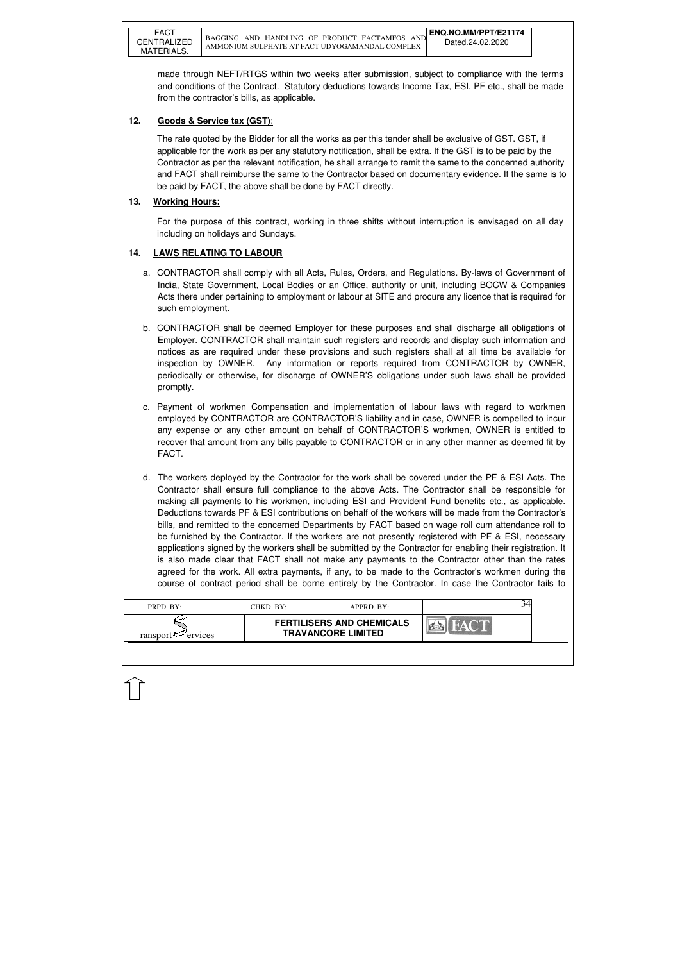| PRPD. BY:               | CHKD. BY: | $APPRD$ . BY:                                                 |  |
|-------------------------|-----------|---------------------------------------------------------------|--|
| ransport $\leq$ ervices |           | <b>FERTILISERS AND CHEMICALS</b><br><b>TRAVANCORE LIMITED</b> |  |

made through NEFT/RTGS within two weeks after submission, subject to compliance with the terms and conditions of the Contract. Statutory deductions towards Income Tax, ESI, PF etc., shall be made from the contractor's bills, as applicable.

# **12. Goods & Service tax (GST)**:

The rate quoted by the Bidder for all the works as per this tender shall be exclusive of GST. GST, if applicable for the work as per any statutory notification, shall be extra. If the GST is to be paid by the Contractor as per the relevant notification, he shall arrange to remit the same to the concerned authority and FACT shall reimburse the same to the Contractor based on documentary evidence. If the same is to be paid by FACT, the above shall be done by FACT directly.

# **13. Working Hours:**

For the purpose of this contract, working in three shifts without interruption is envisaged on all day including on holidays and Sundays.

# **14. LAWS RELATING TO LABOUR**

- a. CONTRACTOR shall comply with all Acts, Rules, Orders, and Regulations. By-laws of Government of India, State Government, Local Bodies or an Office, authority or unit, including BOCW & Companies Acts there under pertaining to employment or labour at SITE and procure any licence that is required for such employment.
- b. CONTRACTOR shall be deemed Employer for these purposes and shall discharge all obligations of Employer. CONTRACTOR shall maintain such registers and records and display such information and notices as are required under these provisions and such registers shall at all time be available for inspection by OWNER. Any information or reports required from CONTRACTOR by OWNER, periodically or otherwise, for discharge of OWNER'S obligations under such laws shall be provided promptly.
- c. Payment of workmen Compensation and implementation of labour laws with regard to workmen employed by CONTRACTOR are CONTRACTOR'S liability and in case, OWNER is compelled to incur any expense or any other amount on behalf of CONTRACTOR'S workmen, OWNER is entitled to recover that amount from any bills payable to CONTRACTOR or in any other manner as deemed fit by FACT.
- d. The workers deployed by the Contractor for the work shall be covered under the PF & ESI Acts. The Contractor shall ensure full compliance to the above Acts. The Contractor shall be responsible for making all payments to his workmen, including ESI and Provident Fund benefits etc., as applicable. Deductions towards PF & ESI contributions on behalf of the workers will be made from the Contractor's bills, and remitted to the concerned Departments by FACT based on wage roll cum attendance roll to be furnished by the Contractor. If the workers are not presently registered with PF & ESI, necessary applications signed by the workers shall be submitted by the Contractor for enabling their registration. It is also made clear that FACT shall not make any payments to the Contractor other than the rates agreed for the work. All extra payments, if any, to be made to the Contractor's workmen during the course of contract period shall be borne entirely by the Contractor. In case the Contractor fails to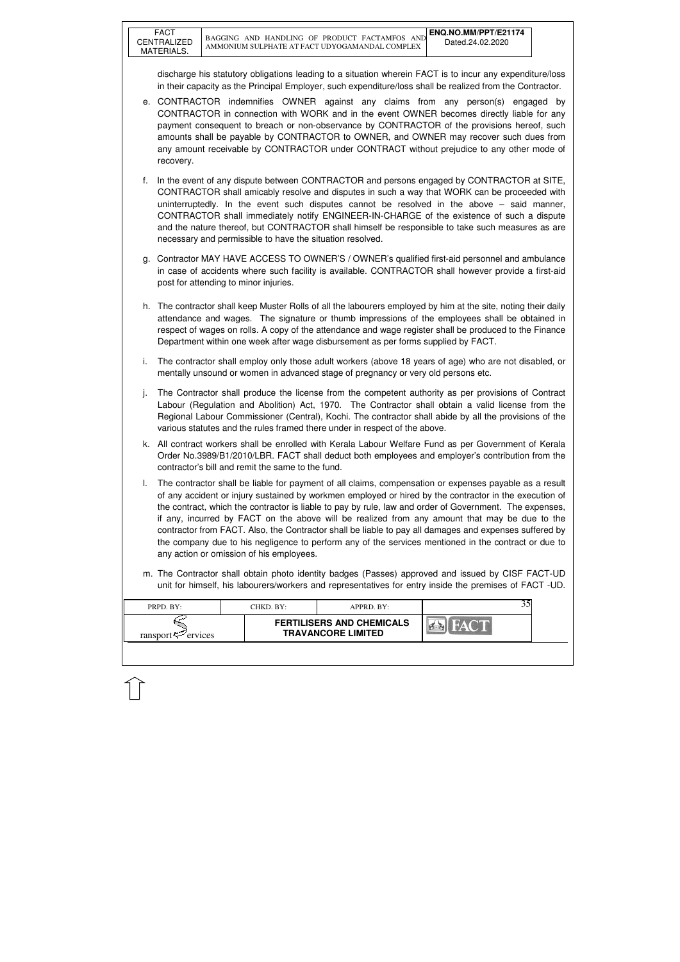| PRPD. BY:               | CHKD. BY: | APPRD. BY:                                                    |  |
|-------------------------|-----------|---------------------------------------------------------------|--|
| ransport $\leq$ ervices |           | <b>FERTILISERS AND CHEMICALS</b><br><b>TRAVANCORE LIMITED</b> |  |
|                         |           |                                                               |  |

discharge his statutory obligations leading to a situation wherein FACT is to incur any expenditure/loss in their capacity as the Principal Employer, such expenditure/loss shall be realized from the Contractor.

- e. CONTRACTOR indemnifies OWNER against any claims from any person(s) engaged by CONTRACTOR in connection with WORK and in the event OWNER becomes directly liable for any payment consequent to breach or non-observance by CONTRACTOR of the provisions hereof, such amounts shall be payable by CONTRACTOR to OWNER, and OWNER may recover such dues from any amount receivable by CONTRACTOR under CONTRACT without prejudice to any other mode of recovery.
- f. In the event of any dispute between CONTRACTOR and persons engaged by CONTRACTOR at SITE, CONTRACTOR shall amicably resolve and disputes in such a way that WORK can be proceeded with uninterruptedly. In the event such disputes cannot be resolved in the above – said manner, CONTRACTOR shall immediately notify ENGINEER-IN-CHARGE of the existence of such a dispute and the nature thereof, but CONTRACTOR shall himself be responsible to take such measures as are necessary and permissible to have the situation resolved.
- g. Contractor MAY HAVE ACCESS TO OWNER'S / OWNER's qualified first-aid personnel and ambulance in case of accidents where such facility is available. CONTRACTOR shall however provide a first-aid post for attending to minor injuries.
- h. The contractor shall keep Muster Rolls of all the labourers employed by him at the site, noting their daily attendance and wages. The signature or thumb impressions of the employees shall be obtained in respect of wages on rolls. A copy of the attendance and wage register shall be produced to the Finance Department within one week after wage disbursement as per forms supplied by FACT.
- i. The contractor shall employ only those adult workers (above 18 years of age) who are not disabled, or mentally unsound or women in advanced stage of pregnancy or very old persons etc.
- j. The Contractor shall produce the license from the competent authority as per provisions of Contract Labour (Regulation and Abolition) Act, 1970. The Contractor shall obtain a valid license from the Regional Labour Commissioner (Central), Kochi. The contractor shall abide by all the provisions of the various statutes and the rules framed there under in respect of the above.
- k. All contract workers shall be enrolled with Kerala Labour Welfare Fund as per Government of Kerala Order No.3989/B1/2010/LBR. FACT shall deduct both employees and employer's contribution from the contractor's bill and remit the same to the fund.
- l. The contractor shall be liable for payment of all claims, compensation or expenses payable as a result of any accident or injury sustained by workmen employed or hired by the contractor in the execution of the contract, which the contractor is liable to pay by rule, law and order of Government. The expenses, if any, incurred by FACT on the above will be realized from any amount that may be due to the contractor from FACT. Also, the Contractor shall be liable to pay all damages and expenses suffered by the company due to his negligence to perform any of the services mentioned in the contract or due to any action or omission of his employees.
- m. The Contractor shall obtain photo identity badges (Passes) approved and issued by CISF FACT-UD unit for himself, his labourers/workers and representatives for entry inside the premises of FACT -UD.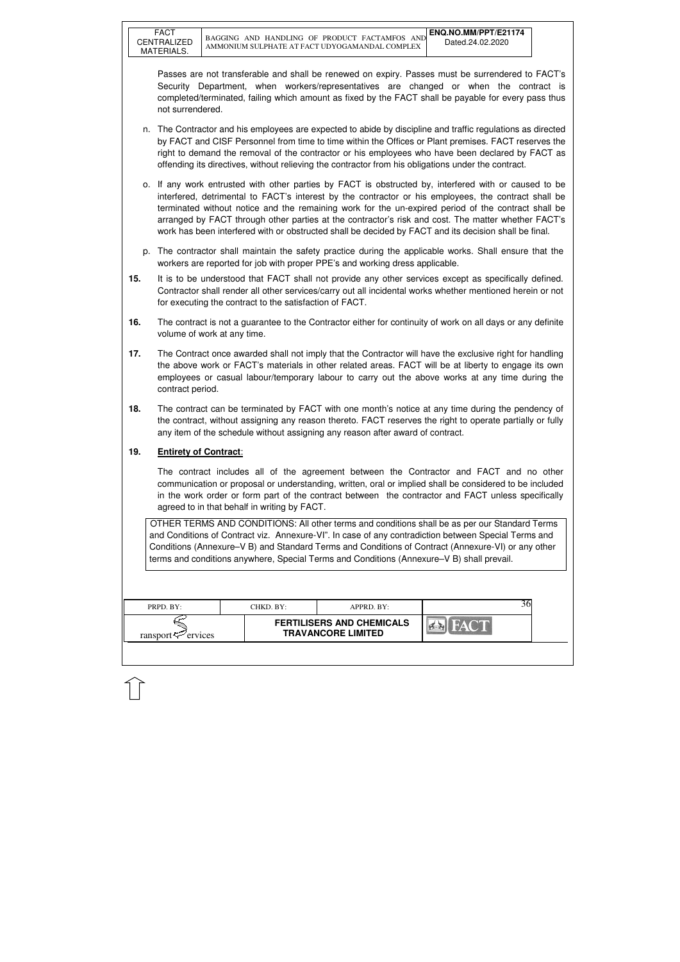| <b>FERTILISERS AND CHEMICALS</b><br><b>TRAVANCORE LIMITED</b><br>ransport $\leq$ ervices |  |
|------------------------------------------------------------------------------------------|--|

Passes are not transferable and shall be renewed on expiry. Passes must be surrendered to FACT's Security Department, when workers/representatives are changed or when the contract is completed/terminated, failing which amount as fixed by the FACT shall be payable for every pass thus not surrendered.

- n. The Contractor and his employees are expected to abide by discipline and traffic regulations as directed by FACT and CISF Personnel from time to time within the Offices or Plant premises. FACT reserves the right to demand the removal of the contractor or his employees who have been declared by FACT as offending its directives, without relieving the contractor from his obligations under the contract.
- o. If any work entrusted with other parties by FACT is obstructed by, interfered with or caused to be interfered, detrimental to FACT's interest by the contractor or his employees, the contract shall be terminated without notice and the remaining work for the un-expired period of the contract shall be arranged by FACT through other parties at the contractor's risk and cost. The matter whether FACT's work has been interfered with or obstructed shall be decided by FACT and its decision shall be final.
- p. The contractor shall maintain the safety practice during the applicable works. Shall ensure that the workers are reported for job with proper PPE's and working dress applicable.
- **15.** It is to be understood that FACT shall not provide any other services except as specifically defined. Contractor shall render all other services/carry out all incidental works whether mentioned herein or not for executing the contract to the satisfaction of FACT.
- **16.** The contract is not a guarantee to the Contractor either for continuity of work on all days or any definite volume of work at any time.
- **17.** The Contract once awarded shall not imply that the Contractor will have the exclusive right for handling the above work or FACT's materials in other related areas. FACT will be at liberty to engage its own employees or casual labour/temporary labour to carry out the above works at any time during the contract period.
- **18.** The contract can be terminated by FACT with one month's notice at any time during the pendency of the contract, without assigning any reason thereto. FACT reserves the right to operate partially or fully any item of the schedule without assigning any reason after award of contract.

## **19. Entirety of Contract**:

 The contract includes all of the agreement between the Contractor and FACT and no other communication or proposal or understanding, written, oral or implied shall be considered to be included in the work order or form part of the contract between the contractor and FACT unless specifically agreed to in that behalf in writing by FACT.

OTHER TERMS AND CONDITIONS: All other terms and conditions shall be as per our Standard Terms and Conditions of Contract viz. Annexure-VI". In case of any contradiction between Special Terms and Conditions (Annexure–V B) and Standard Terms and Conditions of Contract (Annexure-VI) or any other terms and conditions anywhere, Special Terms and Conditions (Annexure–V B) shall prevail.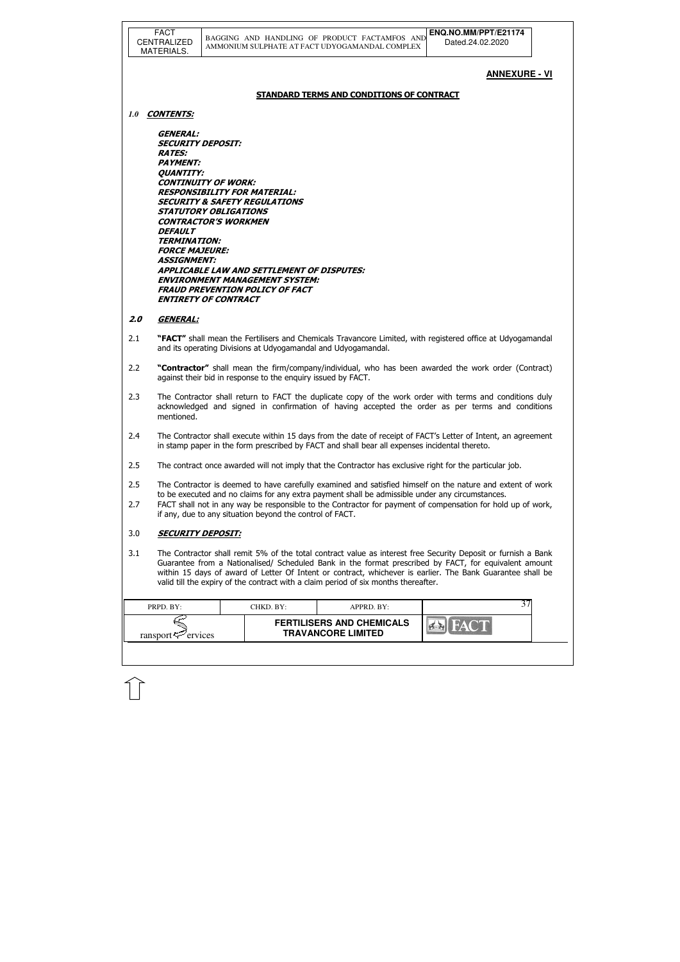|     | <b>FACT</b><br>CENTRALIZED<br>MATERIALS.                                                                                                                                                           | ENQ.NO.MM/PPT/E21174<br>BAGGING AND HANDLING OF PRODUCT FACTAMFOS AND<br>Dated.24.02.2020<br>AMMONIUM SULPHATE AT FACT UDYOGAMANDAL COMPLEX                                                                                                                                                                                                                                                                                 |  |
|-----|----------------------------------------------------------------------------------------------------------------------------------------------------------------------------------------------------|-----------------------------------------------------------------------------------------------------------------------------------------------------------------------------------------------------------------------------------------------------------------------------------------------------------------------------------------------------------------------------------------------------------------------------|--|
|     |                                                                                                                                                                                                    | <u>ANNEXURE - VI</u>                                                                                                                                                                                                                                                                                                                                                                                                        |  |
|     |                                                                                                                                                                                                    | <b>STANDARD TERMS AND CONDITIONS OF CONTRACT</b>                                                                                                                                                                                                                                                                                                                                                                            |  |
| 1.0 | <b>CONTENTS:</b>                                                                                                                                                                                   |                                                                                                                                                                                                                                                                                                                                                                                                                             |  |
|     | <b>GENERAL:</b><br><b>SECURITY DEPOSIT:</b><br><b>RATES:</b><br><b>PAYMENT:</b><br><b>QUANTITY:</b><br><i><b>DEFAULT</b></i><br><b>TERMINATION:</b><br><b>FORCE MAJEURE:</b><br><b>ASSIGNMENT:</b> | <b>CONTINUITY OF WORK:</b><br><b>RESPONSIBILITY FOR MATERIAL:</b><br><b>SECURITY &amp; SAFETY REGULATIONS</b><br><b>STATUTORY OBLIGATIONS</b><br><b>CONTRACTOR'S WORKMEN</b><br><b>APPLICABLE LAW AND SETTLEMENT OF DISPUTES:</b><br><b>ENVIRONMENT MANAGEMENT SYSTEM:</b><br><b>FRAUD PREVENTION POLICY OF FACT</b><br><b>ENTIRETY OF CONTRACT</b>                                                                         |  |
| 2.0 | <b>GENERAL:</b>                                                                                                                                                                                    |                                                                                                                                                                                                                                                                                                                                                                                                                             |  |
| 2.1 |                                                                                                                                                                                                    | "FACT" shall mean the Fertilisers and Chemicals Travancore Limited, with registered office at Udyogamandal<br>and its operating Divisions at Udyogamandal and Udyogamandal.                                                                                                                                                                                                                                                 |  |
| 2.2 |                                                                                                                                                                                                    | "Contractor" shall mean the firm/company/individual, who has been awarded the work order (Contract)<br>against their bid in response to the enquiry issued by FACT.                                                                                                                                                                                                                                                         |  |
| 2.3 | mentioned.                                                                                                                                                                                         | The Contractor shall return to FACT the duplicate copy of the work order with terms and conditions duly<br>acknowledged and signed in confirmation of having accepted the order as per terms and conditions                                                                                                                                                                                                                 |  |
| 2.4 |                                                                                                                                                                                                    | The Contractor shall execute within 15 days from the date of receipt of FACT's Letter of Intent, an agreement<br>in stamp paper in the form prescribed by FACT and shall bear all expenses incidental thereto.                                                                                                                                                                                                              |  |
| 2.5 |                                                                                                                                                                                                    | The contract once awarded will not imply that the Contractor has exclusive right for the particular job.                                                                                                                                                                                                                                                                                                                    |  |
| 2.5 |                                                                                                                                                                                                    | The Contractor is deemed to have carefully examined and satisfied himself on the nature and extent of work<br>to be executed and no claims for any extra payment shall be admissible under any circumstances.                                                                                                                                                                                                               |  |
| 2.7 |                                                                                                                                                                                                    | FACT shall not in any way be responsible to the Contractor for payment of compensation for hold up of work,<br>if any, due to any situation beyond the control of FACT.                                                                                                                                                                                                                                                     |  |
| 3.0 | <b>SECURITY DEPOSIT:</b>                                                                                                                                                                           |                                                                                                                                                                                                                                                                                                                                                                                                                             |  |
| 3.1 |                                                                                                                                                                                                    | The Contractor shall remit 5% of the total contract value as interest free Security Deposit or furnish a Bank<br>Guarantee from a Nationalised/ Scheduled Bank in the format prescribed by FACT, for equivalent amount<br>within 15 days of award of Letter Of Intent or contract, whichever is earlier. The Bank Guarantee shall be<br>valid till the expiry of the contract with a claim period of six months thereafter. |  |
|     | PRPD. BY:                                                                                                                                                                                          | 37<br>CHKD. BY:<br>APPRD. BY:                                                                                                                                                                                                                                                                                                                                                                                               |  |
|     | ransport $\approx$ ervices                                                                                                                                                                         | <b>FERTILISERS AND CHEMICALS</b><br><b>TRAVANCORE LIMITED</b>                                                                                                                                                                                                                                                                                                                                                               |  |
|     |                                                                                                                                                                                                    |                                                                                                                                                                                                                                                                                                                                                                                                                             |  |

 $\widehat{1}$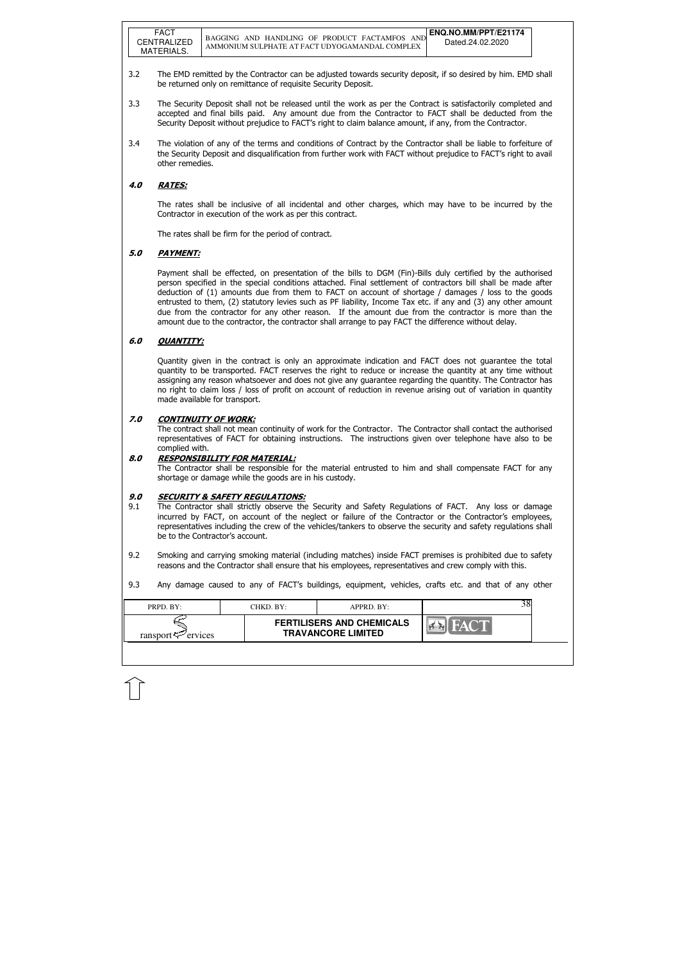| PRPD. BY:<br>CHKD. BY:         | APPRD. BY:                                                    |  |
|--------------------------------|---------------------------------------------------------------|--|
| ransport $\mathcal{P}$ ervices | <b>FERTILISERS AND CHEMICALS</b><br><b>TRAVANCORE LIMITED</b> |  |

- 3.2 The EMD remitted by the Contractor can be adjusted towards security deposit, if so desired by him. EMD shall be returned only on remittance of requisite Security Deposit.
- 3.3 The Security Deposit shall not be released until the work as per the Contract is satisfactorily completed and accepted and final bills paid. Any amount due from the Contractor to FACT shall be deducted from the Security Deposit without prejudice to FACT's right to claim balance amount, if any, from the Contractor.
- 3.4 The violation of any of the terms and conditions of Contract by the Contractor shall be liable to forfeiture of the Security Deposit and disqualification from further work with FACT without prejudice to FACT's right to avail other remedies.

## 4.0 RATES:

The rates shall be inclusive of all incidental and other charges, which may have to be incurred by the Contractor in execution of the work as per this contract.

The rates shall be firm for the period of contract.

## 5.0 PAYMENT:

Payment shall be effected, on presentation of the bills to DGM (Fin)-Bills duly certified by the authorised person specified in the special conditions attached. Final settlement of contractors bill shall be made after deduction of (1) amounts due from them to FACT on account of shortage / damages / loss to the goods entrusted to them, (2) statutory levies such as PF liability, Income Tax etc. if any and (3) any other amount due from the contractor for any other reason. If the amount due from the contractor is more than the amount due to the contractor, the contractor shall arrange to pay FACT the difference without delay.

### 6.0 QUANTITY:

Quantity given in the contract is only an approximate indication and FACT does not guarantee the total quantity to be transported. FACT reserves the right to reduce or increase the quantity at any time without assigning any reason whatsoever and does not give any guarantee regarding the quantity. The Contractor has no right to claim loss / loss of profit on account of reduction in revenue arising out of variation in quantity made available for transport.

### 7.0 CONTINUITY OF WORK:

 The contract shall not mean continuity of work for the Contractor. The Contractor shall contact the authorised representatives of FACT for obtaining instructions. The instructions given over telephone have also to be complied with.

### 8.0 RESPONSIBILITY FOR MATERIAL:

 The Contractor shall be responsible for the material entrusted to him and shall compensate FACT for any shortage or damage while the goods are in his custody.

### 9.0 SECURITY & SAFETY REGULATIONS:

- 9.1 The Contractor shall strictly observe the Security and Safety Regulations of FACT. Any loss or damage incurred by FACT, on account of the neglect or failure of the Contractor or the Contractor's employees, representatives including the crew of the vehicles/tankers to observe the security and safety regulations shall be to the Contractor's account.
- 9.2 Smoking and carrying smoking material (including matches) inside FACT premises is prohibited due to safety reasons and the Contractor shall ensure that his employees, representatives and crew comply with this.
- 9.3 Any damage caused to any of FACT's buildings, equipment, vehicles, crafts etc. and that of any other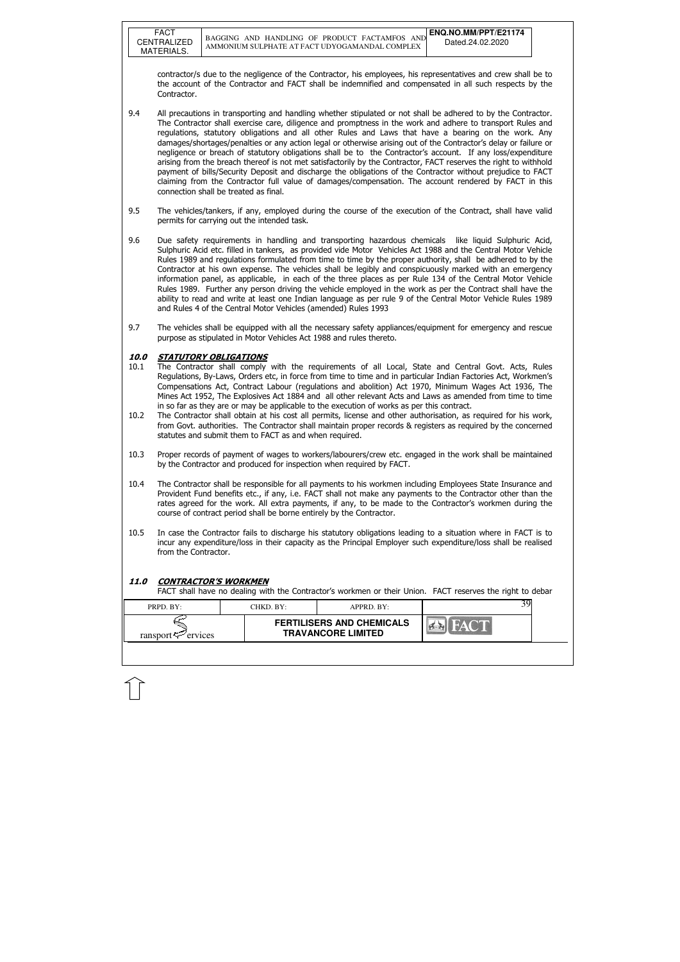FACT

| PRPD. BY:                  | CHKD. BY:- | $APPRD$ $BY:$                                                 |  |
|----------------------------|------------|---------------------------------------------------------------|--|
| ransport $\approx$ ervices |            | <b>FERTILISERS AND CHEMICALS</b><br><b>TRAVANCORE LIMITED</b> |  |

contractor/s due to the negligence of the Contractor, his employees, his representatives and crew shall be to the account of the Contractor and FACT shall be indemnified and compensated in all such respects by the Contractor.

- 9.4 All precautions in transporting and handling whether stipulated or not shall be adhered to by the Contractor. The Contractor shall exercise care, diligence and promptness in the work and adhere to transport Rules and regulations, statutory obligations and all other Rules and Laws that have a bearing on the work. Any damages/shortages/penalties or any action legal or otherwise arising out of the Contractor's delay or failure or negligence or breach of statutory obligations shall be to the Contractor's account. If any loss/expenditure arising from the breach thereof is not met satisfactorily by the Contractor, FACT reserves the right to withhold payment of bills/Security Deposit and discharge the obligations of the Contractor without prejudice to FACT claiming from the Contractor full value of damages/compensation. The account rendered by FACT in this connection shall be treated as final.
- 9.5 The vehicles/tankers, if any, employed during the course of the execution of the Contract, shall have valid permits for carrying out the intended task.
- 9.6 Due safety requirements in handling and transporting hazardous chemicals like liquid Sulphuric Acid, Sulphuric Acid etc. filled in tankers, as provided vide Motor Vehicles Act 1988 and the Central Motor Vehicle Rules 1989 and regulations formulated from time to time by the proper authority, shall be adhered to by the Contractor at his own expense. The vehicles shall be legibly and conspicuously marked with an emergency information panel, as applicable, in each of the three places as per Rule 134 of the Central Motor Vehicle Rules 1989. Further any person driving the vehicle employed in the work as per the Contract shall have the ability to read and write at least one Indian language as per rule 9 of the Central Motor Vehicle Rules 1989 and Rules 4 of the Central Motor Vehicles (amended) Rules 1993
- 9.7 The vehicles shall be equipped with all the necessary safety appliances/equipment for emergency and rescue purpose as stipulated in Motor Vehicles Act 1988 and rules thereto.

### 10.0 STATUTORY OBLIGATIONS

- 10.1 The Contractor shall comply with the requirements of all Local, State and Central Govt. Acts, Rules Regulations, By-Laws, Orders etc, in force from time to time and in particular Indian Factories Act, Workmen's Compensations Act, Contract Labour (regulations and abolition) Act 1970, Minimum Wages Act 1936, The Mines Act 1952, The Explosives Act 1884 and all other relevant Acts and Laws as amended from time to time in so far as they are or may be applicable to the execution of works as per this contract.
- 10.2 The Contractor shall obtain at his cost all permits, license and other authorisation, as required for his work, from Govt. authorities. The Contractor shall maintain proper records & registers as required by the concerned statutes and submit them to FACT as and when required.
- 10.3 Proper records of payment of wages to workers/labourers/crew etc. engaged in the work shall be maintained by the Contractor and produced for inspection when required by FACT.
- 10.4 The Contractor shall be responsible for all payments to his workmen including Employees State Insurance and Provident Fund benefits etc., if any, i.e. FACT shall not make any payments to the Contractor other than the rates agreed for the work. All extra payments, if any, to be made to the Contractor's workmen during the course of contract period shall be borne entirely by the Contractor.
- 10.5 In case the Contractor fails to discharge his statutory obligations leading to a situation where in FACT is to incur any expenditure/loss in their capacity as the Principal Employer such expenditure/loss shall be realised from the Contractor.

### 11.0 CONTRACTOR'S WORKMEN

FACT shall have no dealing with the Contractor's workmen or their Union. FACT reserves the right to debar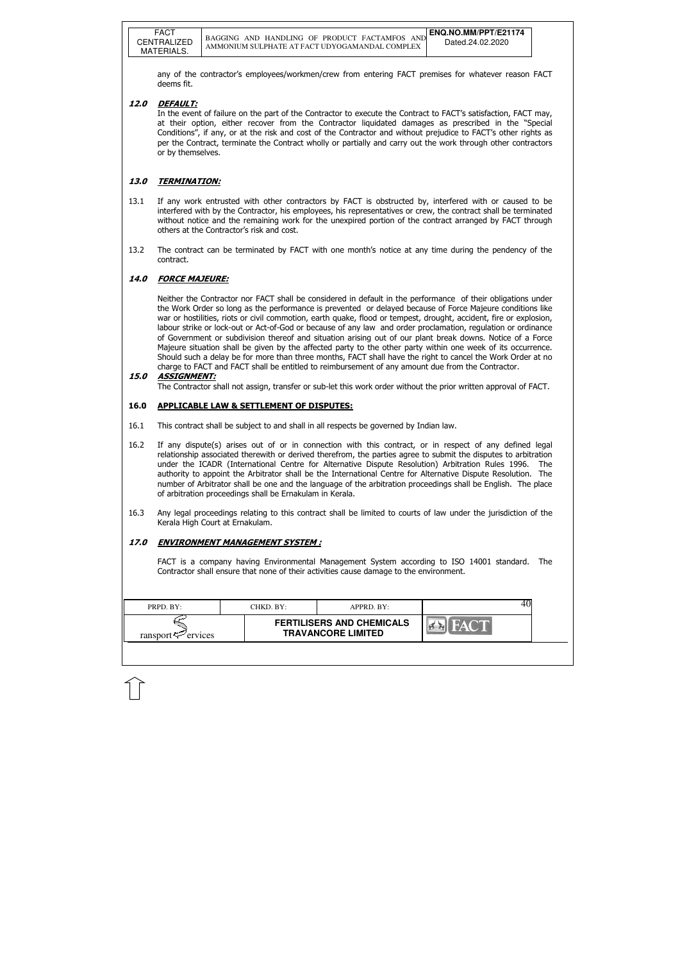| PRPD. BY:               | CHKD. BY: | APPRD. BY:                                                    |  |
|-------------------------|-----------|---------------------------------------------------------------|--|
| ransport $\leq$ ervices |           | <b>FERTILISERS AND CHEMICALS</b><br><b>TRAVANCORE LIMITED</b> |  |

any of the contractor's employees/workmen/crew from entering FACT premises for whatever reason FACT deems fit.

### 12.0 DEFAULT:

 In the event of failure on the part of the Contractor to execute the Contract to FACT's satisfaction, FACT may, at their option, either recover from the Contractor liquidated damages as prescribed in the "Special Conditions", if any, or at the risk and cost of the Contractor and without prejudice to FACT's other rights as per the Contract, terminate the Contract wholly or partially and carry out the work through other contractors or by themselves.

#### 13.0 TERMINATION:

- 13.1 If any work entrusted with other contractors by FACT is obstructed by, interfered with or caused to be interfered with by the Contractor, his employees, his representatives or crew, the contract shall be terminated without notice and the remaining work for the unexpired portion of the contract arranged by FACT through others at the Contractor's risk and cost.
- 13.2 The contract can be terminated by FACT with one month's notice at any time during the pendency of the contract.

#### 14.0 FORCE MAJEURE:

 Neither the Contractor nor FACT shall be considered in default in the performance of their obligations under the Work Order so long as the performance is prevented or delayed because of Force Majeure conditions like war or hostilities, riots or civil commotion, earth quake, flood or tempest, drought, accident, fire or explosion, labour strike or lock-out or Act-of-God or because of any law and order proclamation, regulation or ordinance of Government or subdivision thereof and situation arising out of our plant break downs. Notice of a Force Majeure situation shall be given by the affected party to the other party within one week of its occurrence. Should such a delay be for more than three months, FACT shall have the right to cancel the Work Order at no charge to FACT and FACT shall be entitled to reimbursement of any amount due from the Contractor.

#### 15.0 ASSIGNMENT:

The Contractor shall not assign, transfer or sub-let this work order without the prior written approval of FACT.

#### 16.0 APPLICABLE LAW & SETTLEMENT OF DISPUTES:

- 16.1 This contract shall be subject to and shall in all respects be governed by Indian law.
- 16.2 If any dispute(s) arises out of or in connection with this contract, or in respect of any defined legal relationship associated therewith or derived therefrom, the parties agree to submit the disputes to arbitration under the ICADR (International Centre for Alternative Dispute Resolution) Arbitration Rules 1996. The authority to appoint the Arbitrator shall be the International Centre for Alternative Dispute Resolution. The number of Arbitrator shall be one and the language of the arbitration proceedings shall be English. The place of arbitration proceedings shall be Ernakulam in Kerala.
- 16.3 Any legal proceedings relating to this contract shall be limited to courts of law under the jurisdiction of the Kerala High Court at Ernakulam.

### 17.0 ENVIRONMENT MANAGEMENT SYSTEM :

FACT is a company having Environmental Management System according to ISO 14001 standard. The Contractor shall ensure that none of their activities cause damage to the environment.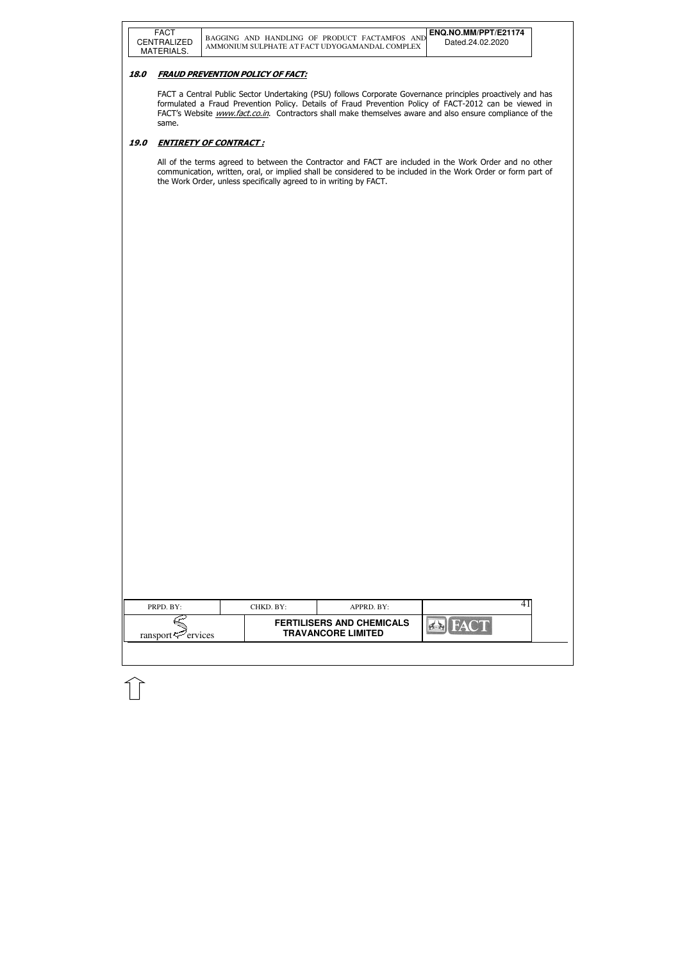## 18.0 FRAUD PREVENTION POLICY OF FACT:

|                                                         | PRPD. BY: | CHKD. BY: | APPRD. BY:                       |  |
|---------------------------------------------------------|-----------|-----------|----------------------------------|--|
| <b>TRAVANCORE LIMITED</b><br>ransport $\approx$ ervices |           |           | <b>FERTILISERS AND CHEMICALS</b> |  |

FACT a Central Public Sector Undertaking (PSU) follows Corporate Governance principles proactively and has formulated a Fraud Prevention Policy. Details of Fraud Prevention Policy of FACT-2012 can be viewed in FACT's Website *www.fact.co.in*. Contractors shall make themselves aware and also ensure compliance of the same.

## 19.0 ENTIRETY OF CONTRACT :

All of the terms agreed to between the Contractor and FACT are included in the Work Order and no other communication, written, oral, or implied shall be considered to be included in the Work Order or form part of the Work Order, unless specifically agreed to in writing by FACT.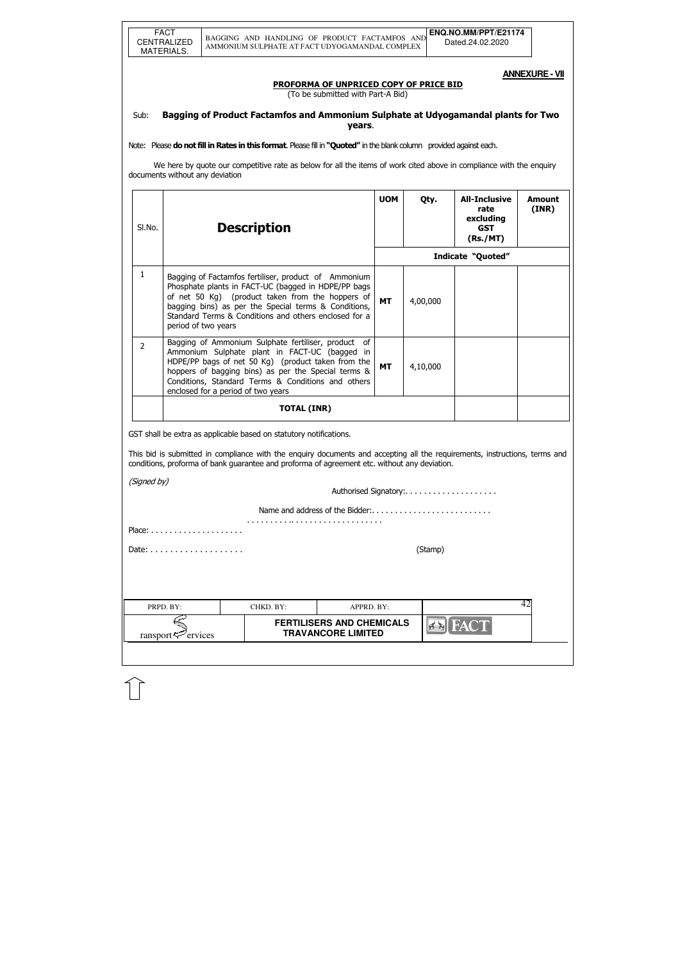**TRAVANCORE LIMITED** 

**EN FACT** 

**ANNEXURE - VII** 

#### PROFORMA OF UNPRICED COPY OF PRICE BID

(To be submitted with Part-A Bid)

## Sub: Bagging of Product Factamfos and Ammonium Sulphate at Udyogamandal plants for Two years.

Note: Please do not fill in Rates in this format. Please fill in "Quoted" in the blank column provided against each.

 We here by quote our competitive rate as below for all the items of work cited above in compliance with the enquiry documents without any deviation

| SI.No.         |                                      | <b>Description</b>                                                                                                                                                                                                                                                                               | <b>UOM</b> | Qty.                  | <b>All-Inclusive</b><br>rate<br>excluding<br><b>GST</b><br>(Rs./MT) | <b>Amount</b><br>(INR) |
|----------------|--------------------------------------|--------------------------------------------------------------------------------------------------------------------------------------------------------------------------------------------------------------------------------------------------------------------------------------------------|------------|-----------------------|---------------------------------------------------------------------|------------------------|
|                |                                      |                                                                                                                                                                                                                                                                                                  |            |                       | <b>Indicate "Quoted"</b>                                            |                        |
| 1              | period of two years                  | Bagging of Factamfos fertiliser, product of Ammonium<br>Phosphate plants in FACT-UC (bagged in HDPE/PP bags<br>of net 50 Kg) (product taken from the hoppers of<br>bagging bins) as per the Special terms & Conditions,<br>Standard Terms & Conditions and others enclosed for a                 | <b>MT</b>  | 4,00,000              |                                                                     |                        |
| $\overline{2}$ | enclosed for a period of two years   | Bagging of Ammonium Sulphate fertiliser, product of<br>Ammonium Sulphate plant in FACT-UC (bagged in<br>HDPE/PP bags of net 50 Kg) (product taken from the<br>hoppers of bagging bins) as per the Special terms &<br>Conditions, Standard Terms & Conditions and others                          | <b>MT</b>  | 4,10,000              |                                                                     |                        |
|                |                                      | <b>TOTAL (INR)</b>                                                                                                                                                                                                                                                                               |            |                       |                                                                     |                        |
|                |                                      | GST shall be extra as applicable based on statutory notifications.<br>This bid is submitted in compliance with the enquiry documents and accepting all the requirements, instructions, terms and<br>conditions, proforma of bank guarantee and proforma of agreement etc. without any deviation. |            |                       |                                                                     |                        |
| (Signed by)    |                                      |                                                                                                                                                                                                                                                                                                  |            | Authorised Signatory: |                                                                     |                        |
|                |                                      | Name and address of the Bidder:                                                                                                                                                                                                                                                                  |            |                       |                                                                     |                        |
|                | $Place: \ldots \ldots \ldots \ldots$ |                                                                                                                                                                                                                                                                                                  |            |                       |                                                                     |                        |
|                |                                      |                                                                                                                                                                                                                                                                                                  |            | (Stamp)               |                                                                     |                        |
|                |                                      |                                                                                                                                                                                                                                                                                                  |            |                       |                                                                     | 42                     |
|                | PRPD. BY:                            | APPRD. BY:<br>CHKD. BY:<br><b>FERTILISERS AND CHEMICALS</b>                                                                                                                                                                                                                                      |            |                       | <b>EXIEACT</b>                                                      |                        |

 $r_{\text{ansport}}$ ervices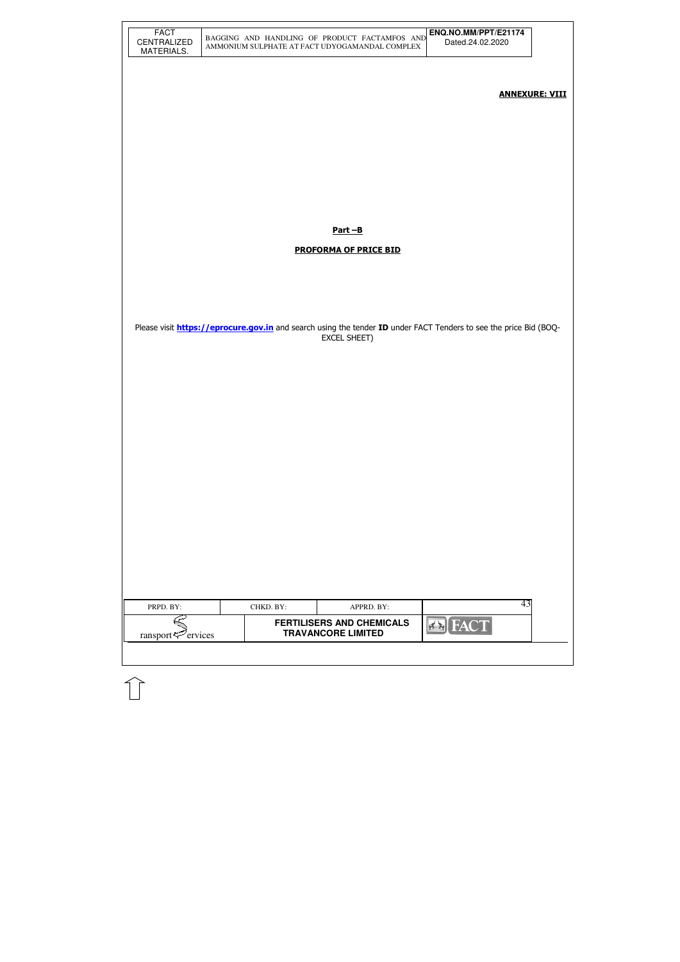|                                                      |                                                                                                                          | AMMONIUM SULPHATE AT FACT UDYOGAMANDAL COMPLEX                | Dated.24.02.2020 |                       |
|------------------------------------------------------|--------------------------------------------------------------------------------------------------------------------------|---------------------------------------------------------------|------------------|-----------------------|
|                                                      |                                                                                                                          |                                                               |                  | <b>ANNEXURE: VIII</b> |
|                                                      |                                                                                                                          |                                                               |                  |                       |
|                                                      |                                                                                                                          |                                                               |                  |                       |
|                                                      |                                                                                                                          | <u>Part-B</u>                                                 |                  |                       |
|                                                      |                                                                                                                          | <b>PROFORMA OF PRICE BID</b>                                  |                  |                       |
|                                                      |                                                                                                                          |                                                               |                  |                       |
|                                                      | Please visit <b>https://eprocure.gov.in</b> and search using the tender ID under FACT Tenders to see the price Bid (BOQ- | <b>EXCEL SHEET)</b>                                           |                  |                       |
|                                                      |                                                                                                                          |                                                               |                  |                       |
|                                                      |                                                                                                                          |                                                               |                  |                       |
|                                                      |                                                                                                                          |                                                               |                  |                       |
|                                                      |                                                                                                                          |                                                               |                  |                       |
|                                                      |                                                                                                                          |                                                               |                  |                       |
|                                                      |                                                                                                                          |                                                               |                  |                       |
| PRPD. BY:                                            | CHKD. BY:                                                                                                                | APPRD. BY:                                                    | 43               |                       |
| ransport $\leq$ <sup><math>\geq</math></sup> ervices |                                                                                                                          | <b>FERTILISERS AND CHEMICALS</b><br><b>TRAVANCORE LIMITED</b> | <b>EX</b> FACT   |                       |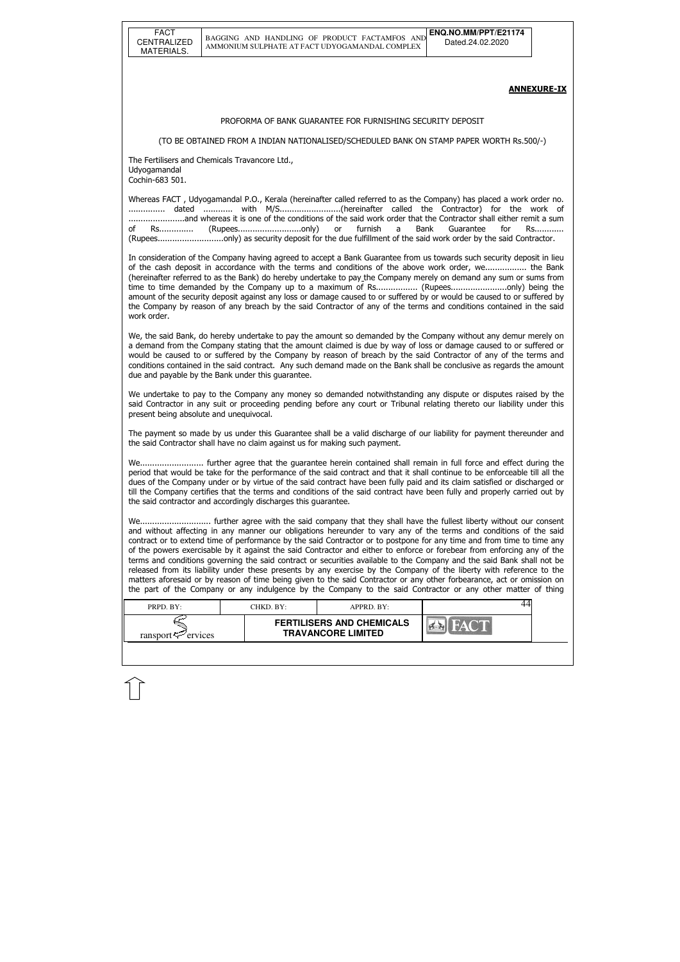| <b>FACT</b>        |
|--------------------|
|                    |
| <b>CENTRALIZED</b> |
| MATERIALS.         |
|                    |

| PRPD. BY:               | CHKD. BY:- | APPRD. BY:                                                    |  |
|-------------------------|------------|---------------------------------------------------------------|--|
| ransport $\leq$ ervices |            | <b>FERTILISERS AND CHEMICALS</b><br><b>TRAVANCORE LIMITED</b> |  |

#### ANNEXURE-IX

#### PROFORMA OF BANK GUARANTEE FOR FURNISHING SECURITY DEPOSIT

(TO BE OBTAINED FROM A INDIAN NATIONALISED/SCHEDULED BANK ON STAMP PAPER WORTH Rs.500/-)

The Fertilisers and Chemicals Travancore Ltd., Udyogamandal Cochin-683 501.

Whereas FACT , Udyogamandal P.O., Kerala (hereinafter called referred to as the Company) has placed a work order no. ............... dated ............ with M/S.........................(hereinafter called the Contractor) for the work of .......................and whereas it is one of the conditions of the said work order that the Contractor shall either remit a sum of Rs............... (Rupees...........................only) or furnish a Bank Guarantee for Rs............ (Rupees...........................only) as security deposit for the due fulfillment of the said work order by the said Contractor.

In consideration of the Company having agreed to accept a Bank Guarantee from us towards such security deposit in lieu of the cash deposit in accordance with the terms and conditions of the above work order, we................. the Bank (hereinafter referred to as the Bank) do hereby undertake to pay the Company merely on demand any sum or sums from time to time demanded by the Company up to a maximum of Rs.................. (Rupees.........................only) being the amount of the security deposit against any loss or damage caused to or suffered by or would be caused to or suffered by the Company by reason of any breach by the said Contractor of any of the terms and conditions contained in the said work order.

We, the said Bank, do hereby undertake to pay the amount so demanded by the Company without any demur merely on a demand from the Company stating that the amount claimed is due by way of loss or damage caused to or suffered or would be caused to or suffered by the Company by reason of breach by the said Contractor of any of the terms and conditions contained in the said contract. Any such demand made on the Bank shall be conclusive as regards the amount due and payable by the Bank under this guarantee.

We undertake to pay to the Company any money so demanded notwithstanding any dispute or disputes raised by the said Contractor in any suit or proceeding pending before any court or Tribunal relating thereto our liability under this present being absolute and unequivocal.

The payment so made by us under this Guarantee shall be a valid discharge of our liability for payment thereunder and the said Contractor shall have no claim against us for making such payment.

We.......................... further agree that the guarantee herein contained shall remain in full force and effect during the period that would be take for the performance of the said contract and that it shall continue to be enforceable till all the dues of the Company under or by virtue of the said contract have been fully paid and its claim satisfied or discharged or till the Company certifies that the terms and conditions of the said contract have been fully and properly carried out by the said contractor and accordingly discharges this guarantee.

We............................. further agree with the said company that they shall have the fullest liberty without our consent and without affecting in any manner our obligations hereunder to vary any of the terms and conditions of the said contract or to extend time of performance by the said Contractor or to postpone for any time and from time to time any of the powers exercisable by it against the said Contractor and either to enforce or forebear from enforcing any of the terms and conditions governing the said contract or securities available to the Company and the said Bank shall not be released from its liability under these presents by any exercise by the Company of the liberty with reference to the matters aforesaid or by reason of time being given to the said Contractor or any other forbearance, act or omission on the part of the Company or any indulgence by the Company to the said Contractor or any other matter of thing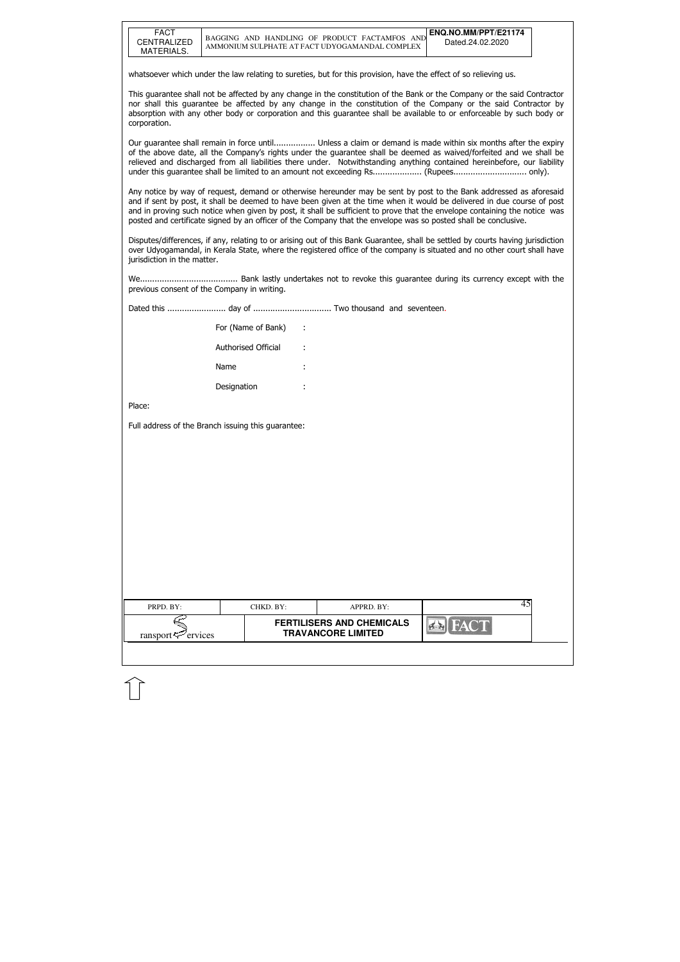| <b>FACT</b> |
|-------------|
| CENTRALIZED |
| MATERIALS.  |

| PRPD. BY:               | CHKD. BY: | APPRD. BY:                                                    |  |  |
|-------------------------|-----------|---------------------------------------------------------------|--|--|
| ransport $\leq$ ervices |           | <b>FERTILISERS AND CHEMICALS</b><br><b>TRAVANCORE LIMITED</b> |  |  |

whatsoever which under the law relating to sureties, but for this provision, have the effect of so relieving us.

This guarantee shall not be affected by any change in the constitution of the Bank or the Company or the said Contractor nor shall this guarantee be affected by any change in the constitution of the Company or the said Contractor by absorption with any other body or corporation and this guarantee shall be available to or enforceable by such body or corporation.

Our guarantee shall remain in force until................. Unless a claim or demand is made within six months after the expiry of the above date, all the Company's rights under the guarantee shall be deemed as waived/forfeited and we shall be relieved and discharged from all liabilities there under. Notwithstanding anything contained hereinbefore, our liability under this guarantee shall be limited to an amount not exceeding Rs.................... (Rupees.............................. only).

Any notice by way of request, demand or otherwise hereunder may be sent by post to the Bank addressed as aforesaid and if sent by post, it shall be deemed to have been given at the time when it would be delivered in due course of post and in proving such notice when given by post, it shall be sufficient to prove that the envelope containing the notice was posted and certificate signed by an officer of the Company that the envelope was so posted shall be conclusive.

Disputes/differences, if any, relating to or arising out of this Bank Guarantee, shall be settled by courts having jurisdiction over Udyogamandal, in Kerala State, where the registered office of the company is situated and no other court shall have jurisdiction in the matter.

We........................................ Bank lastly undertakes not to revoke this guarantee during its currency except with the previous consent of the Company in writing.

Dated this ........................ day of ................................ Two thousand and seventeen.

| For (Name of Bank)  |   |
|---------------------|---|
| Authorised Official |   |
| Name                | ٠ |
| Designation         |   |

Place:

Full address of the Branch issuing this guarantee: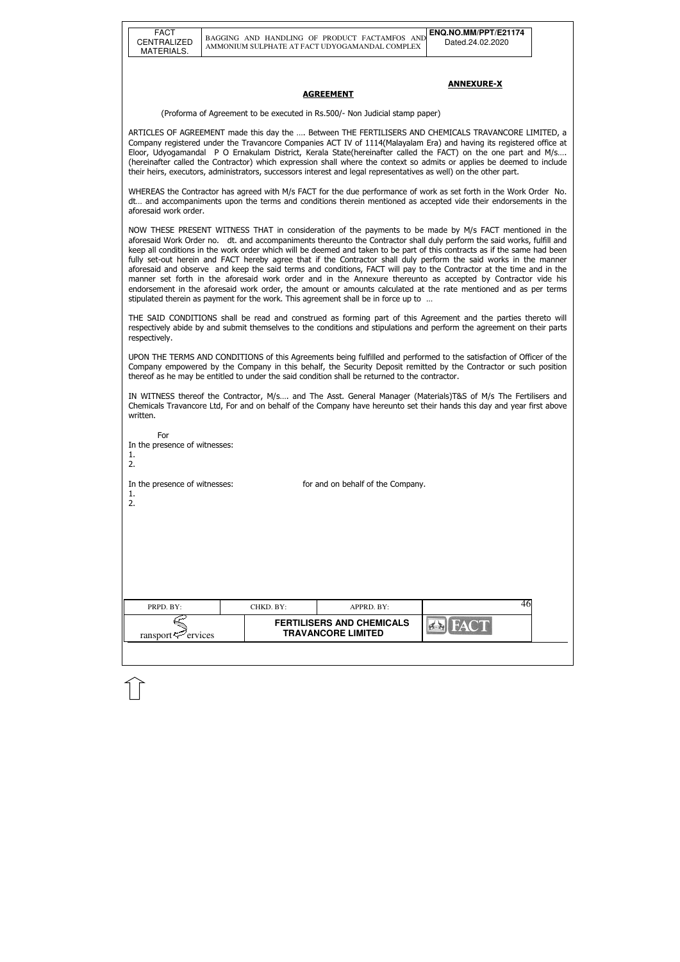#### ANNEXURE-X

#### **AGREEMENT**

(Proforma of Agreement to be executed in Rs.500/- Non Judicial stamp paper)

ARTICLES OF AGREEMENT made this day the …. Between THE FERTILISERS AND CHEMICALS TRAVANCORE LIMITED, a Company registered under the Travancore Companies ACT IV of 1114(Malayalam Era) and having its registered office at Eloor, Udyogamandal P O Ernakulam District, Kerala State(hereinafter called the FACT) on the one part and M/s…. (hereinafter called the Contractor) which expression shall where the context so admits or applies be deemed to include their heirs, executors, administrators, successors interest and legal representatives as well) on the other part.

WHEREAS the Contractor has agreed with M/s FACT for the due performance of work as set forth in the Work Order No. dt… and accompaniments upon the terms and conditions therein mentioned as accepted vide their endorsements in the aforesaid work order.

| For<br>In the presence of witnesses:<br>1.<br>2. |           |                                                               |             |  |
|--------------------------------------------------|-----------|---------------------------------------------------------------|-------------|--|
| In the presence of witnesses:<br>1.<br>2.        |           | for and on behalf of the Company.                             |             |  |
| PRPD. BY:                                        | CHKD. BY: | APPRD. BY:                                                    | 46          |  |
| ransport <sup>52</sup> ervices                   |           | <b>FERTILISERS AND CHEMICALS</b><br><b>TRAVANCORE LIMITED</b> | <b>FACT</b> |  |
|                                                  |           |                                                               |             |  |

NOW THESE PRESENT WITNESS THAT in consideration of the payments to be made by M/s FACT mentioned in the aforesaid Work Order no. dt. and accompaniments thereunto the Contractor shall duly perform the said works, fulfill and keep all conditions in the work order which will be deemed and taken to be part of this contracts as if the same had been fully set-out herein and FACT hereby agree that if the Contractor shall duly perform the said works in the manner aforesaid and observe and keep the said terms and conditions, FACT will pay to the Contractor at the time and in the manner set forth in the aforesaid work order and in the Annexure thereunto as accepted by Contractor vide his endorsement in the aforesaid work order, the amount or amounts calculated at the rate mentioned and as per terms stipulated therein as payment for the work. This agreement shall be in force up to …

THE SAID CONDITIONS shall be read and construed as forming part of this Agreement and the parties thereto will respectively abide by and submit themselves to the conditions and stipulations and perform the agreement on their parts respectively.

UPON THE TERMS AND CONDITIONS of this Agreements being fulfilled and performed to the satisfaction of Officer of the Company empowered by the Company in this behalf, the Security Deposit remitted by the Contractor or such position thereof as he may be entitled to under the said condition shall be returned to the contractor.

IN WITNESS thereof the Contractor, M/s…. and The Asst. General Manager (Materials)T&S of M/s The Fertilisers and Chemicals Travancore Ltd, For and on behalf of the Company have hereunto set their hands this day and year first above written.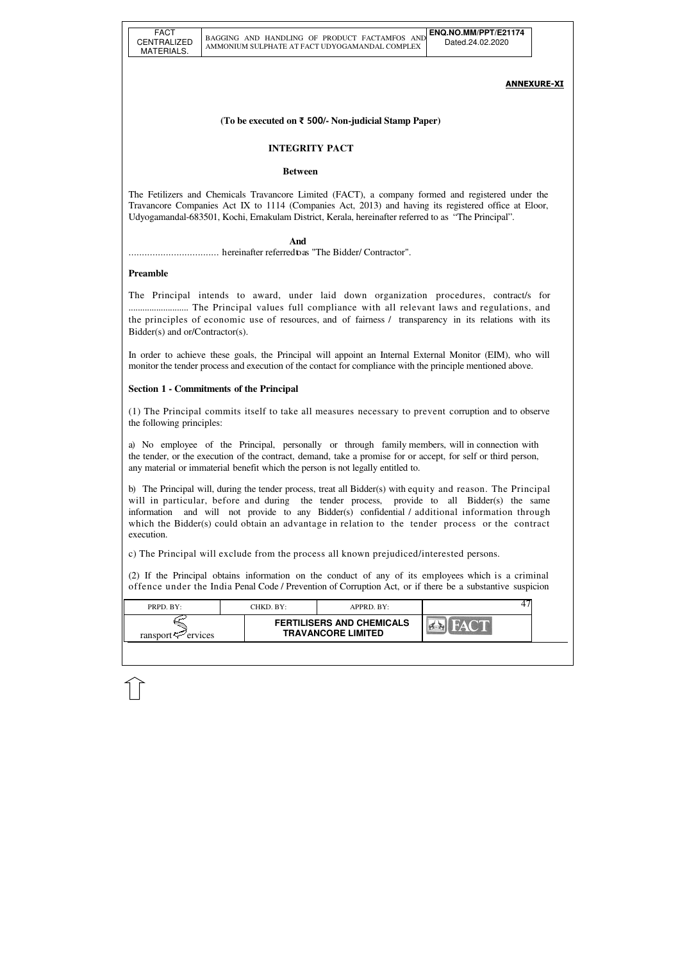| PRPD. BY:               | CHKD. BY: | $APPRD$ . BY:                                                 |  |
|-------------------------|-----------|---------------------------------------------------------------|--|
| ransport $\leq$ ervices |           | <b>FERTILISERS AND CHEMICALS</b><br><b>TRAVANCORE LIMITED</b> |  |

#### ANNEXURE-XI

## **(To be executed on** ₹ 500**/- Non-judicial Stamp Paper)**

### **INTEGRITY PACT**

#### **Between**

The Fetilizers and Chemicals Travancore Limited (FACT), a company formed and registered under the Travancore Companies Act IX to 1114 (Companies Act, 2013) and having its registered office at Eloor, Udyogamandal-683501, Kochi, Ernakulam District, Kerala, hereinafter referred to as "The Principal".

 **And**

.................................. hereinafter referred to as "The Bidder/ Contractor".

### **Preamble**

The Principal intends to award, under laid down organization procedures, contract/s for .......................... The Principal values full compliance with all relevant laws and regulations, and the principles of economic use of resources, and of fairness / transparency in its relations with its Bidder(s) and or/Contractor(s).

In order to achieve these goals, the Principal will appoint an Internal External Monitor (EIM), who will monitor the tender process and execution of the contact for compliance with the principle mentioned above.

## **Section 1 - Commitments of the Principal**

(1) The Principal commits itself to take all measures necessary to prevent corruption and to observe the following principles:

a) No employee of the Principal, personally or through family members, will in connection with the tender, or the execution of the contract, demand, take a promise for or accept, for self or third person, any material or immaterial benefit which the person is not legally entitled to.

b) The Principal will, during the tender process, treat all Bidder(s) with equity and reason. The Principal will in particular, before and during the tender process, provide to all Bidder(s) the same information and will not provide to any Bidder(s) confidential / additional information through which the Bidder(s) could obtain an advantage in relation to the tender process or the contract execution.

c) The Principal will exclude from the process all known prejudiced/interested persons.

(2) If the Principal obtains information on the conduct of any of its employees which is a criminal offence under the India Penal Code / Prevention of Corruption Act, or if there be a substantive suspicion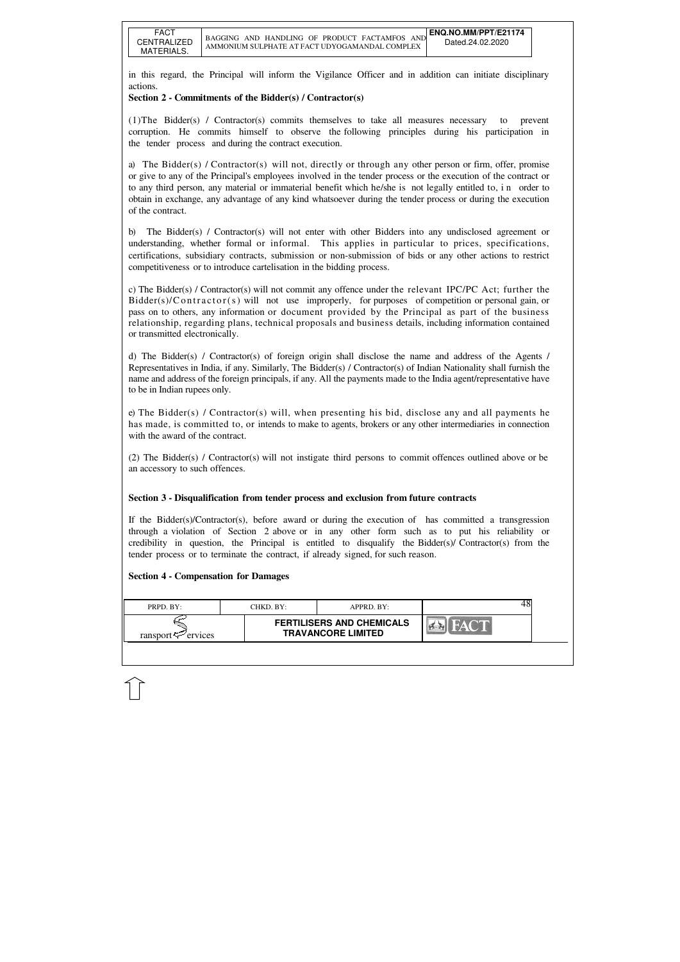| PRPD. BY:               | CHKD. BY:- | APPRD. BY:                                                    |  |
|-------------------------|------------|---------------------------------------------------------------|--|
| ransport $\leq$ ervices |            | <b>FERTILISERS AND CHEMICALS</b><br><b>TRAVANCORE LIMITED</b> |  |

in this regard, the Principal will inform the Vigilance Officer and in addition can initiate disciplinary actions.

## **Section 2 - Commitments of the Bidder(s) / Contractor(s)**

(1)The Bidder(s) / Contractor(s) commits themselves to take all measures necessary to prevent corruption. He commits himself to observe the following principles during his participation in the tender process and during the contract execution.

a) The Bidder(s) / Contractor(s) will not, directly or through any other person or firm, offer, promise or give to any of the Principal's employees involved in the tender process or the execution of the contract or to any third person, any material or immaterial benefit which he/she is not legally entitled to, i n order to obtain in exchange, any advantage of any kind whatsoever during the tender process or during the execution of the contract.

b) The Bidder(s) / Contractor(s) will not enter with other Bidders into any undisclosed agreement or understanding, whether formal or informal. This applies in particular to prices, specifications, certifications, subsidiary contracts, submission or non-submission of bids or any other actions to restrict competitiveness or to introduce cartelisation in the bidding process.

c) The Bidder(s) / Contractor(s) will not commit any offence under the relevant IPC/PC Act; further the  $Bidder(s)/Contractor(s)$  will not use improperly, for purposes of competition or personal gain, or pass on to others, any information or document provided by the Principal as part of the business relationship, regarding plans, technical proposals and business details, including information contained or transmitted electronically.

d) The Bidder(s) / Contractor(s) of foreign origin shall disclose the name and address of the Agents / Representatives in India, if any. Similarly, The Bidder(s) / Contractor(s) of Indian Nationality shall furnish the name and address of the foreign principals, if any. All the payments made to the India agent/representative have to be in Indian rupees only.

e) The Bidder(s) / Contractor(s) will, when presenting his bid, disclose any and all payments he has made, is committed to, or intends to make to agents, brokers or any other intermediaries in connection with the award of the contract.

(2) The Bidder(s) / Contractor(s) will not instigate third persons to commit offences outlined above or be an accessory to such offences.

## **Section 3 - Disqualification from tender process and exclusion from future contracts**

If the Bidder(s)/Contractor(s), before award or during the execution of has committed a transgression through a violation of Section 2 above or in any other form such as to put his reliability or credibility in question, the Principal is entitled to disqualify the Bidder(s)/ Contractor(s) from the tender process or to terminate the contract, if already signed, for such reason.

### **Section 4 - Compensation for Damages**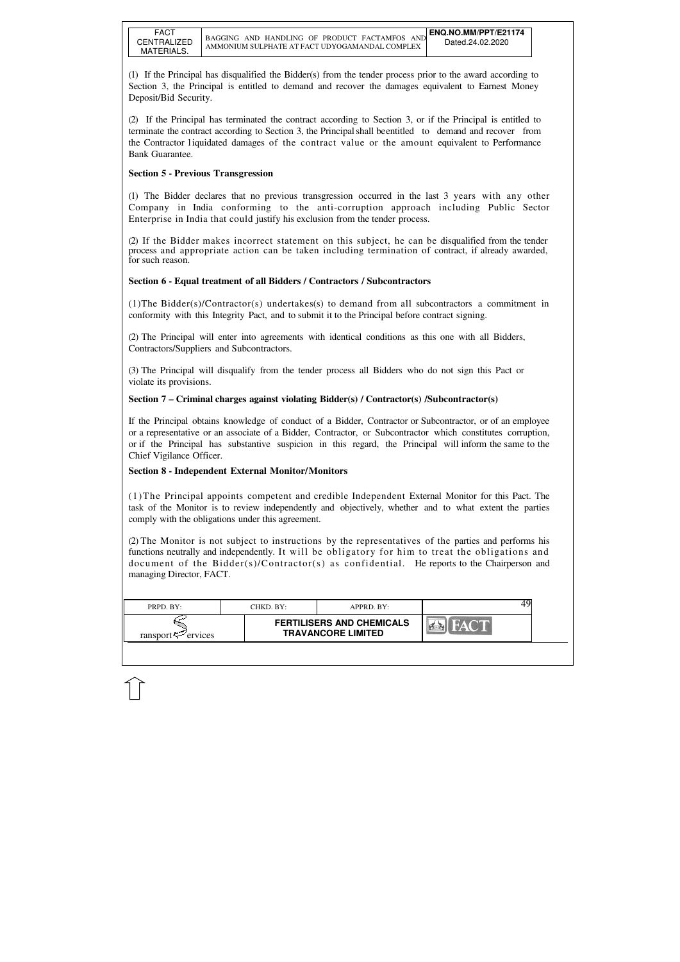| PRPD. BY:                  | CHKD. BY: | APPRD. BY:                                                    |  |
|----------------------------|-----------|---------------------------------------------------------------|--|
| ransport $\approx$ ervices |           | <b>FERTILISERS AND CHEMICALS</b><br><b>TRAVANCORE LIMITED</b> |  |

(1) If the Principal has disqualified the Bidder(s) from the tender process prior to the award according to Section 3, the Principal is entitled to demand and recover the damages equivalent to Earnest Money Deposit/Bid Security.

(2) If the Principal has terminated the contract according to Section 3, or if the Principal is entitled to terminate the contract according to Section 3, the Principal shall be entitled to demand and recover from the Contractor l iquidated damages of the contract value or the amount equivalent to Performance Bank Guarantee.

## **Section 5 - Previous Transgression**

(1) The Bidder declares that no previous transgression occurred in the last 3 years with any other Company in India conforming to the anti-corruption approach including Public Sector Enterprise in India that could justify his exclusion from the tender process.

(2) If the Bidder makes incorrect statement on this subject, he can be disqualified from the tender process and appropriate action can be taken including termination of contract, if already awarded, for such reason.

## **Section 6 - Equal treatment of all Bidders / Contractors / Subcontractors**

(1)The Bidder(s)/Contractor(s) undertakes(s) to demand from all subcontractors a commitment in conformity with this Integrity Pact, and to submit it to the Principal before contract signing.

(2) The Principal will enter into agreements with identical conditions as this one with all Bidders, Contractors/Suppliers and Subcontractors.

(3) The Principal will disqualify from the tender process all Bidders who do not sign this Pact or violate its provisions.

### **Section 7 – Criminal charges against violating Bidder(s) / Contractor(s) /Subcontractor(s)**

If the Principal obtains knowledge of conduct of a Bidder, Contractor or Subcontractor, or of an employee or a representative or an associate of a Bidder, Contractor, or Subcontractor which constitutes corruption, or if the Principal has substantive suspicion in this regard, the Principal will inform the same to the Chief Vigilance Officer.

### **Section 8 - Independent External Monitor/Monitors**

(1)The Principal appoints competent and credible Independent External Monitor for this Pact. The task of the Monitor is to review independently and objectively, whether and to what extent the parties comply with the obligations under this agreement.

(2) The Monitor is not subject to instructions by the representatives of the parties and performs his functions neutrally and independently. It will be obligatory for him to treat the obligations and document of the Bidder(s)/Contractor(s) as confidential. He reports to the Chairperson and managing Director, FACT.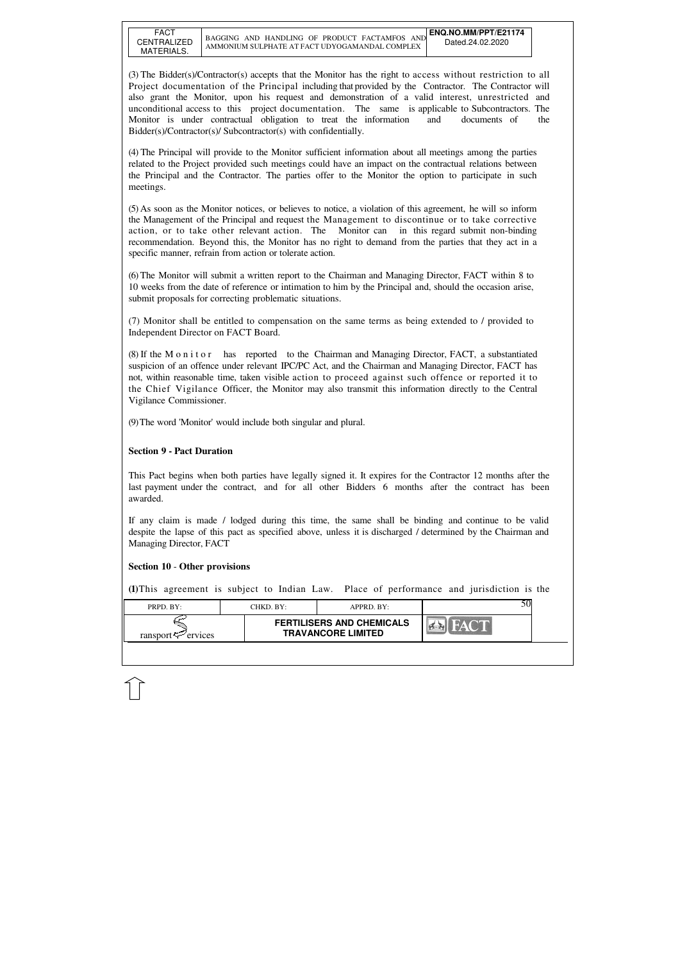| ransport<br>ervices | <b>FERTILISERS AND CHEMICALS</b><br><b>TRAVANCORE LIMITED</b> |  |
|---------------------|---------------------------------------------------------------|--|

(3) The Bidder(s)/Contractor(s) accepts that the Monitor has the right to access without restriction to all Project documentation of the Principal including that provided by the Contractor. The Contractor will also grant the Monitor, upon his request and demonstration of a valid interest, unrestricted and unconditional access to this project documentation. The same is applicable to Subcontractors. The Monitor is under contractual obligation to treat the information and documents of the Bidder(s)/Contractor(s)/ Subcontractor(s) with confidentially.

(5) As soon as the Monitor notices, or believes to notice, a violation of this agreement, he will so inform the Management of the Principal and request the Management to discontinue or to take corrective action, or to take other relevant action. The Monitor can in this regard submit non-binding recommendation. Beyond this, the Monitor has no right to demand from the parties that they act in a specific manner, refrain from action or tolerate action.

(4) The Principal will provide to the Monitor sufficient information about all meetings among the parties related to the Project provided such meetings could have an impact on the contractual relations between the Principal and the Contractor. The parties offer to the Monitor the option to participate in such meetings.

(8) If the M o n i t o r has reported to the Chairman and Managing Director, FACT, a substantiated suspicion of an offence under relevant IPC/PC Act, and the Chairman and Managing Director, FACT has not, within reasonable time, taken visible action to proceed against such offence or reported it to the Chief Vigilance Officer, the Monitor may also transmit this information directly to the Central Vigilance Commissioner.

(6) The Monitor will submit a written report to the Chairman and Managing Director, FACT within 8 to 10 weeks from the date of reference or intimation to him by the Principal and, should the occasion arise, submit proposals for correcting problematic situations.

(7) Monitor shall be entitled to compensation on the same terms as being extended to / provided to Independent Director on FACT Board.

(9) The word 'Monitor' would include both singular and plural.

## **Section 9 - Pact Duration**

This Pact begins when both parties have legally signed it. It expires for the Contractor 12 months after the last payment under the contract, and for all other Bidders 6 months after the contract has been awarded.

If any claim is made / lodged during this time, the same shall be binding and continue to be valid despite the lapse of this pact as specified above, unless it is discharged / determined by the Chairman and Managing Director, FACT

### **Section 10** - **Other provisions**

**(1)**This agreement is subject to Indian Law. Place of performance and jurisdiction is the